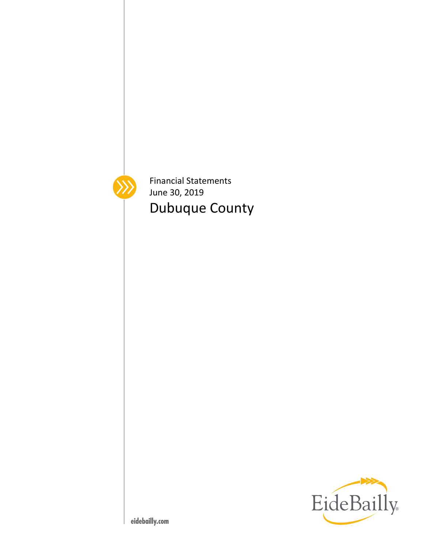

Financial Statements June 30, 2019 Dubuque County

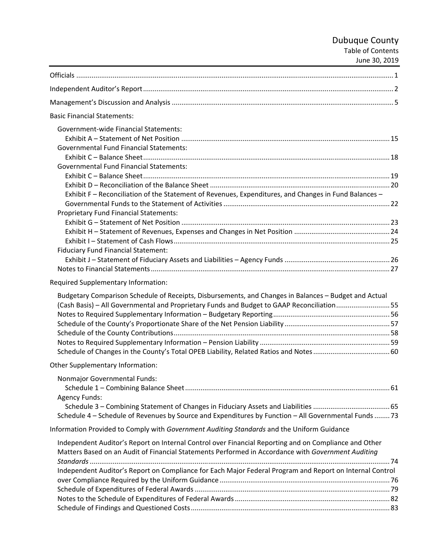| <b>Basic Financial Statements:</b><br><b>Government-wide Financial Statements:</b>                                                                                                                                                                                                                                      |  |
|-------------------------------------------------------------------------------------------------------------------------------------------------------------------------------------------------------------------------------------------------------------------------------------------------------------------------|--|
|                                                                                                                                                                                                                                                                                                                         |  |
|                                                                                                                                                                                                                                                                                                                         |  |
|                                                                                                                                                                                                                                                                                                                         |  |
|                                                                                                                                                                                                                                                                                                                         |  |
| <b>Governmental Fund Financial Statements:</b><br><b>Governmental Fund Financial Statements:</b>                                                                                                                                                                                                                        |  |
|                                                                                                                                                                                                                                                                                                                         |  |
| Exhibit F - Reconciliation of the Statement of Revenues, Expenditures, and Changes in Fund Balances -<br>Proprietary Fund Financial Statements:                                                                                                                                                                         |  |
|                                                                                                                                                                                                                                                                                                                         |  |
|                                                                                                                                                                                                                                                                                                                         |  |
| <b>Fiduciary Fund Financial Statement:</b>                                                                                                                                                                                                                                                                              |  |
|                                                                                                                                                                                                                                                                                                                         |  |
| Required Supplementary Information:                                                                                                                                                                                                                                                                                     |  |
| Budgetary Comparison Schedule of Receipts, Disbursements, and Changes in Balances - Budget and Actual<br>(Cash Basis) - All Governmental and Proprietary Funds and Budget to GAAP Reconciliation55                                                                                                                      |  |
| Other Supplementary Information:                                                                                                                                                                                                                                                                                        |  |
| Nonmajor Governmental Funds:<br><b>Agency Funds:</b><br>Schedule 4 - Schedule of Revenues by Source and Expenditures by Function - All Governmental Funds  73                                                                                                                                                           |  |
| Information Provided to Comply with Government Auditing Standards and the Uniform Guidance                                                                                                                                                                                                                              |  |
| Independent Auditor's Report on Internal Control over Financial Reporting and on Compliance and Other<br>Matters Based on an Audit of Financial Statements Performed in Accordance with Government Auditing<br>Independent Auditor's Report on Compliance for Each Major Federal Program and Report on Internal Control |  |

Schedule of Findings and Questioned Costs ........................................................................................................ 83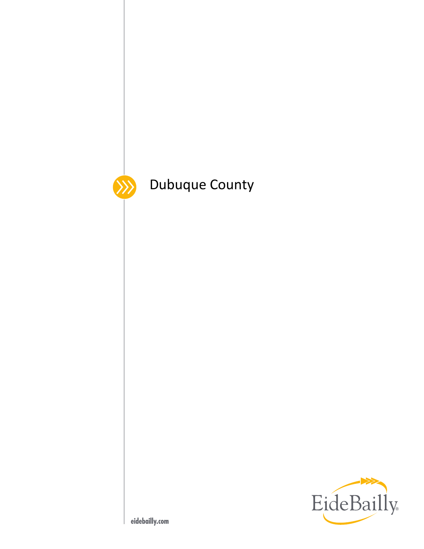

# Dubuque County

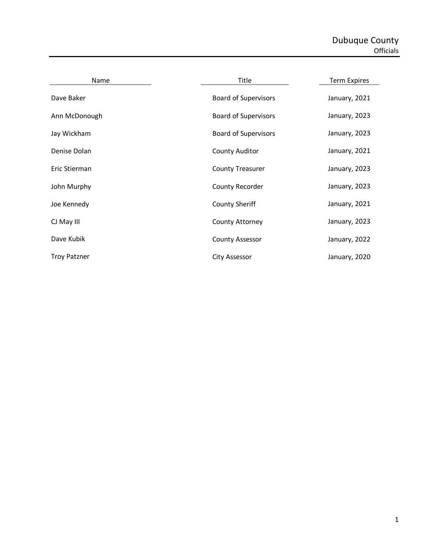| Name                | Title                       | <b>Term Expires</b> |
|---------------------|-----------------------------|---------------------|
| Dave Baker          | <b>Board of Supervisors</b> | January, 2021       |
| Ann McDonough       | <b>Board of Supervisors</b> | January, 2023       |
| Jay Wickham         | <b>Board of Supervisors</b> | January, 2023       |
| Denise Dolan        | <b>County Auditor</b>       | January, 2021       |
| Eric Stierman       | <b>County Treasurer</b>     | January, 2023       |
| John Murphy         | County Recorder             | January, 2023       |
| Joe Kennedy         | <b>County Sheriff</b>       | January, 2021       |
| CJ May III          | <b>County Attorney</b>      | January, 2023       |
| Dave Kubik          | <b>County Assessor</b>      | January, 2022       |
| <b>Troy Patzner</b> | City Assessor               | January, 2020       |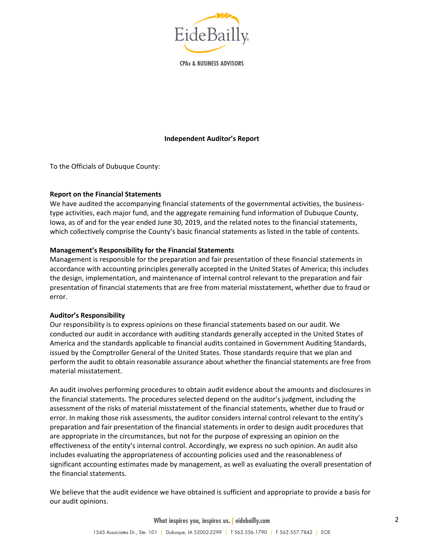

**CPAs & BUSINESS ADVISORS** 

#### **Independent Auditor's Report**

To the Officials of Dubuque County:

## **Report on the Financial Statements**

We have audited the accompanying financial statements of the governmental activities, the businesstype activities, each major fund, and the aggregate remaining fund information of Dubuque County, Iowa, as of and for the year ended June 30, 2019, and the related notes to the financial statements, which collectively comprise the County's basic financial statements as listed in the table of contents.

#### **Management's Responsibility for the Financial Statements**

Management is responsible for the preparation and fair presentation of these financial statements in accordance with accounting principles generally accepted in the United States of America; this includes the design, implementation, and maintenance of internal control relevant to the preparation and fair presentation of financial statements that are free from material misstatement, whether due to fraud or error.

#### **Auditor's Responsibility**

Our responsibility is to express opinions on these financial statements based on our audit. We conducted our audit in accordance with auditing standards generally accepted in the United States of America and the standards applicable to financial audits contained in Government Auditing Standards, issued by the Comptroller General of the United States. Those standards require that we plan and perform the audit to obtain reasonable assurance about whether the financial statements are free from material misstatement.

An audit involves performing procedures to obtain audit evidence about the amounts and disclosures in the financial statements. The procedures selected depend on the auditor's judgment, including the assessment of the risks of material misstatement of the financial statements, whether due to fraud or error. In making those risk assessments, the auditor considers internal control relevant to the entity's preparation and fair presentation of the financial statements in order to design audit procedures that are appropriate in the circumstances, but not for the purpose of expressing an opinion on the effectiveness of the entity's internal control. Accordingly, we express no such opinion. An audit also includes evaluating the appropriateness of accounting policies used and the reasonableness of significant accounting estimates made by management, as well as evaluating the overall presentation of the financial statements.

We believe that the audit evidence we have obtained is sufficient and appropriate to provide a basis for our audit opinions.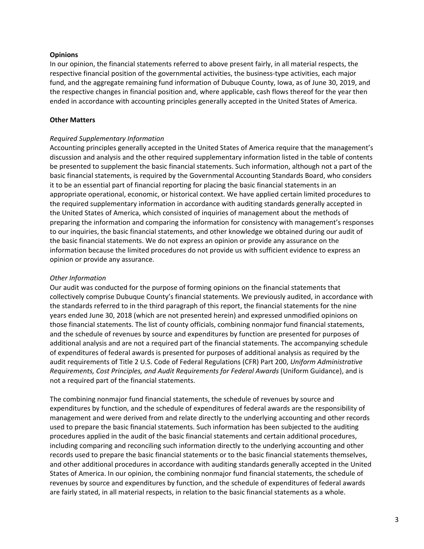#### **Opinions**

In our opinion, the financial statements referred to above present fairly, in all material respects, the respective financial position of the governmental activities, the business-type activities, each major fund, and the aggregate remaining fund information of Dubuque County, Iowa, as of June 30, 2019, and the respective changes in financial position and, where applicable, cash flows thereof for the year then ended in accordance with accounting principles generally accepted in the United States of America.

#### **Other Matters**

#### *Required Supplementary Information*

Accounting principles generally accepted in the United States of America require that the management's discussion and analysis and the other required supplementary information listed in the table of contents be presented to supplement the basic financial statements. Such information, although not a part of the basic financial statements, is required by the Governmental Accounting Standards Board, who considers it to be an essential part of financial reporting for placing the basic financial statements in an appropriate operational, economic, or historical context. We have applied certain limited procedures to the required supplementary information in accordance with auditing standards generally accepted in the United States of America, which consisted of inquiries of management about the methods of preparing the information and comparing the information for consistency with management's responses to our inquiries, the basic financial statements, and other knowledge we obtained during our audit of the basic financial statements. We do not express an opinion or provide any assurance on the information because the limited procedures do not provide us with sufficient evidence to express an opinion or provide any assurance.

#### *Other Information*

Our audit was conducted for the purpose of forming opinions on the financial statements that collectively comprise Dubuque County's financial statements. We previously audited, in accordance with the standards referred to in the third paragraph of this report, the financial statements for the nine years ended June 30, 2018 (which are not presented herein) and expressed unmodified opinions on those financial statements. The list of county officials, combining nonmajor fund financial statements, and the schedule of revenues by source and expenditures by function are presented for purposes of additional analysis and are not a required part of the financial statements. The accompanying schedule of expenditures of federal awards is presented for purposes of additional analysis as required by the audit requirements of Title 2 U.S. Code of Federal Regulations (CFR) Part 200, *Uniform Administrative Requirements, Cost Principles, and Audit Requirements for Federal Awards* (Uniform Guidance), and is not a required part of the financial statements.

The combining nonmajor fund financial statements, the schedule of revenues by source and expenditures by function, and the schedule of expenditures of federal awards are the responsibility of management and were derived from and relate directly to the underlying accounting and other records used to prepare the basic financial statements. Such information has been subjected to the auditing procedures applied in the audit of the basic financial statements and certain additional procedures, including comparing and reconciling such information directly to the underlying accounting and other records used to prepare the basic financial statements or to the basic financial statements themselves, and other additional procedures in accordance with auditing standards generally accepted in the United States of America. In our opinion, the combining nonmajor fund financial statements, the schedule of revenues by source and expenditures by function, and the schedule of expenditures of federal awards are fairly stated, in all material respects, in relation to the basic financial statements as a whole.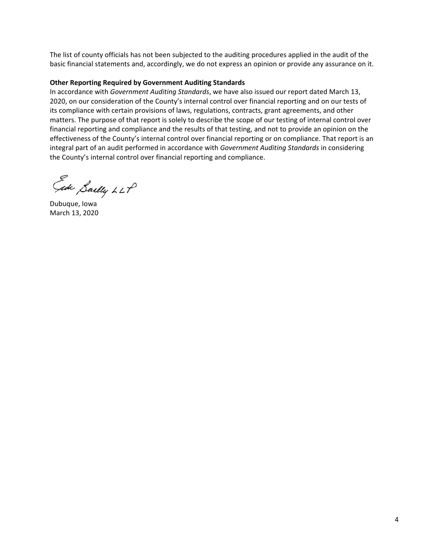The list of county officials has not been subjected to the auditing procedures applied in the audit of the basic financial statements and, accordingly, we do not express an opinion or provide any assurance on it.

## **Other Reporting Required by Government Auditing Standards**

In accordance with *Government Auditing Standards*, we have also issued our report dated March 13, 2020, on our consideration of the County's internal control over financial reporting and on our tests of its compliance with certain provisions of laws, regulations, contracts, grant agreements, and other matters. The purpose of that report is solely to describe the scope of our testing of internal control over financial reporting and compliance and the results of that testing, and not to provide an opinion on the effectiveness of the County's internal control over financial reporting or on compliance. That report is an integral part of an audit performed in accordance with *Government Auditing Standards* in considering the County's internal control over financial reporting and compliance.

Ede Sailly LLP

Dubuque, Iowa March 13, 2020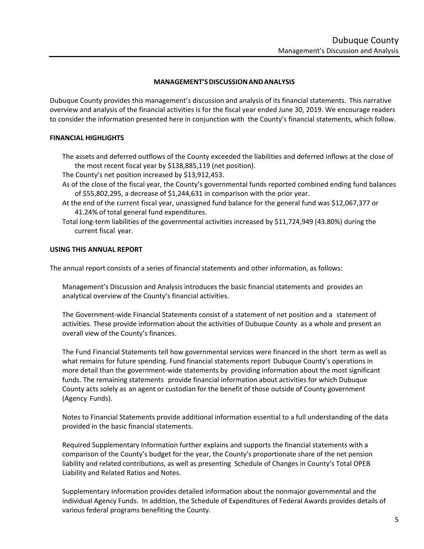## **MANAGEMENT'S DISCUSSION AND ANALYSIS**

Dubuque County provides this management's discussion and analysis of its financial statements. This narrative overview and analysis of the financial activities is for the fiscal year ended June 30, 2019. We encourage readers to consider the information presented here in conjunction with the County's financial statements, which follow.

# **FINANCIAL HIGHLIGHTS**

- The assets and deferred outflows of the County exceeded the liabilities and deferred inflows at the close of the most recent fiscal year by \$138,885,119 (net position).
- The County's net position increased by \$13,912,453.
- As of the close of the fiscal year, the County's governmental funds reported combined ending fund balances of \$55,802,295, a decrease of \$1,244,631 in comparison with the prior year.
- At the end of the current fiscal year, unassigned fund balance for the general fund was \$12,067,377 or 41.24% of total general fund expenditures.
- Total long‐term liabilities of the governmental activities increased by \$11,724,949 (43.80%) during the current fiscal year.

# **USING THIS ANNUAL REPORT**

The annual report consists of a series of financial statements and other information, as follows:

Management's Discussion and Analysis introduces the basic financial statements and provides an analytical overview of the County's financial activities.

The Government‐wide Financial Statements consist of a statement of net position and a statement of activities. These provide information about the activities of Dubuque County as a whole and present an overall view of the County's finances.

The Fund Financial Statements tell how governmental services were financed in the short term as well as what remains for future spending. Fund financial statements report Dubuque County's operations in more detail than the government‐wide statements by providing information about the most significant funds. The remaining statements provide financial information about activities for which Dubuque County acts solely as an agent or custodian for the benefit of those outside of County government (Agency Funds).

Notes to Financial Statements provide additional information essential to a full understanding of the data provided in the basic financial statements.

Required Supplementary Information further explains and supports the financial statements with a comparison of the County's budget for the year, the County's proportionate share of the net pension liability and related contributions, as well as presenting Schedule of Changes in County's Total OPEB Liability and Related Ratios and Notes.

Supplementary Information provides detailed information about the nonmajor governmental and the individual Agency Funds. In addition, the Schedule of Expenditures of Federal Awards provides details of various federal programs benefiting the County.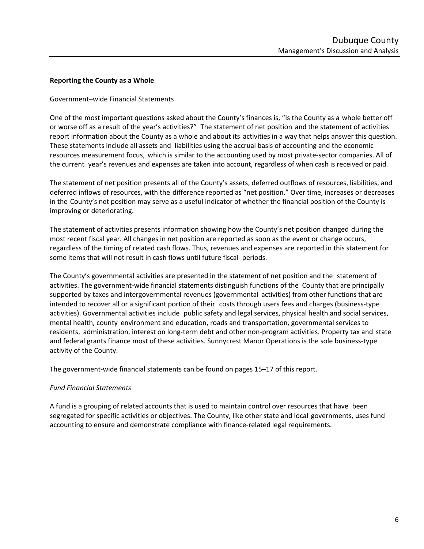## **Reporting the County as a Whole**

## Government–wide Financial Statements

One of the most important questions asked about the County's finances is, "Is the County as a whole better off or worse off as a result of the year's activities?" The statement of net position and the statement of activities report information about the County as a whole and about its activities in a way that helps answer this question. These statements include all assets and liabilities using the accrual basis of accounting and the economic resources measurement focus, which is similar to the accounting used by most private‐sector companies. All of the current year's revenues and expenses are taken into account, regardless of when cash is received or paid.

The statement of net position presents all of the County's assets, deferred outflows of resources, liabilities, and deferred inflows of resources, with the difference reported as "net position." Over time, increases or decreases in the County's net position may serve as a useful indicator of whether the financial position of the County is improving or deteriorating.

The statement of activities presents information showing how the County's net position changed during the most recent fiscal year. All changes in net position are reported as soon as the event or change occurs, regardless of the timing of related cash flows. Thus, revenues and expenses are reported in this statement for some items that will not result in cash flows until future fiscal periods.

The County's governmental activities are presented in the statement of net position and the statement of activities. The government‐wide financial statements distinguish functions of the County that are principally supported by taxes and intergovernmental revenues (governmental activities) from other functions that are intended to recover all or a significant portion of their costs through users fees and charges (business‐type activities). Governmental activities include public safety and legal services, physical health and social services, mental health, county environment and education, roads and transportation, governmental services to residents, administration, interest on long-term debt and other non-program activities. Property tax and state and federal grants finance most of these activities. Sunnycrest Manor Operations is the sole business-type activity of the County.

The government‐wide financial statements can be found on pages 15–17 of this report.

# *Fund Financial Statements*

A fund is a grouping of related accounts that is used to maintain control over resources that have been segregated for specific activities or objectives. The County, like other state and local governments, uses fund accounting to ensure and demonstrate compliance with finance-related legal requirements.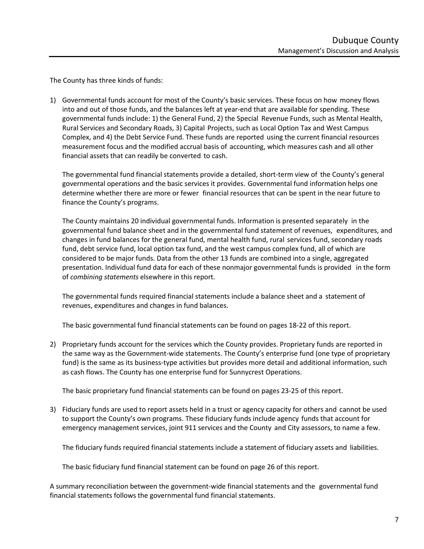The County has three kinds of funds:

1) Governmental funds account for most of the County's basic services. These focus on how money flows into and out of those funds, and the balances left at year‐end that are available for spending. These governmental funds include: 1) the General Fund, 2) the Special Revenue Funds, such as Mental Health, Rural Services and Secondary Roads, 3) Capital Projects, such as Local Option Tax and West Campus Complex, and 4) the Debt Service Fund. These funds are reported using the current financial resources measurement focus and the modified accrual basis of accounting, which measures cash and all other financial assets that can readily be converted to cash.

The governmental fund financial statements provide a detailed, short‐term view of the County's general governmental operations and the basic services it provides. Governmental fund information helps one determine whether there are more or fewer financial resources that can be spent in the near future to finance the County's programs.

The County maintains 20 individual governmental funds. Information is presented separately in the governmental fund balance sheet and in the governmental fund statement of revenues, expenditures, and changes in fund balances for the general fund, mental health fund, rural services fund, secondary roads fund, debt service fund, local option tax fund, and the west campus complex fund, all of which are considered to be major funds. Data from the other 13 funds are combined into a single, aggregated presentation. Individual fund data for each of these nonmajor governmental funds is provided in the form of *combining statements* elsewhere in this report.

The governmental funds required financial statements include a balance sheet and a statement of revenues, expenditures and changes in fund balances.

The basic governmental fund financial statements can be found on pages 18‐22 of this report.

2) Proprietary funds account for the services which the County provides. Proprietary funds are reported in the same way as the Government‐wide statements. The County's enterprise fund (one type of proprietary fund) is the same as its business-type activities but provides more detail and additional information, such as cash flows. The County has one enterprise fund for Sunnycrest Operations.

The basic proprietary fund financial statements can be found on pages 23‐25 of this report.

3) Fiduciary funds are used to report assets held in a trust or agency capacity for others and cannot be used to support the County's own programs. These fiduciary funds include agency funds that account for emergency management services, joint 911 services and the County and City assessors, to name a few.

The fiduciary funds required financial statements include a statement of fiduciary assets and liabilities.

The basic fiduciary fund financial statement can be found on page 26 of this report.

A summary reconciliation between the government‐wide financial statements and the governmental fund financial statements follows the governmental fund financial statements.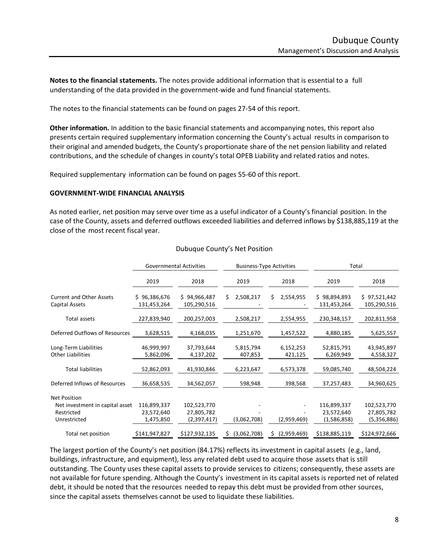**Notes to the financial statements.** The notes provide additional information that is essential to a full understanding of the data provided in the government‐wide and fund financial statements.

The notes to the financial statements can be found on pages 27‐54 of this report.

**Other information.** In addition to the basic financial statements and accompanying notes, this report also presents certain required supplementary information concerning the County's actual results in comparison to their original and amended budgets, the County's proportionate share of the net pension liability and related contributions, and the schedule of changes in county's total OPEB Liability and related ratios and notes.

Required supplementary information can be found on pages 55‐60 of this report.

## **GOVERNMENT‐WIDE FINANCIAL ANALYSIS**

As noted earlier, net position may serve over time as a useful indicator of a County's financial position. In the case of the County, assets and deferred outflows exceeded liabilities and deferred inflows by \$138,885,119 at the close of the most recent fiscal year.

|                                                   |                             | <b>Governmental Activities</b> |                      | <b>Business-Type Activities</b> | Total                       |                             |  |  |
|---------------------------------------------------|-----------------------------|--------------------------------|----------------------|---------------------------------|-----------------------------|-----------------------------|--|--|
|                                                   | 2019                        | 2018                           | 2019                 | 2018                            | 2019                        | 2018                        |  |  |
| Current and Other Assets<br>Capital Assets        | \$96,386,676<br>131,453,264 | \$94,966,487<br>105,290,516    | 2,508,217<br>S.      | \$<br>2,554,955                 | \$98,894,893<br>131,453,264 | \$97,521,442<br>105,290,516 |  |  |
| Total assets                                      | 227,839,940                 | 200,257,003                    | 2,508,217            | 2,554,955                       | 230,348,157                 | 202,811,958                 |  |  |
| Deferred Outflows of Resources                    | 3,628,515                   | 4,168,035                      | 1,251,670            | 1,457,522                       | 4,880,185                   | 5,625,557                   |  |  |
| Long-Term Liabilities<br><b>Other Liabilities</b> | 46,999,997<br>5,862,096     | 37,793,644<br>4,137,202        | 5,815,794<br>407,853 | 6,152,253<br>421,125            | 52,815,791<br>6,269,949     | 43,945,897<br>4,558,327     |  |  |
| <b>Total liabilities</b>                          | 52,862,093                  | 41,930,846                     | 6,223,647            | 6,573,378                       | 59,085,740                  | 48,504,224                  |  |  |
| Deferred Inflows of Resources                     | 36,658,535                  | 34,562,057                     | 598,948              | 398,568                         | 37,257,483                  | 34,960,625                  |  |  |
| <b>Net Position</b>                               |                             |                                |                      |                                 |                             |                             |  |  |
| Net investment in capital asset                   | 116,899,337                 | 102,523,770                    |                      |                                 | 116,899,337                 | 102,523,770                 |  |  |
| Restricted                                        | 23,572,640                  | 27,805,782                     |                      |                                 | 23,572,640                  | 27,805,782                  |  |  |
| Unrestricted                                      | 1,475,850                   | (2,397,417)                    | (3,062,708)          | (2,959,469)                     | (1,586,858)                 | (5,356,886)                 |  |  |
| Total net position                                | \$141,947,827               | \$127,932,135                  | (3,062,708)<br>S.    | (2,959,469)<br>S.               | \$138,885,119               | \$124,972,666               |  |  |

#### Dubuque County's Net Position

The largest portion of the County's net position (84.17%) reflects its investment in capital assets (e.g., land, buildings, infrastructure, and equipment), less any related debt used to acquire those assets that is still outstanding. The County uses these capital assets to provide services to citizens; consequently, these assets are not available for future spending. Although the County's investment in its capital assets is reported net of related debt, it should be noted that the resources needed to repay this debt must be provided from other sources, since the capital assets themselves cannot be used to liquidate these liabilities.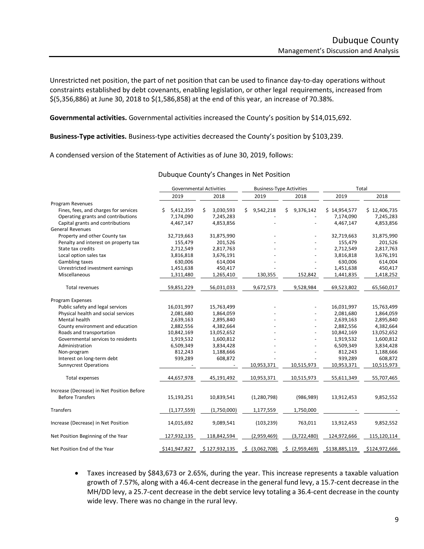Unrestricted net position, the part of net position that can be used to finance day‐to‐day operations without constraints established by debt covenants, enabling legislation, or other legal requirements, increased from \$(5,356,886) at June 30, 2018 to \$(1,586,858) at the end of this year, an increase of 70.38%.

**Governmental activities.** Governmental activities increased the County's position by \$14,015,692.

**Business‐Type activities.** Business‐type activities decreased the County's position by \$103,239.

A condensed version of the Statement of Activities as of June 30, 2019, follows:

|                                            |                 | <b>Governmental Activities</b> |                   | <b>Business-Type Activities</b> | Total         |               |  |
|--------------------------------------------|-----------------|--------------------------------|-------------------|---------------------------------|---------------|---------------|--|
|                                            | 2019            | 2018                           | 2019              | 2018                            | 2019          | 2018          |  |
| <b>Program Revenues</b>                    |                 |                                |                   |                                 |               |               |  |
| Fines, fees, and charges for services      | 5,412,359<br>Ś. | 3,030,593<br>\$                | \$9,542,218       | 9,376,142<br>\$                 | \$14,954,577  | \$12,406,735  |  |
| Operating grants and contributions         | 7,174,090       | 7,245,283                      |                   |                                 | 7,174,090     | 7,245,283     |  |
| Capital grants and contributions           | 4,467,147       | 4,853,856                      |                   |                                 | 4,467,147     | 4,853,856     |  |
| <b>General Revenues</b>                    |                 |                                |                   |                                 |               |               |  |
| Property and other County tax              | 32,719,663      | 31,875,990                     |                   |                                 | 32,719,663    | 31,875,990    |  |
| Penalty and interest on property tax       | 155,479         | 201,526                        |                   |                                 | 155,479       | 201,526       |  |
| State tax credits                          | 2,712,549       | 2,817,763                      |                   |                                 | 2,712,549     | 2,817,763     |  |
| Local option sales tax                     | 3,816,818       | 3,676,191                      |                   |                                 | 3,816,818     | 3,676,191     |  |
| Gambling taxes                             | 630,006         | 614,004                        |                   |                                 | 630,006       | 614,004       |  |
| Unrestricted investment earnings           | 1,451,638       | 450,417                        |                   |                                 | 1,451,638     | 450,417       |  |
| Miscellaneous                              | 1,311,480       | 1,265,410                      | 130,355           | 152,842                         | 1,441,835     | 1,418,252     |  |
| Total revenues                             | 59,851,229      | 56,031,033                     | 9,672,573         | 9,528,984                       | 69,523,802    | 65,560,017    |  |
| Program Expenses                           |                 |                                |                   |                                 |               |               |  |
| Public safety and legal services           | 16,031,997      | 15,763,499                     |                   |                                 | 16,031,997    | 15,763,499    |  |
| Physical health and social services        | 2,081,680       | 1,864,059                      |                   |                                 | 2,081,680     | 1,864,059     |  |
| Mental health                              | 2,639,163       | 2,895,840                      |                   |                                 | 2,639,163     | 2,895,840     |  |
| County environment and education           | 2,882,556       | 4,382,664                      |                   |                                 | 2,882,556     | 4,382,664     |  |
| Roads and transportation                   | 10,842,169      | 13,052,652                     |                   |                                 | 10,842,169    | 13,052,652    |  |
| Governmental services to residents         | 1,919,532       | 1,600,812                      |                   |                                 | 1,919,532     | 1,600,812     |  |
| Administration                             | 6,509,349       | 3,834,428                      |                   |                                 | 6,509,349     | 3,834,428     |  |
| Non-program                                | 812,243         | 1,188,666                      |                   |                                 | 812,243       | 1,188,666     |  |
| Interest on long-term debt                 | 939,289         | 608,872                        |                   |                                 | 939,289       | 608,872       |  |
| <b>Sunnycrest Operations</b>               |                 |                                | 10,953,371        | 10,515,973                      | 10,953,371    | 10,515,973    |  |
| <b>Total expenses</b>                      | 44,657,978      | 45,191,492                     | 10,953,371        | 10,515,973                      | 55,611,349    | 55,707,465    |  |
| Increase (Decrease) in Net Position Before |                 |                                |                   |                                 |               |               |  |
| <b>Before Transfers</b>                    | 15,193,251      | 10,839,541                     | (1, 280, 798)     | (986, 989)                      | 13,912,453    | 9,852,552     |  |
| <b>Transfers</b>                           | (1, 177, 559)   | (1,750,000)                    | 1,177,559         | 1,750,000                       |               |               |  |
| Increase (Decrease) in Net Position        | 14,015,692      | 9,089,541                      | (103, 239)        | 763,011                         | 13,912,453    | 9,852,552     |  |
| Net Position Beginning of the Year         | 127,932,135     | 118,842,594                    | (2,959,469)       | (3,722,480)                     | 124,972,666   | 115,120,114   |  |
| Net Position End of the Year               | \$141,947,827   | \$127,932,135                  | (3,062,708)<br>\$ | \$(2,959,469)                   | \$138,885,119 | \$124,972,666 |  |

#### Dubuque County's Changes in Net Position

 Taxes increased by \$843,673 or 2.65%, during the year. This increase represents a taxable valuation growth of 7.57%, along with a 46.4‐cent decrease in the general fund levy, a 15.7‐cent decrease in the MH/DD levy, a 25.7‐cent decrease in the debt service levy totaling a 36.4‐cent decrease in the county wide levy. There was no change in the rural levy.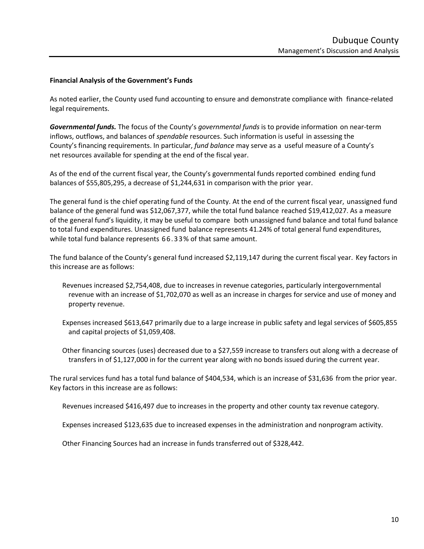## **Financial Analysis of the Government's Funds**

As noted earlier, the County used fund accounting to ensure and demonstrate compliance with finance‐related legal requirements.

*Governmental funds.* The focus of the County's *governmental funds* is to provide information on near‐term inflows, outflows, and balances of *spendable* resources. Such information is useful in assessing the County's financing requirements. In particular, *fund balance* may serve as a useful measure of a County's net resources available for spending at the end of the fiscal year.

As of the end of the current fiscal year, the County's governmental funds reported combined ending fund balances of \$55,805,295, a decrease of \$1,244,631 in comparison with the prior year.

The general fund is the chief operating fund of the County. At the end of the current fiscal year, unassigned fund balance of the general fund was \$12,067,377, while the total fund balance reached \$19,412,027. As a measure of the general fund's liquidity, it may be useful to compare both unassigned fund balance and total fund balance to total fund expenditures. Unassigned fund balance represents 41.24% of total general fund expenditures, while total fund balance represents 6 6. 3 3% of that same amount.

The fund balance of the County's general fund increased \$2,119,147 during the current fiscal year. Key factors in this increase are as follows:

- Revenues increased \$2,754,408, due to increases in revenue categories, particularly intergovernmental revenue with an increase of \$1,702,070 as well as an increase in charges for service and use of money and property revenue.
- Expenses increased \$613,647 primarily due to a large increase in public safety and legal services of \$605,855 and capital projects of \$1,059,408.

Other financing sources (uses) decreased due to a \$27,559 increase to transfers out along with a decrease of transfers in of \$1,127,000 in for the current year along with no bonds issued during the current year.

The rural services fund has a total fund balance of \$404,534, which is an increase of \$31,636 from the prior year. Key factors in this increase are as follows:

Revenues increased \$416,497 due to increases in the property and other county tax revenue category.

Expenses increased \$123,635 due to increased expenses in the administration and nonprogram activity.

Other Financing Sources had an increase in funds transferred out of \$328,442.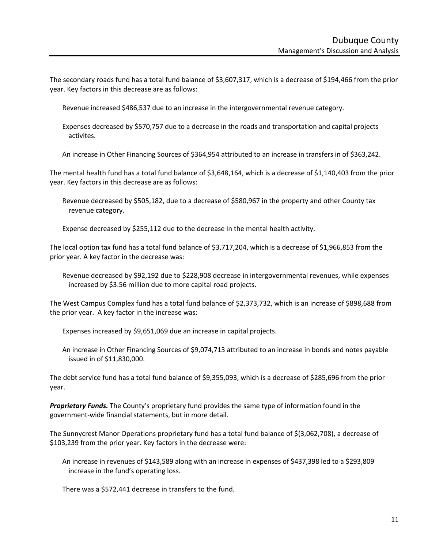The secondary roads fund has a total fund balance of \$3,607,317, which is a decrease of \$194,466 from the prior year. Key factors in this decrease are as follows:

Revenue increased \$486,537 due to an increase in the intergovernmental revenue category.

Expenses decreased by \$570,757 due to a decrease in the roads and transportation and capital projects activites.

An increase in Other Financing Sources of \$364,954 attributed to an increase in transfers in of \$363,242.

The mental health fund has a total fund balance of \$3,648,164, which is a decrease of \$1,140,403 from the prior year. Key factors in this decrease are as follows:

Revenue decreased by \$505,182, due to a decrease of \$580,967 in the property and other County tax revenue category.

Expense decreased by \$255,112 due to the decrease in the mental health activity.

The local option tax fund has a total fund balance of \$3,717,204, which is a decrease of \$1,966,853 from the prior year. A key factor in the decrease was:

Revenue decreased by \$92,192 due to \$228,908 decrease in intergovernmental revenues, while expenses increased by \$3.56 million due to more capital road projects.

The West Campus Complex fund has a total fund balance of \$2,373,732, which is an increase of \$898,688 from the prior year. A key factor in the increase was:

Expenses increased by \$9,651,069 due an increase in capital projects.

An increase in Other Financing Sources of \$9,074,713 attributed to an increase in bonds and notes payable issued in of \$11,830,000.

The debt service fund has a total fund balance of \$9,355,093, which is a decrease of \$285,696 from the prior year.

*Proprietary Funds.* The County's proprietary fund provides the same type of information found in the government‐wide financial statements, but in more detail.

The Sunnycrest Manor Operations proprietary fund has a total fund balance of \$(3,062,708), a decrease of \$103,239 from the prior year. Key factors in the decrease were:

An increase in revenues of \$143,589 along with an increase in expenses of \$437,398 led to a \$293,809 increase in the fund's operating loss.

There was a \$572,441 decrease in transfers to the fund.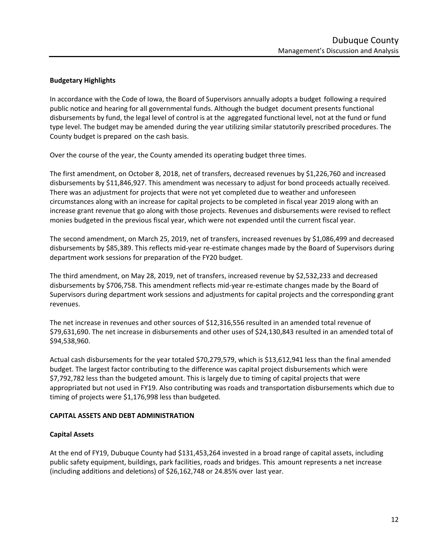# **Budgetary Highlights**

In accordance with the Code of Iowa, the Board of Supervisors annually adopts a budget following a required public notice and hearing for all governmental funds. Although the budget document presents functional disbursements by fund, the legal level of control is at the aggregated functional level, not at the fund or fund type level. The budget may be amended during the year utilizing similar statutorily prescribed procedures. The County budget is prepared on the cash basis.

Over the course of the year, the County amended its operating budget three times.

The first amendment, on October 8, 2018, net of transfers, decreased revenues by \$1,226,760 and increased disbursements by \$11,846,927. This amendment was necessary to adjust for bond proceeds actually received. There was an adjustment for projects that were not yet completed due to weather and unforeseen circumstances along with an increase for capital projects to be completed in fiscal year 2019 along with an increase grant revenue that go along with those projects. Revenues and disbursements were revised to reflect monies budgeted in the previous fiscal year, which were not expended until the current fiscal year.

The second amendment, on March 25, 2019, net of transfers, increased revenues by \$1,086,499 and decreased disbursements by \$85,389. This reflects mid‐year re‐estimate changes made by the Board of Supervisors during department work sessions for preparation of the FY20 budget.

The third amendment, on May 28, 2019, net of transfers, increased revenue by \$2,532,233 and decreased disbursements by \$706,758. This amendment reflects mid‐year re‐estimate changes made by the Board of Supervisors during department work sessions and adjustments for capital projects and the corresponding grant revenues.

The net increase in revenues and other sources of \$12,316,556 resulted in an amended total revenue of \$79,631,690. The net increase in disbursements and other uses of \$24,130,843 resulted in an amended total of \$94,538,960.

Actual cash disbursements for the year totaled \$70,279,579, which is \$13,612,941 less than the final amended budget. The largest factor contributing to the difference was capital project disbursements which were \$7,792,782 less than the budgeted amount. This is largely due to timing of capital projects that were appropriated but not used in FY19. Also contributing was roads and transportation disbursements which due to timing of projects were \$1,176,998 less than budgeted.

# **CAPITAL ASSETS AND DEBT ADMINISTRATION**

# **Capital Assets**

At the end of FY19, Dubuque County had \$131,453,264 invested in a broad range of capital assets, including public safety equipment, buildings, park facilities, roads and bridges. This amount represents a net increase (including additions and deletions) of \$26,162,748 or 24.85% over last year.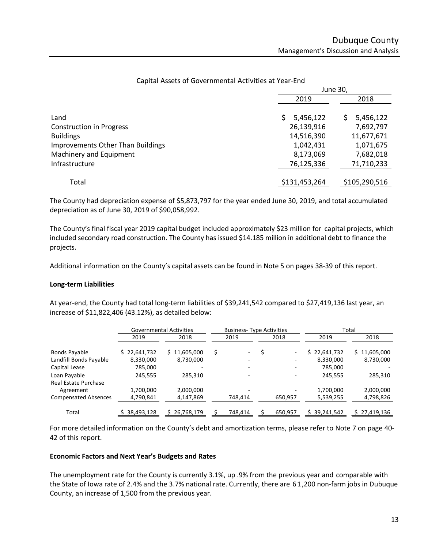June 30,

|                                   | $3011C$ JV,   |                |  |  |  |  |
|-----------------------------------|---------------|----------------|--|--|--|--|
|                                   | 2019          | 2018           |  |  |  |  |
| Land                              | 5,456,122     | 5,456,122<br>S |  |  |  |  |
| <b>Construction in Progress</b>   | 26,139,916    | 7,692,797      |  |  |  |  |
| <b>Buildings</b>                  | 14,516,390    | 11,677,671     |  |  |  |  |
| Improvements Other Than Buildings | 1,042,431     | 1,071,675      |  |  |  |  |
| Machinery and Equipment           | 8,173,069     | 7,682,018      |  |  |  |  |
| Infrastructure                    | 76,125,336    | 71,710,233     |  |  |  |  |
| Total                             | \$131,453,264 | \$105,290,516  |  |  |  |  |

# Capital Assets of Governmental Activities at Year‐End

The County had depreciation expense of \$5,873,797 for the year ended June 30, 2019, and total accumulated depreciation as of June 30, 2019 of \$90,058,992.

The County's final fiscal year 2019 capital budget included approximately \$23 million for capital projects, which included secondary road construction. The County has issued \$14.185 million in additional debt to finance the projects.

Additional information on the County's capital assets can be found in Note 5 on pages 38‐39 of this report.

## **Long‐term Liabilities**

At year‐end, the County had total long‐term liabilities of \$39,241,542 compared to \$27,419,136 last year, an increase of \$11,822,406 (43.12%), as detailed below:

|                             |              | <b>Governmental Activities</b> | <b>Business-Type Activities</b> |                                | Total        |              |  |  |
|-----------------------------|--------------|--------------------------------|---------------------------------|--------------------------------|--------------|--------------|--|--|
|                             | 2019         | 2018                           | 2019                            | 2018                           | 2019         | 2018         |  |  |
| Bonds Payable               | \$22,641,732 | \$11,605,000                   | \$<br>-                         | \$<br>$\overline{\phantom{0}}$ | \$22,641,732 | \$11,605,000 |  |  |
| Landfill Bonds Payable      | 8,330,000    | 8,730,000                      |                                 |                                | 8,330,000    | 8,730,000    |  |  |
| Capital Lease               | 785,000      | -                              |                                 |                                | 785,000      |              |  |  |
| Loan Payable                | 245,555      | 285.310                        |                                 |                                | 245.555      | 285,310      |  |  |
| Real Estate Purchase        |              |                                |                                 |                                |              |              |  |  |
| Agreement                   | 1,700,000    | 2,000,000                      |                                 |                                | 1,700,000    | 2,000,000    |  |  |
| <b>Compensated Absences</b> | 4,790,841    | 4,147,869                      | 748,414                         | 650,957                        | 5,539,255    | 4,798,826    |  |  |
|                             |              |                                |                                 |                                |              |              |  |  |
| Total                       | 38,493,128   | \$26,768,179                   | 748,414                         | 650,957                        | \$39,241,542 | \$27,419,136 |  |  |

For more detailed information on the County's debt and amortization terms, please refer to Note 7 on page 40‐ 42 of this report.

## **Economic Factors and Next Year's Budgets and Rates**

The unemployment rate for the County is currently 3.1%, up .9% from the previous year and comparable with the State of Iowa rate of 2.4% and the 3.7% national rate. Currently, there are 61,200 non-farm jobs in Dubuque County, an increase of 1,500 from the previous year.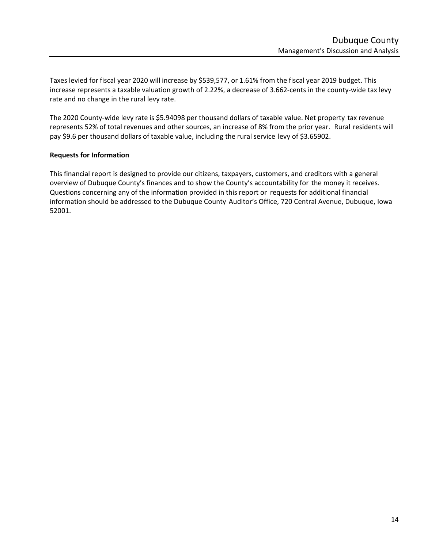Taxes levied for fiscal year 2020 will increase by \$539,577, or 1.61% from the fiscal year 2019 budget. This increase represents a taxable valuation growth of 2.22%, a decrease of 3.662-cents in the county-wide tax levy rate and no change in the rural levy rate.

The 2020 County‐wide levy rate is \$5.94098 per thousand dollars of taxable value. Net property tax revenue represents 52% of total revenues and other sources, an increase of 8% from the prior year. Rural residents will pay \$9.6 per thousand dollars of taxable value, including the rural service levy of \$3.65902.

# **Requests for Information**

This financial report is designed to provide our citizens, taxpayers, customers, and creditors with a general overview of Dubuque County's finances and to show the County's accountability for the money it receives. Questions concerning any of the information provided in this report or requests for additional financial information should be addressed to the Dubuque County Auditor's Office, 720 Central Avenue, Dubuque, Iowa 52001.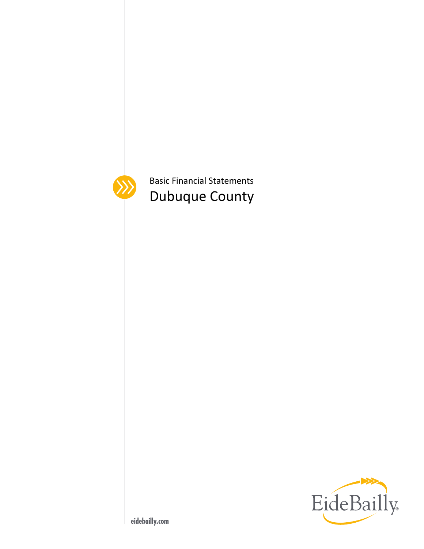

Basic Financial Statements Dubuque County

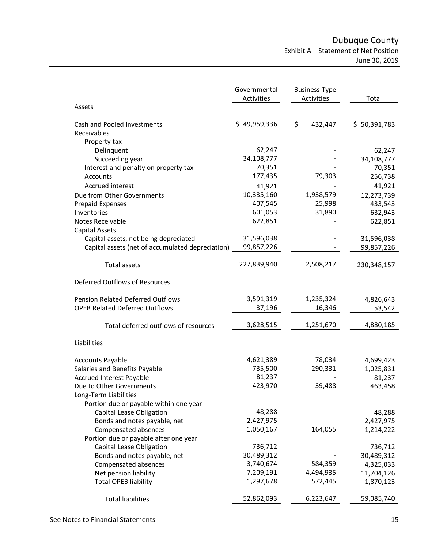# Dubuque County Exhibit A – Statement of Net Position June 30, 2019

|                                                  | Governmental<br>Activities | <b>Business-Type</b><br>Activities | Total             |
|--------------------------------------------------|----------------------------|------------------------------------|-------------------|
| Assets                                           |                            |                                    |                   |
| Cash and Pooled Investments<br>Receivables       | \$49,959,336               | \$<br>432,447                      | \$50,391,783      |
| Property tax                                     | 62,247                     |                                    |                   |
| Delinquent                                       | 34,108,777                 |                                    | 62,247            |
| Succeeding year                                  | 70,351                     |                                    | 34,108,777        |
| Interest and penalty on property tax<br>Accounts | 177,435                    | 79,303                             | 70,351<br>256,738 |
| <b>Accrued interest</b>                          |                            |                                    |                   |
|                                                  | 41,921                     |                                    | 41,921            |
| Due from Other Governments                       | 10,335,160                 | 1,938,579                          | 12,273,739        |
| <b>Prepaid Expenses</b>                          | 407,545                    | 25,998                             | 433,543           |
| Inventories                                      | 601,053                    | 31,890                             | 632,943           |
| <b>Notes Receivable</b>                          | 622,851                    |                                    | 622,851           |
| <b>Capital Assets</b>                            |                            |                                    |                   |
| Capital assets, not being depreciated            | 31,596,038                 |                                    | 31,596,038        |
| Capital assets (net of accumulated depreciation) | 99,857,226                 |                                    | 99,857,226        |
| <b>Total assets</b>                              | 227,839,940                | 2,508,217                          | 230,348,157       |
| Deferred Outflows of Resources                   |                            |                                    |                   |
| <b>Pension Related Deferred Outflows</b>         | 3,591,319                  | 1,235,324                          | 4,826,643         |
| <b>OPEB Related Deferred Outflows</b>            | 37,196                     | 16,346                             | 53,542            |
| Total deferred outflows of resources             | 3,628,515                  | 1,251,670                          | 4,880,185         |
| Liabilities                                      |                            |                                    |                   |
| <b>Accounts Payable</b>                          | 4,621,389                  | 78,034                             | 4,699,423         |
| Salaries and Benefits Payable                    | 735,500                    | 290,331                            | 1,025,831         |
| Accrued Interest Payable                         | 81,237                     |                                    | 81,237            |
| Due to Other Governments                         | 423,970                    | 39,488                             | 463,458           |
| Long-Term Liabilities                            |                            |                                    |                   |
| Portion due or payable within one year           |                            |                                    |                   |
| Capital Lease Obligation                         | 48,288                     |                                    | 48,288            |
| Bonds and notes payable, net                     | 2,427,975                  |                                    | 2,427,975         |
| Compensated absences                             | 1,050,167                  | 164,055                            | 1,214,222         |
| Portion due or payable after one year            |                            |                                    |                   |
| Capital Lease Obligation                         | 736,712                    |                                    | 736,712           |
| Bonds and notes payable, net                     | 30,489,312                 |                                    | 30,489,312        |
| Compensated absences                             | 3,740,674                  | 584,359                            | 4,325,033         |
| Net pension liability                            | 7,209,191                  | 4,494,935                          | 11,704,126        |
| <b>Total OPEB liability</b>                      | 1,297,678                  | 572,445                            | 1,870,123         |
| <b>Total liabilities</b>                         | 52,862,093                 | 6,223,647                          | 59,085,740        |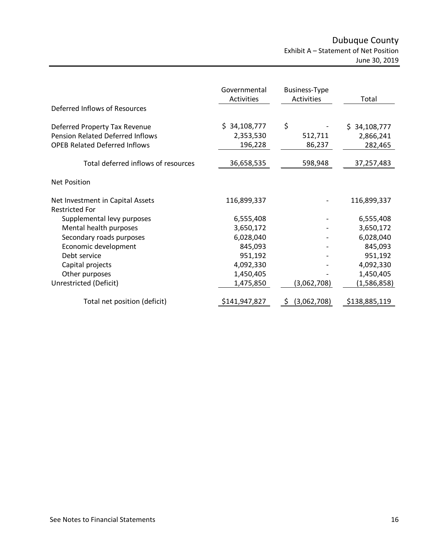|                                                                          | Governmental<br><b>Activities</b> | <b>Business-Type</b><br>Activities | Total                |  |
|--------------------------------------------------------------------------|-----------------------------------|------------------------------------|----------------------|--|
| Deferred Inflows of Resources                                            |                                   |                                    |                      |  |
| Deferred Property Tax Revenue                                            | \$34,108,777                      | \$                                 | 34,108,777<br>S.     |  |
| Pension Related Deferred Inflows<br><b>OPEB Related Deferred Inflows</b> | 2,353,530<br>196,228              | 512,711<br>86,237                  | 2,866,241<br>282,465 |  |
|                                                                          |                                   |                                    |                      |  |
| Total deferred inflows of resources                                      | 36,658,535                        | 598,948                            | 37,257,483           |  |
| <b>Net Position</b>                                                      |                                   |                                    |                      |  |
| Net Investment in Capital Assets<br><b>Restricted For</b>                | 116,899,337                       |                                    | 116,899,337          |  |
| Supplemental levy purposes                                               | 6,555,408                         |                                    | 6,555,408            |  |
| Mental health purposes                                                   | 3,650,172                         |                                    | 3,650,172            |  |
| Secondary roads purposes                                                 | 6,028,040                         |                                    | 6,028,040            |  |
| Economic development                                                     | 845,093                           |                                    | 845,093              |  |
| Debt service                                                             | 951,192                           |                                    | 951,192              |  |
| Capital projects                                                         | 4,092,330                         |                                    | 4,092,330            |  |
| Other purposes                                                           | 1,450,405                         |                                    | 1,450,405            |  |
| Unrestricted (Deficit)                                                   | 1,475,850                         | (3,062,708)                        | (1,586,858)          |  |
| Total net position (deficit)                                             | \$141,947,827                     | (3,062,708)<br>S                   | \$138,885,119        |  |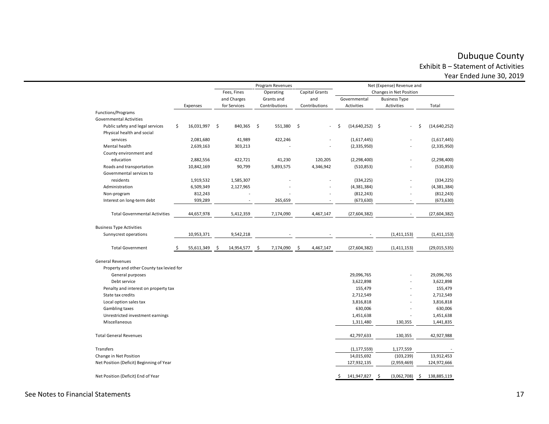# Dubuque County Exhibit B – Statement of Activities Year Ended June 30, 2019

|                                          |                  |     | Program Revenues                           |    |               |     |                         |              | Net (Expense) Revenue and |                      |               |    |                |
|------------------------------------------|------------------|-----|--------------------------------------------|----|---------------|-----|-------------------------|--------------|---------------------------|----------------------|---------------|----|----------------|
|                                          |                  |     | Fees, Fines<br>Capital Grants<br>Operating |    |               |     | Changes in Net Position |              |                           |                      |               |    |                |
|                                          |                  |     | and Charges                                |    | Grants and    |     | and                     | Governmental |                           | <b>Business Type</b> |               |    |                |
|                                          | Expenses         |     | for Services                               |    | Contributions |     | Contributions           |              | Activities                |                      | Activities    |    | Total          |
| Functions/Programs                       |                  |     |                                            |    |               |     |                         |              |                           |                      |               |    |                |
| <b>Governmental Activities</b>           |                  |     |                                            |    |               |     |                         |              |                           |                      |               |    |                |
| Public safety and legal services         | \$<br>16,031,997 | -\$ | 840,365                                    | \$ | 551,380       | -\$ |                         | \$           | $(14,640,252)$ \$         |                      |               | \$ | (14, 640, 252) |
| Physical health and social               |                  |     |                                            |    |               |     |                         |              |                           |                      |               |    |                |
| services                                 | 2,081,680        |     | 41,989                                     |    | 422,246       |     |                         |              | (1,617,445)               |                      |               |    | (1,617,445)    |
| Mental health                            | 2,639,163        |     | 303,213                                    |    |               |     |                         |              | (2,335,950)               |                      |               |    | (2,335,950)    |
| County environment and                   |                  |     |                                            |    |               |     |                         |              |                           |                      |               |    |                |
| education                                | 2,882,556        |     | 422,721                                    |    | 41,230        |     | 120,205                 |              | (2, 298, 400)             |                      |               |    | (2, 298, 400)  |
| Roads and transportation                 | 10,842,169       |     | 90,799                                     |    | 5,893,575     |     | 4,346,942               |              | (510, 853)                |                      |               |    | (510, 853)     |
| Governmental services to                 |                  |     |                                            |    |               |     |                         |              |                           |                      |               |    |                |
| residents                                | 1,919,532        |     | 1,585,307                                  |    |               |     |                         |              | (334, 225)                |                      |               |    | (334, 225)     |
| Administration                           | 6,509,349        |     | 2,127,965                                  |    |               |     |                         |              | (4, 381, 384)             |                      |               |    | (4, 381, 384)  |
| Non-program                              | 812,243          |     |                                            |    |               |     |                         |              | (812, 243)                |                      |               |    | (812, 243)     |
| Interest on long-term debt               | 939,289          |     |                                            |    | 265,659       |     |                         |              | (673, 630)                |                      |               |    | (673, 630)     |
|                                          |                  |     |                                            |    |               |     |                         |              |                           |                      |               |    |                |
| <b>Total Governmental Activities</b>     | 44,657,978       |     | 5,412,359                                  |    | 7,174,090     |     | 4,467,147               |              | (27, 604, 382)            |                      |               |    | (27, 604, 382) |
|                                          |                  |     |                                            |    |               |     |                         |              |                           |                      |               |    |                |
| <b>Business Type Activities</b>          |                  |     |                                            |    |               |     |                         |              |                           |                      |               |    |                |
| Sunnycrest operations                    | 10,953,371       |     | 9,542,218                                  |    |               |     |                         |              |                           |                      | (1,411,153)   |    | (1,411,153)    |
|                                          |                  |     |                                            |    |               |     |                         |              |                           |                      |               |    |                |
| <b>Total Government</b>                  | 55,611,349<br>Ŝ  |     | -\$<br>14,954,577                          | \$ | 7,174,090     | \$  | 4,467,147               |              | (27, 604, 382)            |                      | (1, 411, 153) |    | (29, 015, 535) |
|                                          |                  |     |                                            |    |               |     |                         |              |                           |                      |               |    |                |
| <b>General Revenues</b>                  |                  |     |                                            |    |               |     |                         |              |                           |                      |               |    |                |
| Property and other County tax levied for |                  |     |                                            |    |               |     |                         |              |                           |                      |               |    |                |
| General purposes                         |                  |     |                                            |    |               |     |                         |              | 29,096,765                |                      |               |    | 29,096,765     |
| Debt service                             |                  |     |                                            |    |               |     |                         |              | 3,622,898                 |                      |               |    | 3,622,898      |
| Penalty and interest on property tax     |                  |     |                                            |    |               |     |                         |              | 155,479                   |                      |               |    | 155,479        |
| State tax credits                        |                  |     |                                            |    |               |     |                         |              | 2,712,549                 |                      |               |    | 2,712,549      |
| Local option sales tax                   |                  |     |                                            |    |               |     |                         |              | 3,816,818                 |                      |               |    | 3,816,818      |
| Gambling taxes                           |                  |     |                                            |    |               |     |                         |              | 630,006                   |                      |               |    | 630,006        |
| Unrestricted investment earnings         |                  |     |                                            |    |               |     |                         |              | 1,451,638                 |                      |               |    | 1,451,638      |
| Miscellaneous                            |                  |     |                                            |    |               |     |                         |              | 1,311,480                 |                      | 130,355       |    | 1,441,835      |
| <b>Total General Revenues</b>            |                  |     |                                            |    |               |     |                         |              | 42,797,633                |                      | 130,355       |    | 42,927,988     |
|                                          |                  |     |                                            |    |               |     |                         |              |                           |                      |               |    |                |
| Transfers                                |                  |     |                                            |    |               |     |                         |              | (1, 177, 559)             |                      | 1,177,559     |    |                |
| Change in Net Position                   |                  |     |                                            |    |               |     |                         |              | 14,015,692                |                      | (103, 239)    |    | 13,912,453     |
| Net Position (Deficit) Beginning of Year |                  |     |                                            |    |               |     |                         |              | 127,932,135               |                      | (2,959,469)   |    | 124,972,666    |
| Net Position (Deficit) End of Year       |                  |     |                                            |    |               |     |                         | \$           | 141,947,827               | -\$                  | (3,062,708)   | \$ | 138,885,119    |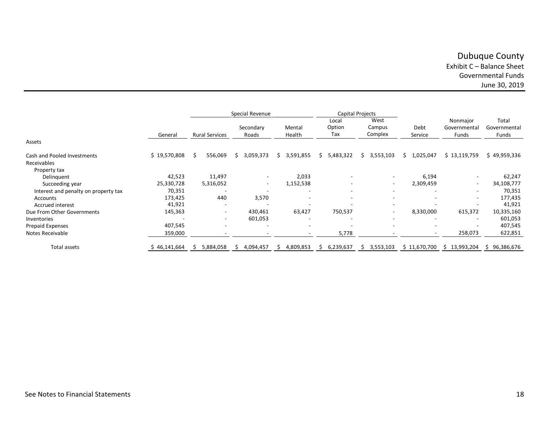# Dubuque County Exhibit C – Balance Sheet Governmental Funds June 30, 2019

|                                            |              | Special Revenue |                          |    | Capital Projects         |    |                  |    |                          |    |                           |    |                 |                                   |                                |
|--------------------------------------------|--------------|-----------------|--------------------------|----|--------------------------|----|------------------|----|--------------------------|----|---------------------------|----|-----------------|-----------------------------------|--------------------------------|
|                                            | General      |                 | <b>Rural Services</b>    |    | Secondary<br>Roads       |    | Mental<br>Health |    | Local<br>Option<br>Tax   |    | West<br>Campus<br>Complex |    | Debt<br>Service | Nonmajor<br>Governmental<br>Funds | Total<br>Governmental<br>Funds |
| Assets                                     |              |                 |                          |    |                          |    |                  |    |                          |    |                           |    |                 |                                   |                                |
| Cash and Pooled Investments<br>Receivables | \$19,570,808 | <b>S</b>        | 556,069                  | S. | 3,059,373                | S. | 3,591,855        | S. | 5,483,322                | S. | 3,553,103                 | S. | 1,025,047       | \$13,119,759                      | \$49,959,336                   |
| Property tax                               |              |                 |                          |    |                          |    |                  |    |                          |    |                           |    |                 |                                   |                                |
| Delinguent                                 | 42,523       |                 | 11,497                   |    | $\overline{\phantom{a}}$ |    | 2,033            |    |                          |    | $\overline{\phantom{a}}$  |    | 6,194           | $\sim$                            | 62,247                         |
| Succeeding year                            | 25,330,728   |                 | 5,316,052                |    | $\sim$                   |    | 1,152,538        |    | ۰                        |    | $\overline{\phantom{a}}$  |    | 2,309,459       | $\sim$                            | 34,108,777                     |
| Interest and penalty on property tax       | 70,351       |                 | $\overline{\phantom{a}}$ |    | $\overline{\phantom{a}}$ |    |                  |    | ۰.                       |    | $\overline{\phantom{a}}$  |    |                 | $\sim$                            | 70,351                         |
| Accounts                                   | 173,425      |                 | 440                      |    | 3,570                    |    |                  |    | $\overline{\phantom{a}}$ |    | $\overline{\phantom{a}}$  |    |                 | $\sim$                            | 177,435                        |
| Accrued interest                           | 41,921       |                 |                          |    | ۰.                       |    |                  |    |                          |    |                           |    |                 |                                   | 41,921                         |
| Due From Other Governments                 | 145,363      |                 | $\overline{\phantom{a}}$ |    | 430,461                  |    | 63,427           |    | 750,537                  |    | $\overline{\phantom{a}}$  |    | 8,330,000       | 615,372                           | 10,335,160                     |
| Inventories                                |              |                 | $\sim$                   |    | 601,053                  |    |                  |    |                          |    | $\blacksquare$            |    |                 |                                   | 601,053                        |
| Prepaid Expenses                           | 407,545      |                 | $\overline{\phantom{a}}$ |    | $\overline{\phantom{a}}$ |    |                  |    |                          |    | $\overline{\phantom{a}}$  |    |                 |                                   | 407,545                        |
| Notes Receivable                           | 359,000      |                 |                          |    |                          |    |                  |    | 5,778                    |    |                           |    |                 | 258,073                           | 622,851                        |
| Total assets                               | \$46,141,664 | S.              | 5,884,058                | S  | 4,094,457                | -S | 4,809,853        | S. | 6,239,637                |    | \$3,553,103               |    | \$11,670,700    | \$13,993,204                      | \$96,386,676                   |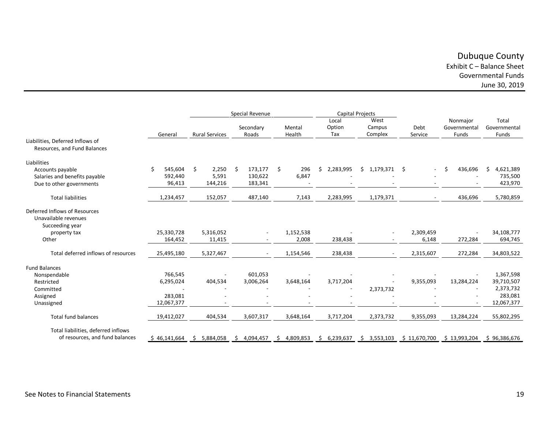# Dubuque County Exhibit C – Balance Sheet Governmental Funds June 30, 2019

|                                                                          |               | Special Revenue       |                          |                  |                  | Capital Projects |              |              |                  |
|--------------------------------------------------------------------------|---------------|-----------------------|--------------------------|------------------|------------------|------------------|--------------|--------------|------------------|
|                                                                          |               |                       |                          |                  | Local            | West             |              | Nonmajor     | Total            |
|                                                                          |               |                       | Secondary                | Mental           | Option           | Campus           | Debt         | Governmental | Governmental     |
|                                                                          | General       | <b>Rural Services</b> | Roads                    | Health           | Tax              | Complex          | Service      | <b>Funds</b> | Funds            |
| Liabilities, Deferred Inflows of<br>Resources, and Fund Balances         |               |                       |                          |                  |                  |                  |              |              |                  |
| Liabilities                                                              |               |                       |                          |                  |                  |                  |              |              |                  |
| Accounts payable                                                         | 545,604<br>\$ | - \$<br>2,250         | 173,177<br>-\$           | \$<br>296        | 2,283,995<br>Ś.  | \$1,179,371      | \$           | Ś<br>436,696 | 4,621,389<br>.\$ |
| Salaries and benefits payable                                            | 592,440       | 5,591                 | 130,622                  | 6,847            |                  |                  |              |              | 735,500          |
| Due to other governments                                                 | 96,413        | 144,216               | 183,341                  |                  |                  |                  |              |              | 423,970          |
| <b>Total liabilities</b>                                                 | 1,234,457     | 152,057               | 487,140                  | 7,143            | 2,283,995        | 1,179,371        | $\sim$       | 436,696      | 5,780,859        |
| Deferred Inflows of Resources<br>Unavailable revenues<br>Succeeding year |               |                       |                          |                  |                  |                  |              |              |                  |
| property tax                                                             | 25,330,728    | 5,316,052             |                          | 1,152,538        |                  |                  | 2,309,459    |              | 34,108,777       |
| Other                                                                    | 164,452       | 11,415                |                          | 2,008            | 238,438          |                  | 6,148        | 272,284      | 694,745          |
| Total deferred inflows of resources                                      | 25,495,180    | 5,327,467             | $\overline{\phantom{a}}$ | 1,154,546        | 238,438          |                  | 2,315,607    | 272,284      | 34,803,522       |
| <b>Fund Balances</b>                                                     |               |                       |                          |                  |                  |                  |              |              |                  |
| Nonspendable                                                             | 766,545       |                       | 601,053                  |                  |                  |                  |              |              | 1,367,598        |
| Restricted                                                               | 6,295,024     | 404,534               | 3,006,264                | 3,648,164        | 3,717,204        |                  | 9,355,093    | 13,284,224   | 39,710,507       |
| Committed                                                                |               |                       |                          |                  |                  | 2,373,732        |              |              | 2,373,732        |
| Assigned                                                                 | 283,081       |                       |                          |                  |                  |                  |              |              | 283,081          |
| Unassigned                                                               | 12,067,377    |                       |                          |                  |                  |                  |              |              | 12,067,377       |
| <b>Total fund balances</b>                                               | 19,412,027    | 404,534               | 3,607,317                | 3,648,164        | 3,717,204        | 2,373,732        | 9,355,093    | 13,284,224   | 55,802,295       |
| Total liabilities, deferred inflows                                      |               |                       |                          |                  |                  |                  |              |              |                  |
| of resources, and fund balances                                          | \$46,141,664  | 5,884,058<br>S.       | 4,094,457                | 4,809,853<br>\$. | 6,239,637<br>\$. | \$3,553,103      | \$11,670,700 | \$13,993,204 | \$96,386,676     |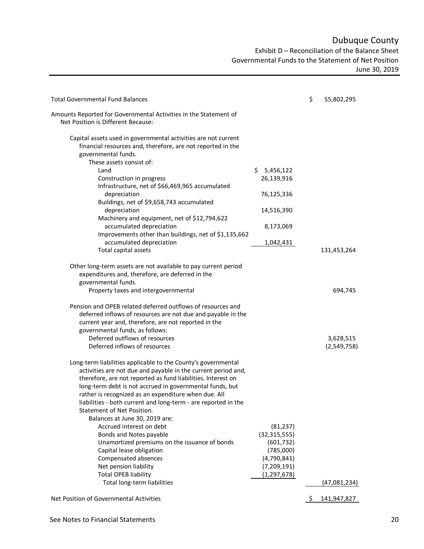Dubuque County

Exhibit D – Reconciliation of the Balance Sheet Governmental Funds to the Statement of Net Position June 30, 2019

| <b>Total Governmental Fund Balances</b>                                                                                                                                                                                                                                                                                                                                                                            |                  | \$ | 55,802,295   |
|--------------------------------------------------------------------------------------------------------------------------------------------------------------------------------------------------------------------------------------------------------------------------------------------------------------------------------------------------------------------------------------------------------------------|------------------|----|--------------|
| Amounts Reported for Governmental Activities in the Statement of<br>Net Position is Different Because:                                                                                                                                                                                                                                                                                                             |                  |    |              |
| Capital assets used in governmental activities are not current<br>financial resources and, therefore, are not reported in the<br>governmental funds.                                                                                                                                                                                                                                                               |                  |    |              |
| These assets consist of:                                                                                                                                                                                                                                                                                                                                                                                           |                  |    |              |
| Land                                                                                                                                                                                                                                                                                                                                                                                                               | \$.<br>5,456,122 |    |              |
| Construction in progress                                                                                                                                                                                                                                                                                                                                                                                           | 26,139,916       |    |              |
| Infrastructure, net of \$66,469,965 accumulated                                                                                                                                                                                                                                                                                                                                                                    |                  |    |              |
| depreciation                                                                                                                                                                                                                                                                                                                                                                                                       | 76,125,336       |    |              |
| Buildings, net of \$9,658,743 accumulated                                                                                                                                                                                                                                                                                                                                                                          |                  |    |              |
| depreciation                                                                                                                                                                                                                                                                                                                                                                                                       | 14,516,390       |    |              |
| Machinery and equipment, net of \$12,794,622                                                                                                                                                                                                                                                                                                                                                                       |                  |    |              |
| accumulated depreciation                                                                                                                                                                                                                                                                                                                                                                                           | 8,173,069        |    |              |
| Improvements other than buildings, net of \$1,135,662                                                                                                                                                                                                                                                                                                                                                              |                  |    |              |
| accumulated depreciation                                                                                                                                                                                                                                                                                                                                                                                           | 1,042,431        |    |              |
| Total capital assets                                                                                                                                                                                                                                                                                                                                                                                               |                  |    | 131,453,264  |
| Other long-term assets are not available to pay current period<br>expenditures and, therefore, are deferred in the                                                                                                                                                                                                                                                                                                 |                  |    |              |
| governmental funds.                                                                                                                                                                                                                                                                                                                                                                                                |                  |    |              |
| Property taxes and intergovernmental                                                                                                                                                                                                                                                                                                                                                                               |                  |    | 694,745      |
| Pension and OPEB related deferred outflows of resources and<br>deferred inflows of resources are not due and payable in the<br>current year and, therefore, are not reported in the<br>governmental funds, as follows:                                                                                                                                                                                             |                  |    |              |
| Deferred outflows of resources                                                                                                                                                                                                                                                                                                                                                                                     |                  |    | 3,628,515    |
| Deferred inflows of resources                                                                                                                                                                                                                                                                                                                                                                                      |                  |    | (2,549,758)  |
| Long-term liabilities applicable to the County's governmental<br>activities are not due and payable in the current period and,<br>therefore, are not reported as fund liabilities. Interest on<br>long-term debt is not accrued in governmental funds, but<br>rather is recognized as an expenditure when due. All<br>liabilities - both current and long-term - are reported in the<br>Statement of Net Position. |                  |    |              |
| Balances at June 30, 2019 are:                                                                                                                                                                                                                                                                                                                                                                                     |                  |    |              |
| Accrued interest on debt                                                                                                                                                                                                                                                                                                                                                                                           | (81, 237)        |    |              |
| Bonds and Notes payable                                                                                                                                                                                                                                                                                                                                                                                            | (32, 315, 555)   |    |              |
| Unamortized premiums on the issuance of bonds                                                                                                                                                                                                                                                                                                                                                                      | (601, 732)       |    |              |
| Capital lease obligation                                                                                                                                                                                                                                                                                                                                                                                           | (785,000)        |    |              |
| Compensated absences                                                                                                                                                                                                                                                                                                                                                                                               | (4,790,841)      |    |              |
| Net pension liability                                                                                                                                                                                                                                                                                                                                                                                              | (7, 209, 191)    |    |              |
| <b>Total OPEB liability</b>                                                                                                                                                                                                                                                                                                                                                                                        | (1, 297, 678)    |    |              |
| Total long-term liabilities                                                                                                                                                                                                                                                                                                                                                                                        |                  |    | (47,081,234) |
| Net Position of Governmental Activities                                                                                                                                                                                                                                                                                                                                                                            |                  | -Ş | 141,947,827  |
|                                                                                                                                                                                                                                                                                                                                                                                                                    |                  |    |              |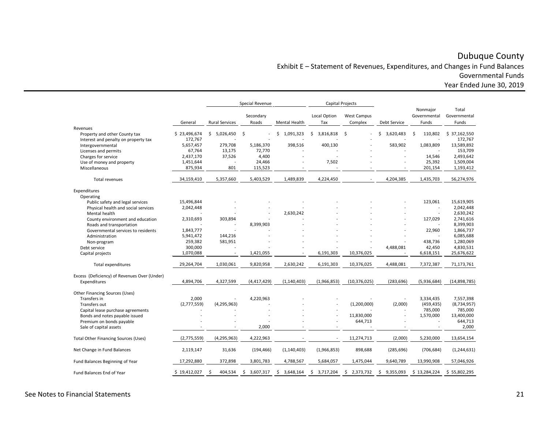# Dubuque County Exhibit E – Statement of Revenues, Expenditures, and Changes in Fund Balances Governmental Funds Year Ended June 30, 2019

|                                              |              | Special Revenue       |                    | Capital Projects     |                     |                               |                 |                                   |                                |
|----------------------------------------------|--------------|-----------------------|--------------------|----------------------|---------------------|-------------------------------|-----------------|-----------------------------------|--------------------------------|
|                                              | General      | <b>Rural Services</b> | Secondary<br>Roads | <b>Mental Health</b> | Local Option<br>Tax | <b>West Campus</b><br>Complex | Debt Service    | Nonmajor<br>Governmental<br>Funds | Total<br>Governmental<br>Funds |
| Revenues                                     |              |                       |                    |                      |                     |                               |                 |                                   |                                |
| Property and other County tax                | \$23,496,674 | \$<br>5,026,450       | \$                 | \$1,091,323          | 3,816,818<br>\$     | -\$                           | \$<br>3,620,483 | \$<br>110,802                     | \$37,162,550                   |
| Interest and penalty on property tax         | 172,767      |                       |                    |                      |                     |                               |                 |                                   | 172,767                        |
| Intergovernmental                            | 5,657,457    | 279,708               | 5,186,370          | 398,516              | 400,130             |                               | 583,902         | 1,083,809                         | 13,589,892                     |
| Licenses and permits                         | 67,764       | 13,175                | 72,770             |                      |                     |                               |                 |                                   | 153,709                        |
| Charges for service                          | 2,437,170    | 37,526                | 4,400              |                      |                     |                               | $\overline{a}$  | 14,546                            | 2,493,642                      |
| Use of money and property                    | 1,451,644    |                       | 24,466             |                      | 7,502               |                               |                 | 25,392                            | 1,509,004                      |
| Miscellaneous                                | 875,934      | 801                   | 115,523            |                      |                     |                               |                 | 201,154                           | 1,193,412                      |
| Total revenues                               | 34,159,410   | 5,357,660             | 5,403,529          | 1,489,839            | 4,224,450           |                               | 4,204,385       | 1,435,703                         | 56,274,976                     |
| Expenditures                                 |              |                       |                    |                      |                     |                               |                 |                                   |                                |
| Operating                                    |              |                       |                    |                      |                     |                               |                 |                                   |                                |
| Public safety and legal services             | 15,496,844   |                       |                    |                      |                     |                               |                 | 123,061                           | 15,619,905                     |
| Physical health and social services          | 2,042,448    |                       |                    |                      |                     |                               |                 |                                   | 2,042,448                      |
| Mental health                                |              |                       |                    | 2,630,242            |                     |                               |                 |                                   | 2,630,242                      |
| County environment and education             | 2,310,693    | 303,894               |                    |                      |                     |                               |                 | 127,029                           | 2,741,616                      |
| Roads and transportation                     |              |                       | 8,399,903          |                      |                     |                               |                 |                                   | 8,399,903                      |
| Governmental services to residents           | 1,843,777    |                       |                    |                      |                     |                               |                 | 22,960                            | 1,866,737                      |
| Administration                               | 5,941,472    | 144,216               |                    |                      |                     |                               |                 |                                   | 6,085,688                      |
| Non-program                                  | 259,382      | 581,951               |                    |                      |                     |                               |                 | 438,736                           | 1,280,069                      |
| Debt service                                 | 300,000      |                       |                    |                      |                     |                               | 4,488,081       | 42,450                            | 4,830,531                      |
| Capital projects                             | 1,070,088    |                       | 1,421,055          |                      | 6,191,303           | 10,376,025                    |                 | 6,618,151                         | 25,676,622                     |
|                                              |              |                       |                    |                      |                     |                               |                 |                                   |                                |
| Total expenditures                           | 29,264,704   | 1,030,061             | 9,820,958          | 2,630,242            | 6,191,303           | 10,376,025                    | 4,488,081       | 7,372,387                         | 71,173,761                     |
| Excess (Deficiency) of Revenues Over (Under) |              |                       |                    |                      |                     |                               |                 |                                   |                                |
| Expenditures                                 | 4,894,706    | 4,327,599             | (4, 417, 429)      | (1, 140, 403)        | (1,966,853)         | (10, 376, 025)                | (283,696)       | (5,936,684)                       | (14,898,785)                   |
| Other Financing Sources (Uses)               |              |                       |                    |                      |                     |                               |                 |                                   |                                |
| Transfers in                                 | 2,000        |                       | 4,220,963          |                      |                     |                               |                 | 3,334,435                         | 7,557,398                      |
| Transfers out                                | (2,777,559)  | (4, 295, 963)         |                    |                      |                     | (1,200,000)                   | (2,000)         | (459, 435)                        | (8,734,957)                    |
| Capital lease purchase agreements            |              |                       |                    |                      |                     |                               |                 | 785,000                           | 785,000                        |
| Bonds and notes payable issued               |              |                       |                    |                      |                     | 11,830,000                    |                 | 1,570,000                         | 13,400,000                     |
| Premium on bonds payable                     |              |                       |                    |                      |                     | 644,713                       |                 |                                   | 644,713                        |
| Sale of capital assets                       |              |                       | 2,000              |                      |                     |                               |                 |                                   | 2,000                          |
| Total Other Financing Sources (Uses)         | (2,775,559)  | (4, 295, 963)         | 4,222,963          |                      |                     | 11,274,713                    | (2,000)         | 5,230,000                         | 13,654,154                     |
| Net Change in Fund Balances                  | 2,119,147    | 31,636                | (194, 466)         | (1, 140, 403)        | (1,966,853)         | 898,688                       | (285, 696)      | (706, 684)                        | (1, 244, 631)                  |
| Fund Balances Beginning of Year              | 17,292,880   | 372,898               | 3,801,783          | 4,788,567            | 5,684,057           | 1,475,044                     | 9,640,789       | 13,990,908                        | 57,046,926                     |
| Fund Balances End of Year                    | \$19,412,027 | Ŝ.<br>404,534         | \$3,607,317        | Ŝ.<br>3,648,164      | Ŝ.<br>3,717,204     | \$<br>2,373,732               | \$<br>9,355,093 | \$13,284,224                      | \$5,802,295                    |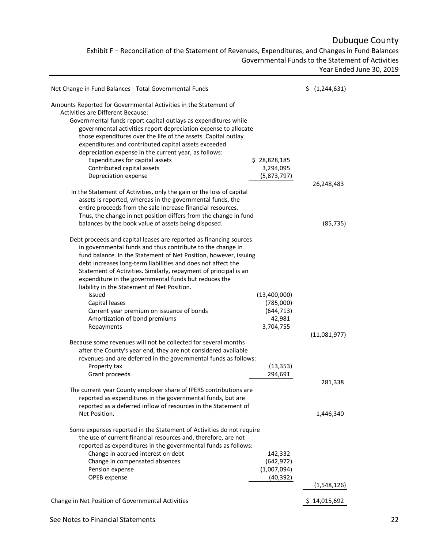# Dubuque County

Exhibit F – Reconciliation of the Statement of Revenues, Expenditures, and Changes in Fund Balances Governmental Funds to the Statement of Activities Year Ended June 30, 2019

| Amounts Reported for Governmental Activities in the Statement of<br><b>Activities are Different Because:</b><br>Governmental funds report capital outlays as expenditures while<br>governmental activities report depreciation expense to allocate<br>those expenditures over the life of the assets. Capital outlay<br>expenditures and contributed capital assets exceeded<br>depreciation expense in the current year, as follows:<br>Expenditures for capital assets<br>\$28,828,185<br>Contributed capital assets<br>3,294,095<br>Depreciation expense<br>(5,873,797)<br>26,248,483<br>In the Statement of Activities, only the gain or the loss of capital<br>assets is reported, whereas in the governmental funds, the<br>entire proceeds from the sale increase financial resources.<br>Thus, the change in net position differs from the change in fund<br>balances by the book value of assets being disposed.<br>(85, 735)<br>Debt proceeds and capital leases are reported as financing sources<br>in governmental funds and thus contribute to the change in<br>fund balance. In the Statement of Net Position, however, issuing<br>debt increases long-term liabilities and does not affect the<br>Statement of Activities. Similarly, repayment of principal is an<br>expenditure in the governmental funds but reduces the<br>liability in the Statement of Net Position.<br>Issued<br>(13,400,000)<br>Capital leases<br>(785,000)<br>Current year premium on issuance of bonds<br>(644, 713)<br>Amortization of bond premiums<br>42,981<br>Repayments<br>3,704,755<br>(11,081,977)<br>Because some revenues will not be collected for several months<br>after the County's year end, they are not considered available<br>revenues and are deferred in the governmental funds as follows:<br>(13, 353)<br>Property tax<br>Grant proceeds<br>294,691<br>281,338<br>The current year County employer share of IPERS contributions are<br>reported as expenditures in the governmental funds, but are<br>reported as a deferred inflow of resources in the Statement of<br>Net Position.<br>1,446,340<br>Some expenses reported in the Statement of Activities do not require<br>the use of current financial resources and, therefore, are not<br>reported as expenditures in the governmental funds as follows:<br>Change in accrued interest on debt<br>142,332<br>Change in compensated absences<br>(642, 972)<br>(1,007,094)<br>Pension expense<br>OPEB expense<br>(40, 392)<br>(1,548,126)<br>\$14,015,692 | Net Change in Fund Balances - Total Governmental Funds | $\frac{1}{2}$ (1,244,631) |
|---------------------------------------------------------------------------------------------------------------------------------------------------------------------------------------------------------------------------------------------------------------------------------------------------------------------------------------------------------------------------------------------------------------------------------------------------------------------------------------------------------------------------------------------------------------------------------------------------------------------------------------------------------------------------------------------------------------------------------------------------------------------------------------------------------------------------------------------------------------------------------------------------------------------------------------------------------------------------------------------------------------------------------------------------------------------------------------------------------------------------------------------------------------------------------------------------------------------------------------------------------------------------------------------------------------------------------------------------------------------------------------------------------------------------------------------------------------------------------------------------------------------------------------------------------------------------------------------------------------------------------------------------------------------------------------------------------------------------------------------------------------------------------------------------------------------------------------------------------------------------------------------------------------------------------------------------------------------------------------------------------------------------------------------------------------------------------------------------------------------------------------------------------------------------------------------------------------------------------------------------------------------------------------------------------------------------------------------------------------------------------------------------------------------------------------------------------------------------------------------------------------------------------|--------------------------------------------------------|---------------------------|
|                                                                                                                                                                                                                                                                                                                                                                                                                                                                                                                                                                                                                                                                                                                                                                                                                                                                                                                                                                                                                                                                                                                                                                                                                                                                                                                                                                                                                                                                                                                                                                                                                                                                                                                                                                                                                                                                                                                                                                                                                                                                                                                                                                                                                                                                                                                                                                                                                                                                                                                                 |                                                        |                           |
| Change in Net Position of Governmental Activities                                                                                                                                                                                                                                                                                                                                                                                                                                                                                                                                                                                                                                                                                                                                                                                                                                                                                                                                                                                                                                                                                                                                                                                                                                                                                                                                                                                                                                                                                                                                                                                                                                                                                                                                                                                                                                                                                                                                                                                                                                                                                                                                                                                                                                                                                                                                                                                                                                                                               |                                                        |                           |
|                                                                                                                                                                                                                                                                                                                                                                                                                                                                                                                                                                                                                                                                                                                                                                                                                                                                                                                                                                                                                                                                                                                                                                                                                                                                                                                                                                                                                                                                                                                                                                                                                                                                                                                                                                                                                                                                                                                                                                                                                                                                                                                                                                                                                                                                                                                                                                                                                                                                                                                                 |                                                        |                           |
|                                                                                                                                                                                                                                                                                                                                                                                                                                                                                                                                                                                                                                                                                                                                                                                                                                                                                                                                                                                                                                                                                                                                                                                                                                                                                                                                                                                                                                                                                                                                                                                                                                                                                                                                                                                                                                                                                                                                                                                                                                                                                                                                                                                                                                                                                                                                                                                                                                                                                                                                 |                                                        |                           |
|                                                                                                                                                                                                                                                                                                                                                                                                                                                                                                                                                                                                                                                                                                                                                                                                                                                                                                                                                                                                                                                                                                                                                                                                                                                                                                                                                                                                                                                                                                                                                                                                                                                                                                                                                                                                                                                                                                                                                                                                                                                                                                                                                                                                                                                                                                                                                                                                                                                                                                                                 |                                                        |                           |
|                                                                                                                                                                                                                                                                                                                                                                                                                                                                                                                                                                                                                                                                                                                                                                                                                                                                                                                                                                                                                                                                                                                                                                                                                                                                                                                                                                                                                                                                                                                                                                                                                                                                                                                                                                                                                                                                                                                                                                                                                                                                                                                                                                                                                                                                                                                                                                                                                                                                                                                                 |                                                        |                           |
|                                                                                                                                                                                                                                                                                                                                                                                                                                                                                                                                                                                                                                                                                                                                                                                                                                                                                                                                                                                                                                                                                                                                                                                                                                                                                                                                                                                                                                                                                                                                                                                                                                                                                                                                                                                                                                                                                                                                                                                                                                                                                                                                                                                                                                                                                                                                                                                                                                                                                                                                 |                                                        |                           |
|                                                                                                                                                                                                                                                                                                                                                                                                                                                                                                                                                                                                                                                                                                                                                                                                                                                                                                                                                                                                                                                                                                                                                                                                                                                                                                                                                                                                                                                                                                                                                                                                                                                                                                                                                                                                                                                                                                                                                                                                                                                                                                                                                                                                                                                                                                                                                                                                                                                                                                                                 |                                                        |                           |
|                                                                                                                                                                                                                                                                                                                                                                                                                                                                                                                                                                                                                                                                                                                                                                                                                                                                                                                                                                                                                                                                                                                                                                                                                                                                                                                                                                                                                                                                                                                                                                                                                                                                                                                                                                                                                                                                                                                                                                                                                                                                                                                                                                                                                                                                                                                                                                                                                                                                                                                                 |                                                        |                           |
|                                                                                                                                                                                                                                                                                                                                                                                                                                                                                                                                                                                                                                                                                                                                                                                                                                                                                                                                                                                                                                                                                                                                                                                                                                                                                                                                                                                                                                                                                                                                                                                                                                                                                                                                                                                                                                                                                                                                                                                                                                                                                                                                                                                                                                                                                                                                                                                                                                                                                                                                 |                                                        |                           |
|                                                                                                                                                                                                                                                                                                                                                                                                                                                                                                                                                                                                                                                                                                                                                                                                                                                                                                                                                                                                                                                                                                                                                                                                                                                                                                                                                                                                                                                                                                                                                                                                                                                                                                                                                                                                                                                                                                                                                                                                                                                                                                                                                                                                                                                                                                                                                                                                                                                                                                                                 |                                                        |                           |
|                                                                                                                                                                                                                                                                                                                                                                                                                                                                                                                                                                                                                                                                                                                                                                                                                                                                                                                                                                                                                                                                                                                                                                                                                                                                                                                                                                                                                                                                                                                                                                                                                                                                                                                                                                                                                                                                                                                                                                                                                                                                                                                                                                                                                                                                                                                                                                                                                                                                                                                                 |                                                        |                           |
|                                                                                                                                                                                                                                                                                                                                                                                                                                                                                                                                                                                                                                                                                                                                                                                                                                                                                                                                                                                                                                                                                                                                                                                                                                                                                                                                                                                                                                                                                                                                                                                                                                                                                                                                                                                                                                                                                                                                                                                                                                                                                                                                                                                                                                                                                                                                                                                                                                                                                                                                 |                                                        |                           |
|                                                                                                                                                                                                                                                                                                                                                                                                                                                                                                                                                                                                                                                                                                                                                                                                                                                                                                                                                                                                                                                                                                                                                                                                                                                                                                                                                                                                                                                                                                                                                                                                                                                                                                                                                                                                                                                                                                                                                                                                                                                                                                                                                                                                                                                                                                                                                                                                                                                                                                                                 |                                                        |                           |
|                                                                                                                                                                                                                                                                                                                                                                                                                                                                                                                                                                                                                                                                                                                                                                                                                                                                                                                                                                                                                                                                                                                                                                                                                                                                                                                                                                                                                                                                                                                                                                                                                                                                                                                                                                                                                                                                                                                                                                                                                                                                                                                                                                                                                                                                                                                                                                                                                                                                                                                                 |                                                        |                           |
|                                                                                                                                                                                                                                                                                                                                                                                                                                                                                                                                                                                                                                                                                                                                                                                                                                                                                                                                                                                                                                                                                                                                                                                                                                                                                                                                                                                                                                                                                                                                                                                                                                                                                                                                                                                                                                                                                                                                                                                                                                                                                                                                                                                                                                                                                                                                                                                                                                                                                                                                 |                                                        |                           |
|                                                                                                                                                                                                                                                                                                                                                                                                                                                                                                                                                                                                                                                                                                                                                                                                                                                                                                                                                                                                                                                                                                                                                                                                                                                                                                                                                                                                                                                                                                                                                                                                                                                                                                                                                                                                                                                                                                                                                                                                                                                                                                                                                                                                                                                                                                                                                                                                                                                                                                                                 |                                                        |                           |
|                                                                                                                                                                                                                                                                                                                                                                                                                                                                                                                                                                                                                                                                                                                                                                                                                                                                                                                                                                                                                                                                                                                                                                                                                                                                                                                                                                                                                                                                                                                                                                                                                                                                                                                                                                                                                                                                                                                                                                                                                                                                                                                                                                                                                                                                                                                                                                                                                                                                                                                                 |                                                        |                           |
|                                                                                                                                                                                                                                                                                                                                                                                                                                                                                                                                                                                                                                                                                                                                                                                                                                                                                                                                                                                                                                                                                                                                                                                                                                                                                                                                                                                                                                                                                                                                                                                                                                                                                                                                                                                                                                                                                                                                                                                                                                                                                                                                                                                                                                                                                                                                                                                                                                                                                                                                 |                                                        |                           |
|                                                                                                                                                                                                                                                                                                                                                                                                                                                                                                                                                                                                                                                                                                                                                                                                                                                                                                                                                                                                                                                                                                                                                                                                                                                                                                                                                                                                                                                                                                                                                                                                                                                                                                                                                                                                                                                                                                                                                                                                                                                                                                                                                                                                                                                                                                                                                                                                                                                                                                                                 |                                                        |                           |
|                                                                                                                                                                                                                                                                                                                                                                                                                                                                                                                                                                                                                                                                                                                                                                                                                                                                                                                                                                                                                                                                                                                                                                                                                                                                                                                                                                                                                                                                                                                                                                                                                                                                                                                                                                                                                                                                                                                                                                                                                                                                                                                                                                                                                                                                                                                                                                                                                                                                                                                                 |                                                        |                           |
|                                                                                                                                                                                                                                                                                                                                                                                                                                                                                                                                                                                                                                                                                                                                                                                                                                                                                                                                                                                                                                                                                                                                                                                                                                                                                                                                                                                                                                                                                                                                                                                                                                                                                                                                                                                                                                                                                                                                                                                                                                                                                                                                                                                                                                                                                                                                                                                                                                                                                                                                 |                                                        |                           |
|                                                                                                                                                                                                                                                                                                                                                                                                                                                                                                                                                                                                                                                                                                                                                                                                                                                                                                                                                                                                                                                                                                                                                                                                                                                                                                                                                                                                                                                                                                                                                                                                                                                                                                                                                                                                                                                                                                                                                                                                                                                                                                                                                                                                                                                                                                                                                                                                                                                                                                                                 |                                                        |                           |
|                                                                                                                                                                                                                                                                                                                                                                                                                                                                                                                                                                                                                                                                                                                                                                                                                                                                                                                                                                                                                                                                                                                                                                                                                                                                                                                                                                                                                                                                                                                                                                                                                                                                                                                                                                                                                                                                                                                                                                                                                                                                                                                                                                                                                                                                                                                                                                                                                                                                                                                                 |                                                        |                           |
|                                                                                                                                                                                                                                                                                                                                                                                                                                                                                                                                                                                                                                                                                                                                                                                                                                                                                                                                                                                                                                                                                                                                                                                                                                                                                                                                                                                                                                                                                                                                                                                                                                                                                                                                                                                                                                                                                                                                                                                                                                                                                                                                                                                                                                                                                                                                                                                                                                                                                                                                 |                                                        |                           |
|                                                                                                                                                                                                                                                                                                                                                                                                                                                                                                                                                                                                                                                                                                                                                                                                                                                                                                                                                                                                                                                                                                                                                                                                                                                                                                                                                                                                                                                                                                                                                                                                                                                                                                                                                                                                                                                                                                                                                                                                                                                                                                                                                                                                                                                                                                                                                                                                                                                                                                                                 |                                                        |                           |
|                                                                                                                                                                                                                                                                                                                                                                                                                                                                                                                                                                                                                                                                                                                                                                                                                                                                                                                                                                                                                                                                                                                                                                                                                                                                                                                                                                                                                                                                                                                                                                                                                                                                                                                                                                                                                                                                                                                                                                                                                                                                                                                                                                                                                                                                                                                                                                                                                                                                                                                                 |                                                        |                           |
|                                                                                                                                                                                                                                                                                                                                                                                                                                                                                                                                                                                                                                                                                                                                                                                                                                                                                                                                                                                                                                                                                                                                                                                                                                                                                                                                                                                                                                                                                                                                                                                                                                                                                                                                                                                                                                                                                                                                                                                                                                                                                                                                                                                                                                                                                                                                                                                                                                                                                                                                 |                                                        |                           |
|                                                                                                                                                                                                                                                                                                                                                                                                                                                                                                                                                                                                                                                                                                                                                                                                                                                                                                                                                                                                                                                                                                                                                                                                                                                                                                                                                                                                                                                                                                                                                                                                                                                                                                                                                                                                                                                                                                                                                                                                                                                                                                                                                                                                                                                                                                                                                                                                                                                                                                                                 |                                                        |                           |
|                                                                                                                                                                                                                                                                                                                                                                                                                                                                                                                                                                                                                                                                                                                                                                                                                                                                                                                                                                                                                                                                                                                                                                                                                                                                                                                                                                                                                                                                                                                                                                                                                                                                                                                                                                                                                                                                                                                                                                                                                                                                                                                                                                                                                                                                                                                                                                                                                                                                                                                                 |                                                        |                           |
|                                                                                                                                                                                                                                                                                                                                                                                                                                                                                                                                                                                                                                                                                                                                                                                                                                                                                                                                                                                                                                                                                                                                                                                                                                                                                                                                                                                                                                                                                                                                                                                                                                                                                                                                                                                                                                                                                                                                                                                                                                                                                                                                                                                                                                                                                                                                                                                                                                                                                                                                 |                                                        |                           |
|                                                                                                                                                                                                                                                                                                                                                                                                                                                                                                                                                                                                                                                                                                                                                                                                                                                                                                                                                                                                                                                                                                                                                                                                                                                                                                                                                                                                                                                                                                                                                                                                                                                                                                                                                                                                                                                                                                                                                                                                                                                                                                                                                                                                                                                                                                                                                                                                                                                                                                                                 |                                                        |                           |
|                                                                                                                                                                                                                                                                                                                                                                                                                                                                                                                                                                                                                                                                                                                                                                                                                                                                                                                                                                                                                                                                                                                                                                                                                                                                                                                                                                                                                                                                                                                                                                                                                                                                                                                                                                                                                                                                                                                                                                                                                                                                                                                                                                                                                                                                                                                                                                                                                                                                                                                                 |                                                        |                           |
|                                                                                                                                                                                                                                                                                                                                                                                                                                                                                                                                                                                                                                                                                                                                                                                                                                                                                                                                                                                                                                                                                                                                                                                                                                                                                                                                                                                                                                                                                                                                                                                                                                                                                                                                                                                                                                                                                                                                                                                                                                                                                                                                                                                                                                                                                                                                                                                                                                                                                                                                 |                                                        |                           |
|                                                                                                                                                                                                                                                                                                                                                                                                                                                                                                                                                                                                                                                                                                                                                                                                                                                                                                                                                                                                                                                                                                                                                                                                                                                                                                                                                                                                                                                                                                                                                                                                                                                                                                                                                                                                                                                                                                                                                                                                                                                                                                                                                                                                                                                                                                                                                                                                                                                                                                                                 |                                                        |                           |
|                                                                                                                                                                                                                                                                                                                                                                                                                                                                                                                                                                                                                                                                                                                                                                                                                                                                                                                                                                                                                                                                                                                                                                                                                                                                                                                                                                                                                                                                                                                                                                                                                                                                                                                                                                                                                                                                                                                                                                                                                                                                                                                                                                                                                                                                                                                                                                                                                                                                                                                                 |                                                        |                           |
|                                                                                                                                                                                                                                                                                                                                                                                                                                                                                                                                                                                                                                                                                                                                                                                                                                                                                                                                                                                                                                                                                                                                                                                                                                                                                                                                                                                                                                                                                                                                                                                                                                                                                                                                                                                                                                                                                                                                                                                                                                                                                                                                                                                                                                                                                                                                                                                                                                                                                                                                 |                                                        |                           |
|                                                                                                                                                                                                                                                                                                                                                                                                                                                                                                                                                                                                                                                                                                                                                                                                                                                                                                                                                                                                                                                                                                                                                                                                                                                                                                                                                                                                                                                                                                                                                                                                                                                                                                                                                                                                                                                                                                                                                                                                                                                                                                                                                                                                                                                                                                                                                                                                                                                                                                                                 |                                                        |                           |
|                                                                                                                                                                                                                                                                                                                                                                                                                                                                                                                                                                                                                                                                                                                                                                                                                                                                                                                                                                                                                                                                                                                                                                                                                                                                                                                                                                                                                                                                                                                                                                                                                                                                                                                                                                                                                                                                                                                                                                                                                                                                                                                                                                                                                                                                                                                                                                                                                                                                                                                                 |                                                        |                           |
|                                                                                                                                                                                                                                                                                                                                                                                                                                                                                                                                                                                                                                                                                                                                                                                                                                                                                                                                                                                                                                                                                                                                                                                                                                                                                                                                                                                                                                                                                                                                                                                                                                                                                                                                                                                                                                                                                                                                                                                                                                                                                                                                                                                                                                                                                                                                                                                                                                                                                                                                 |                                                        |                           |
|                                                                                                                                                                                                                                                                                                                                                                                                                                                                                                                                                                                                                                                                                                                                                                                                                                                                                                                                                                                                                                                                                                                                                                                                                                                                                                                                                                                                                                                                                                                                                                                                                                                                                                                                                                                                                                                                                                                                                                                                                                                                                                                                                                                                                                                                                                                                                                                                                                                                                                                                 |                                                        |                           |
|                                                                                                                                                                                                                                                                                                                                                                                                                                                                                                                                                                                                                                                                                                                                                                                                                                                                                                                                                                                                                                                                                                                                                                                                                                                                                                                                                                                                                                                                                                                                                                                                                                                                                                                                                                                                                                                                                                                                                                                                                                                                                                                                                                                                                                                                                                                                                                                                                                                                                                                                 |                                                        |                           |
|                                                                                                                                                                                                                                                                                                                                                                                                                                                                                                                                                                                                                                                                                                                                                                                                                                                                                                                                                                                                                                                                                                                                                                                                                                                                                                                                                                                                                                                                                                                                                                                                                                                                                                                                                                                                                                                                                                                                                                                                                                                                                                                                                                                                                                                                                                                                                                                                                                                                                                                                 |                                                        |                           |
|                                                                                                                                                                                                                                                                                                                                                                                                                                                                                                                                                                                                                                                                                                                                                                                                                                                                                                                                                                                                                                                                                                                                                                                                                                                                                                                                                                                                                                                                                                                                                                                                                                                                                                                                                                                                                                                                                                                                                                                                                                                                                                                                                                                                                                                                                                                                                                                                                                                                                                                                 |                                                        |                           |
|                                                                                                                                                                                                                                                                                                                                                                                                                                                                                                                                                                                                                                                                                                                                                                                                                                                                                                                                                                                                                                                                                                                                                                                                                                                                                                                                                                                                                                                                                                                                                                                                                                                                                                                                                                                                                                                                                                                                                                                                                                                                                                                                                                                                                                                                                                                                                                                                                                                                                                                                 |                                                        |                           |
|                                                                                                                                                                                                                                                                                                                                                                                                                                                                                                                                                                                                                                                                                                                                                                                                                                                                                                                                                                                                                                                                                                                                                                                                                                                                                                                                                                                                                                                                                                                                                                                                                                                                                                                                                                                                                                                                                                                                                                                                                                                                                                                                                                                                                                                                                                                                                                                                                                                                                                                                 |                                                        |                           |
|                                                                                                                                                                                                                                                                                                                                                                                                                                                                                                                                                                                                                                                                                                                                                                                                                                                                                                                                                                                                                                                                                                                                                                                                                                                                                                                                                                                                                                                                                                                                                                                                                                                                                                                                                                                                                                                                                                                                                                                                                                                                                                                                                                                                                                                                                                                                                                                                                                                                                                                                 |                                                        |                           |
|                                                                                                                                                                                                                                                                                                                                                                                                                                                                                                                                                                                                                                                                                                                                                                                                                                                                                                                                                                                                                                                                                                                                                                                                                                                                                                                                                                                                                                                                                                                                                                                                                                                                                                                                                                                                                                                                                                                                                                                                                                                                                                                                                                                                                                                                                                                                                                                                                                                                                                                                 |                                                        |                           |
|                                                                                                                                                                                                                                                                                                                                                                                                                                                                                                                                                                                                                                                                                                                                                                                                                                                                                                                                                                                                                                                                                                                                                                                                                                                                                                                                                                                                                                                                                                                                                                                                                                                                                                                                                                                                                                                                                                                                                                                                                                                                                                                                                                                                                                                                                                                                                                                                                                                                                                                                 |                                                        |                           |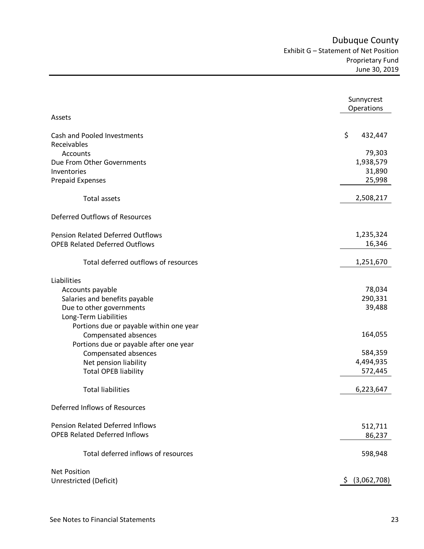# Dubuque County Exhibit G – Statement of Net Position Proprietary Fund June 30, 2019

|                                                      | Sunnycrest<br>Operations |                      |
|------------------------------------------------------|--------------------------|----------------------|
| Assets                                               |                          |                      |
| Cash and Pooled Investments                          | \$                       | 432,447              |
| Receivables<br>Accounts                              |                          | 79,303               |
| Due From Other Governments                           |                          | 1,938,579            |
| Inventories                                          |                          | 31,890               |
| <b>Prepaid Expenses</b>                              |                          | 25,998               |
| <b>Total assets</b>                                  |                          | 2,508,217            |
| Deferred Outflows of Resources                       |                          |                      |
| <b>Pension Related Deferred Outflows</b>             |                          | 1,235,324            |
| <b>OPEB Related Deferred Outflows</b>                |                          | 16,346               |
| Total deferred outflows of resources                 |                          | 1,251,670            |
| Liabilities                                          |                          |                      |
| Accounts payable                                     |                          | 78,034               |
| Salaries and benefits payable                        |                          | 290,331              |
| Due to other governments                             |                          | 39,488               |
| Long-Term Liabilities                                |                          |                      |
| Portions due or payable within one year              |                          |                      |
| Compensated absences                                 |                          | 164,055              |
| Portions due or payable after one year               |                          |                      |
| Compensated absences                                 |                          | 584,359<br>4,494,935 |
| Net pension liability<br><b>Total OPEB liability</b> |                          | 572,445              |
|                                                      |                          |                      |
| <b>Total liabilities</b>                             |                          | 6,223,647            |
| Deferred Inflows of Resources                        |                          |                      |
| Pension Related Deferred Inflows                     |                          | 512,711              |
| <b>OPEB Related Deferred Inflows</b>                 |                          | 86,237               |
| Total deferred inflows of resources                  |                          | 598,948              |
| <b>Net Position</b>                                  |                          |                      |
| Unrestricted (Deficit)                               | Ş.                       | (3,062,708)          |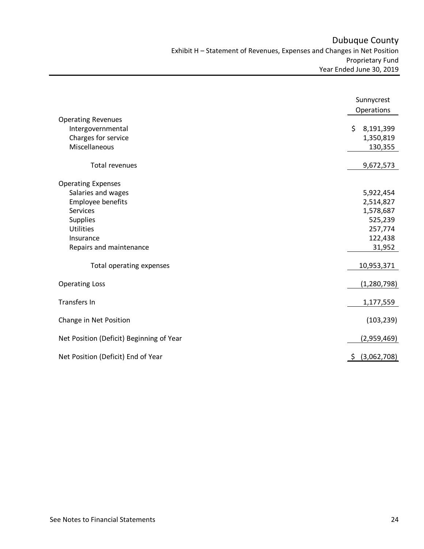|                                                |    | Sunnycrest<br>Operations |  |
|------------------------------------------------|----|--------------------------|--|
| <b>Operating Revenues</b><br>Intergovernmental | \$ | 8,191,399<br>1,350,819   |  |
| Charges for service<br>Miscellaneous           |    | 130,355                  |  |
| <b>Total revenues</b>                          |    | 9,672,573                |  |
| <b>Operating Expenses</b>                      |    |                          |  |
| Salaries and wages                             |    | 5,922,454                |  |
| Employee benefits                              |    | 2,514,827                |  |
| Services                                       |    | 1,578,687                |  |
| <b>Supplies</b>                                |    | 525,239                  |  |
| <b>Utilities</b>                               |    | 257,774                  |  |
| Insurance                                      |    | 122,438                  |  |
| Repairs and maintenance                        |    | 31,952                   |  |
| Total operating expenses                       |    | 10,953,371               |  |
| <b>Operating Loss</b>                          |    | (1, 280, 798)            |  |
| <b>Transfers In</b>                            |    | 1,177,559                |  |
| Change in Net Position                         |    | (103, 239)               |  |
| Net Position (Deficit) Beginning of Year       |    | (2,959,469)              |  |
| Net Position (Deficit) End of Year             |    | (3,062,708)              |  |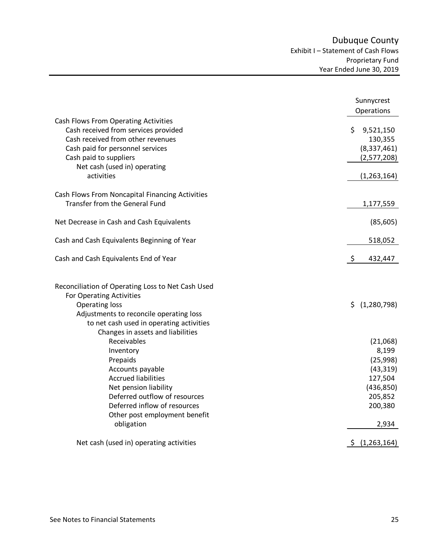|                                                   | Sunnycrest          |
|---------------------------------------------------|---------------------|
|                                                   | Operations          |
| Cash Flows From Operating Activities              |                     |
| Cash received from services provided              | \$<br>9,521,150     |
| Cash received from other revenues                 | 130,355             |
| Cash paid for personnel services                  | (8,337,461)         |
| Cash paid to suppliers                            | (2,577,208)         |
| Net cash (used in) operating                      |                     |
| activities                                        | (1, 263, 164)       |
| Cash Flows From Noncapital Financing Activities   |                     |
| <b>Transfer from the General Fund</b>             | 1,177,559           |
| Net Decrease in Cash and Cash Equivalents         | (85,605)            |
|                                                   |                     |
| Cash and Cash Equivalents Beginning of Year       | 518,052             |
| Cash and Cash Equivalents End of Year             | 432,447             |
| Reconciliation of Operating Loss to Net Cash Used |                     |
| For Operating Activities                          |                     |
| Operating loss                                    | (1,280,798)<br>S.   |
| Adjustments to reconcile operating loss           |                     |
| to net cash used in operating activities          |                     |
| Changes in assets and liabilities                 |                     |
| Receivables                                       | (21,068)            |
| Inventory                                         | 8,199               |
| Prepaids                                          | (25,998)            |
| Accounts payable                                  | (43, 319)           |
| <b>Accrued liabilities</b>                        | 127,504             |
| Net pension liability                             | (436, 850)          |
| Deferred outflow of resources                     | 205,852             |
| Deferred inflow of resources                      | 200,380             |
| Other post employment benefit                     |                     |
| obligation                                        | 2,934               |
| Net cash (used in) operating activities           | (1, 263, 164)<br>\$ |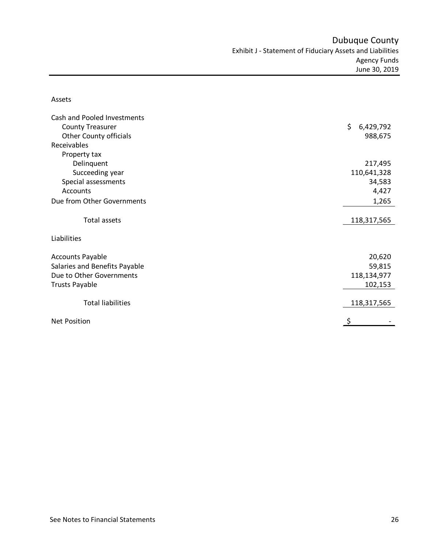#### Assets

| Cash and Pooled Investments<br><b>County Treasurer</b><br><b>Other County officials</b><br>Receivables        | \$<br>6,429,792<br>988,675                 |
|---------------------------------------------------------------------------------------------------------------|--------------------------------------------|
| Property tax<br>Delinquent<br>Succeeding year<br>Special assessments<br><b>Accounts</b>                       | 217,495<br>110,641,328<br>34,583<br>4,427  |
| Due from Other Governments                                                                                    | 1,265                                      |
| Total assets                                                                                                  | 118,317,565                                |
| Liabilities                                                                                                   |                                            |
| <b>Accounts Payable</b><br>Salaries and Benefits Payable<br>Due to Other Governments<br><b>Trusts Payable</b> | 20,620<br>59,815<br>118,134,977<br>102,153 |
| <b>Total liabilities</b>                                                                                      | 118,317,565                                |
| <b>Net Position</b>                                                                                           | S                                          |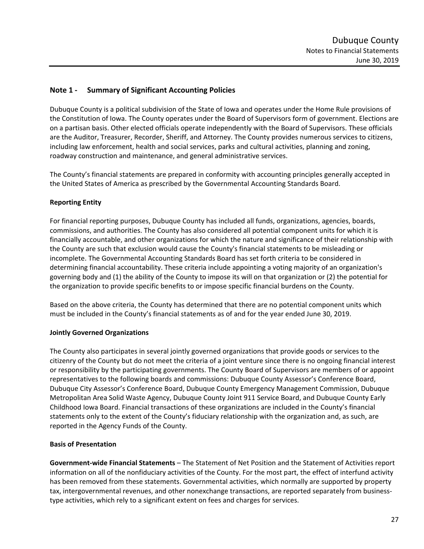# **Note 1 ‐ Summary of Significant Accounting Policies**

Dubuque County is a political subdivision of the State of Iowa and operates under the Home Rule provisions of the Constitution of Iowa. The County operates under the Board of Supervisors form of government. Elections are on a partisan basis. Other elected officials operate independently with the Board of Supervisors. These officials are the Auditor, Treasurer, Recorder, Sheriff, and Attorney. The County provides numerous services to citizens, including law enforcement, health and social services, parks and cultural activities, planning and zoning, roadway construction and maintenance, and general administrative services.

The County's financial statements are prepared in conformity with accounting principles generally accepted in the United States of America as prescribed by the Governmental Accounting Standards Board.

# **Reporting Entity**

For financial reporting purposes, Dubuque County has included all funds, organizations, agencies, boards, commissions, and authorities. The County has also considered all potential component units for which it is financially accountable, and other organizations for which the nature and significance of their relationship with the County are such that exclusion would cause the County's financial statements to be misleading or incomplete. The Governmental Accounting Standards Board has set forth criteria to be considered in determining financial accountability. These criteria include appointing a voting majority of an organization's governing body and (1) the ability of the County to impose its will on that organization or (2) the potential for the organization to provide specific benefits to or impose specific financial burdens on the County.

Based on the above criteria, the County has determined that there are no potential component units which must be included in the County's financial statements as of and for the year ended June 30, 2019.

## **Jointly Governed Organizations**

The County also participates in several jointly governed organizations that provide goods or services to the citizenry of the County but do not meet the criteria of a joint venture since there is no ongoing financial interest or responsibility by the participating governments. The County Board of Supervisors are members of or appoint representatives to the following boards and commissions: Dubuque County Assessor's Conference Board, Dubuque City Assessor's Conference Board, Dubuque County Emergency Management Commission, Dubuque Metropolitan Area Solid Waste Agency, Dubuque County Joint 911 Service Board, and Dubuque County Early Childhood Iowa Board. Financial transactions of these organizations are included in the County's financial statements only to the extent of the County's fiduciary relationship with the organization and, as such, are reported in the Agency Funds of the County.

## **Basis of Presentation**

**Government‐wide Financial Statements** – The Statement of Net Position and the Statement of Activities report information on all of the nonfiduciary activities of the County. For the most part, the effect of interfund activity has been removed from these statements. Governmental activities, which normally are supported by property tax, intergovernmental revenues, and other nonexchange transactions, are reported separately from businesstype activities, which rely to a significant extent on fees and charges for services.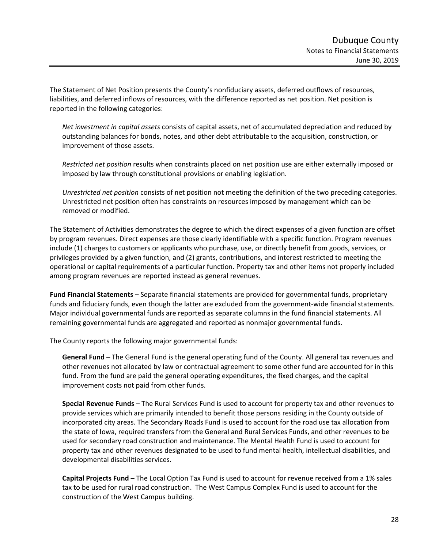The Statement of Net Position presents the County's nonfiduciary assets, deferred outflows of resources, liabilities, and deferred inflows of resources, with the difference reported as net position. Net position is reported in the following categories:

 *Net investment in capital assets* consists of capital assets, net of accumulated depreciation and reduced by outstanding balances for bonds, notes, and other debt attributable to the acquisition, construction, or improvement of those assets.

 *Restricted net position* results when constraints placed on net position use are either externally imposed or imposed by law through constitutional provisions or enabling legislation.

 *Unrestricted net position* consists of net position not meeting the definition of the two preceding categories. Unrestricted net position often has constraints on resources imposed by management which can be removed or modified.

The Statement of Activities demonstrates the degree to which the direct expenses of a given function are offset by program revenues. Direct expenses are those clearly identifiable with a specific function. Program revenues include (1) charges to customers or applicants who purchase, use, or directly benefit from goods, services, or privileges provided by a given function, and (2) grants, contributions, and interest restricted to meeting the operational or capital requirements of a particular function. Property tax and other items not properly included among program revenues are reported instead as general revenues.

**Fund Financial Statements** – Separate financial statements are provided for governmental funds, proprietary funds and fiduciary funds, even though the latter are excluded from the government-wide financial statements. Major individual governmental funds are reported as separate columns in the fund financial statements. All remaining governmental funds are aggregated and reported as nonmajor governmental funds.

The County reports the following major governmental funds:

 **General Fund** – The General Fund is the general operating fund of the County. All general tax revenues and other revenues not allocated by law or contractual agreement to some other fund are accounted for in this fund. From the fund are paid the general operating expenditures, the fixed charges, and the capital improvement costs not paid from other funds.

 **Special Revenue Funds** – The Rural Services Fund is used to account for property tax and other revenues to provide services which are primarily intended to benefit those persons residing in the County outside of incorporated city areas. The Secondary Roads Fund is used to account for the road use tax allocation from the state of Iowa, required transfers from the General and Rural Services Funds, and other revenues to be used for secondary road construction and maintenance. The Mental Health Fund is used to account for property tax and other revenues designated to be used to fund mental health, intellectual disabilities, and developmental disabilities services.

**Capital Projects Fund** – The Local Option Tax Fund is used to account for revenue received from a 1% sales tax to be used for rural road construction. The West Campus Complex Fund is used to account for the construction of the West Campus building.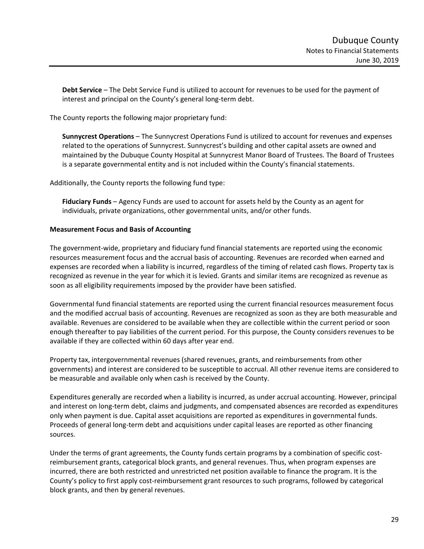**Debt Service** – The Debt Service Fund is utilized to account for revenues to be used for the payment of interest and principal on the County's general long-term debt.

The County reports the following major proprietary fund:

**Sunnycrest Operations** – The Sunnycrest Operations Fund is utilized to account for revenues and expenses related to the operations of Sunnycrest. Sunnycrest's building and other capital assets are owned and maintained by the Dubuque County Hospital at Sunnycrest Manor Board of Trustees. The Board of Trustees is a separate governmental entity and is not included within the County's financial statements.

Additionally, the County reports the following fund type:

**Fiduciary Funds** – Agency Funds are used to account for assets held by the County as an agent for individuals, private organizations, other governmental units, and/or other funds.

#### **Measurement Focus and Basis of Accounting**

The government‐wide, proprietary and fiduciary fund financial statements are reported using the economic resources measurement focus and the accrual basis of accounting. Revenues are recorded when earned and expenses are recorded when a liability is incurred, regardless of the timing of related cash flows. Property tax is recognized as revenue in the year for which it is levied. Grants and similar items are recognized as revenue as soon as all eligibility requirements imposed by the provider have been satisfied.

Governmental fund financial statements are reported using the current financial resources measurement focus and the modified accrual basis of accounting. Revenues are recognized as soon as they are both measurable and available. Revenues are considered to be available when they are collectible within the current period or soon enough thereafter to pay liabilities of the current period. For this purpose, the County considers revenues to be available if they are collected within 60 days after year end.

Property tax, intergovernmental revenues (shared revenues, grants, and reimbursements from other governments) and interest are considered to be susceptible to accrual. All other revenue items are considered to be measurable and available only when cash is received by the County.

Expenditures generally are recorded when a liability is incurred, as under accrual accounting. However, principal and interest on long‐term debt, claims and judgments, and compensated absences are recorded as expenditures only when payment is due. Capital asset acquisitions are reported as expenditures in governmental funds. Proceeds of general long‐term debt and acquisitions under capital leases are reported as other financing sources.

Under the terms of grant agreements, the County funds certain programs by a combination of specific cost‐ reimbursement grants, categorical block grants, and general revenues. Thus, when program expenses are incurred, there are both restricted and unrestricted net position available to finance the program. It is the County's policy to first apply cost‐reimbursement grant resources to such programs, followed by categorical block grants, and then by general revenues.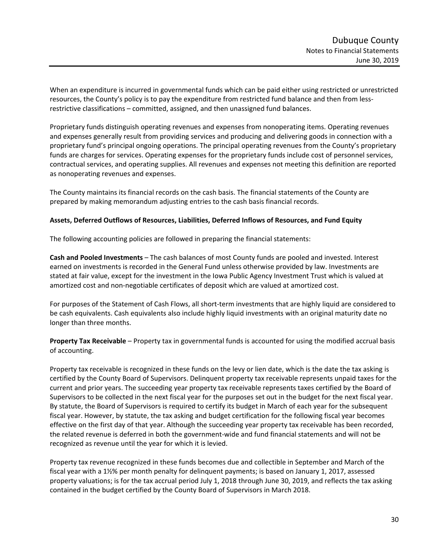When an expenditure is incurred in governmental funds which can be paid either using restricted or unrestricted resources, the County's policy is to pay the expenditure from restricted fund balance and then from lessrestrictive classifications – committed, assigned, and then unassigned fund balances.

Proprietary funds distinguish operating revenues and expenses from nonoperating items. Operating revenues and expenses generally result from providing services and producing and delivering goods in connection with a proprietary fund's principal ongoing operations. The principal operating revenues from the County's proprietary funds are charges for services. Operating expenses for the proprietary funds include cost of personnel services, contractual services, and operating supplies. All revenues and expenses not meeting this definition are reported as nonoperating revenues and expenses.

The County maintains its financial records on the cash basis. The financial statements of the County are prepared by making memorandum adjusting entries to the cash basis financial records.

#### **Assets, Deferred Outflows of Resources, Liabilities, Deferred Inflows of Resources, and Fund Equity**

The following accounting policies are followed in preparing the financial statements:

**Cash and Pooled Investments** – The cash balances of most County funds are pooled and invested. Interest earned on investments is recorded in the General Fund unless otherwise provided by law. Investments are stated at fair value, except for the investment in the Iowa Public Agency Investment Trust which is valued at amortized cost and non‐negotiable certificates of deposit which are valued at amortized cost.

For purposes of the Statement of Cash Flows, all short-term investments that are highly liquid are considered to be cash equivalents. Cash equivalents also include highly liquid investments with an original maturity date no longer than three months.

**Property Tax Receivable** – Property tax in governmental funds is accounted for using the modified accrual basis of accounting.

Property tax receivable is recognized in these funds on the levy or lien date, which is the date the tax asking is certified by the County Board of Supervisors. Delinquent property tax receivable represents unpaid taxes for the current and prior years. The succeeding year property tax receivable represents taxes certified by the Board of Supervisors to be collected in the next fiscal year for the purposes set out in the budget for the next fiscal year. By statute, the Board of Supervisors is required to certify its budget in March of each year for the subsequent fiscal year. However, by statute, the tax asking and budget certification for the following fiscal year becomes effective on the first day of that year. Although the succeeding year property tax receivable has been recorded, the related revenue is deferred in both the government‐wide and fund financial statements and will not be recognized as revenue until the year for which it is levied.

Property tax revenue recognized in these funds becomes due and collectible in September and March of the fiscal year with a 1½% per month penalty for delinquent payments; is based on January 1, 2017, assessed property valuations; is for the tax accrual period July 1, 2018 through June 30, 2019, and reflects the tax asking contained in the budget certified by the County Board of Supervisors in March 2018.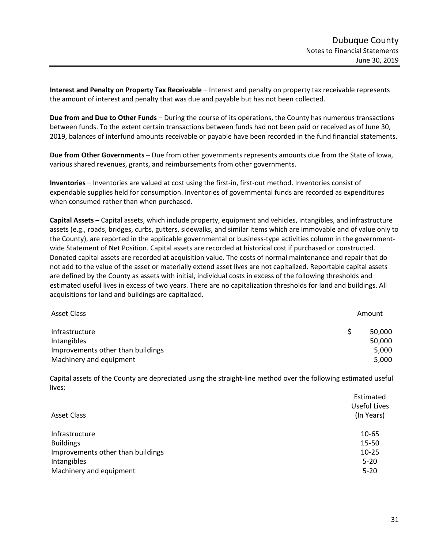**Interest and Penalty on Property Tax Receivable** – Interest and penalty on property tax receivable represents the amount of interest and penalty that was due and payable but has not been collected.

**Due from and Due to Other Funds** – During the course of its operations, the County has numerous transactions between funds. To the extent certain transactions between funds had not been paid or received as of June 30, 2019, balances of interfund amounts receivable or payable have been recorded in the fund financial statements.

**Due from Other Governments** – Due from other governments represents amounts due from the State of Iowa, various shared revenues, grants, and reimbursements from other governments.

**Inventories** – Inventories are valued at cost using the first‐in, first‐out method. Inventories consist of expendable supplies held for consumption. Inventories of governmental funds are recorded as expenditures when consumed rather than when purchased.

**Capital Assets** – Capital assets, which include property, equipment and vehicles, intangibles, and infrastructure assets (e.g., roads, bridges, curbs, gutters, sidewalks, and similar items which are immovable and of value only to the County), are reported in the applicable governmental or business‐type activities column in the government‐ wide Statement of Net Position. Capital assets are recorded at historical cost if purchased or constructed. Donated capital assets are recorded at acquisition value. The costs of normal maintenance and repair that do not add to the value of the asset or materially extend asset lives are not capitalized. Reportable capital assets are defined by the County as assets with initial, individual costs in excess of the following thresholds and estimated useful lives in excess of two years. There are no capitalization thresholds for land and buildings. All acquisitions for land and buildings are capitalized.

| Asset Class                       | Amount |  |
|-----------------------------------|--------|--|
|                                   |        |  |
| Infrastructure                    | 50,000 |  |
| Intangibles                       | 50,000 |  |
| Improvements other than buildings | 5,000  |  |
| Machinery and equipment           | 5,000  |  |

Capital assets of the County are depreciated using the straight‐line method over the following estimated useful lives:

|                                   | Estimated    |
|-----------------------------------|--------------|
|                                   | Useful Lives |
| Asset Class                       | (In Years)   |
|                                   |              |
| Infrastructure                    | 10-65        |
| <b>Buildings</b>                  | 15-50        |
| Improvements other than buildings | $10-25$      |
| Intangibles                       | $5 - 20$     |
| Machinery and equipment           | $5 - 20$     |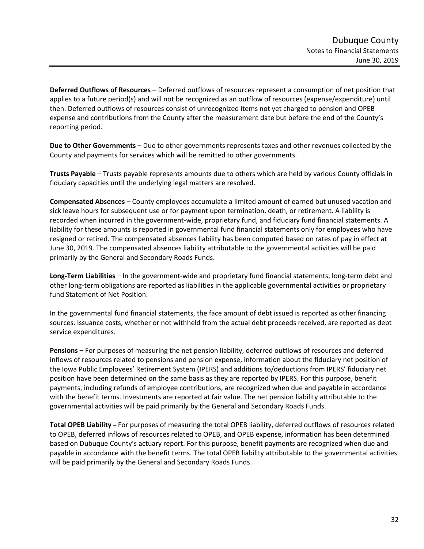**Deferred Outflows of Resources –** Deferred outflows of resources represent a consumption of net position that applies to a future period(s) and will not be recognized as an outflow of resources (expense/expenditure) until then. Deferred outflows of resources consist of unrecognized items not yet charged to pension and OPEB expense and contributions from the County after the measurement date but before the end of the County's reporting period.

**Due to Other Governments** – Due to other governments represents taxes and other revenues collected by the County and payments for services which will be remitted to other governments.

**Trusts Payable** – Trusts payable represents amounts due to others which are held by various County officials in fiduciary capacities until the underlying legal matters are resolved.

**Compensated Absences** – County employees accumulate a limited amount of earned but unused vacation and sick leave hours for subsequent use or for payment upon termination, death, or retirement. A liability is recorded when incurred in the government‐wide, proprietary fund, and fiduciary fund financial statements. A liability for these amounts is reported in governmental fund financial statements only for employees who have resigned or retired. The compensated absences liability has been computed based on rates of pay in effect at June 30, 2019. The compensated absences liability attributable to the governmental activities will be paid primarily by the General and Secondary Roads Funds.

**Long‐Term Liabilities** – In the government‐wide and proprietary fund financial statements, long‐term debt and other long‐term obligations are reported as liabilities in the applicable governmental activities or proprietary fund Statement of Net Position.

In the governmental fund financial statements, the face amount of debt issued is reported as other financing sources. Issuance costs, whether or not withheld from the actual debt proceeds received, are reported as debt service expenditures.

**Pensions –** For purposes of measuring the net pension liability, deferred outflows of resources and deferred inflows of resources related to pensions and pension expense, information about the fiduciary net position of the Iowa Public Employees' Retirement System (IPERS) and additions to/deductions from IPERS' fiduciary net position have been determined on the same basis as they are reported by IPERS. For this purpose, benefit payments, including refunds of employee contributions, are recognized when due and payable in accordance with the benefit terms. Investments are reported at fair value. The net pension liability attributable to the governmental activities will be paid primarily by the General and Secondary Roads Funds.

**Total OPEB Liability –** For purposes of measuring the total OPEB liability, deferred outflows of resources related to OPEB, deferred inflows of resources related to OPEB, and OPEB expense, information has been determined based on Dubuque County's actuary report. For this purpose, benefit payments are recognized when due and payable in accordance with the benefit terms. The total OPEB liability attributable to the governmental activities will be paid primarily by the General and Secondary Roads Funds.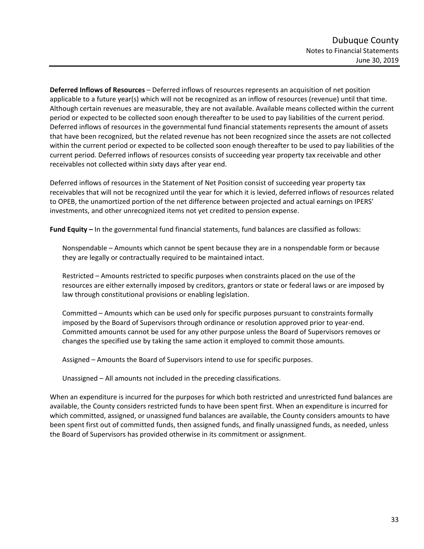**Deferred Inflows of Resources** – Deferred inflows of resources represents an acquisition of net position applicable to a future year(s) which will not be recognized as an inflow of resources (revenue) until that time. Although certain revenues are measurable, they are not available. Available means collected within the current period or expected to be collected soon enough thereafter to be used to pay liabilities of the current period. Deferred inflows of resources in the governmental fund financial statements represents the amount of assets that have been recognized, but the related revenue has not been recognized since the assets are not collected within the current period or expected to be collected soon enough thereafter to be used to pay liabilities of the current period. Deferred inflows of resources consists of succeeding year property tax receivable and other receivables not collected within sixty days after year end.

Deferred inflows of resources in the Statement of Net Position consist of succeeding year property tax receivables that will not be recognized until the year for which it is levied, deferred inflows of resources related to OPEB, the unamortized portion of the net difference between projected and actual earnings on IPERS' investments, and other unrecognized items not yet credited to pension expense.

**Fund Equity –** In the governmental fund financial statements, fund balances are classified as follows:

Nonspendable – Amounts which cannot be spent because they are in a nonspendable form or because they are legally or contractually required to be maintained intact.

Restricted – Amounts restricted to specific purposes when constraints placed on the use of the resources are either externally imposed by creditors, grantors or state or federal laws or are imposed by law through constitutional provisions or enabling legislation.

Committed – Amounts which can be used only for specific purposes pursuant to constraints formally imposed by the Board of Supervisors through ordinance or resolution approved prior to year‐end. Committed amounts cannot be used for any other purpose unless the Board of Supervisors removes or changes the specified use by taking the same action it employed to commit those amounts.

Assigned – Amounts the Board of Supervisors intend to use for specific purposes.

Unassigned – All amounts not included in the preceding classifications.

When an expenditure is incurred for the purposes for which both restricted and unrestricted fund balances are available, the County considers restricted funds to have been spent first. When an expenditure is incurred for which committed, assigned, or unassigned fund balances are available, the County considers amounts to have been spent first out of committed funds, then assigned funds, and finally unassigned funds, as needed, unless the Board of Supervisors has provided otherwise in its commitment or assignment.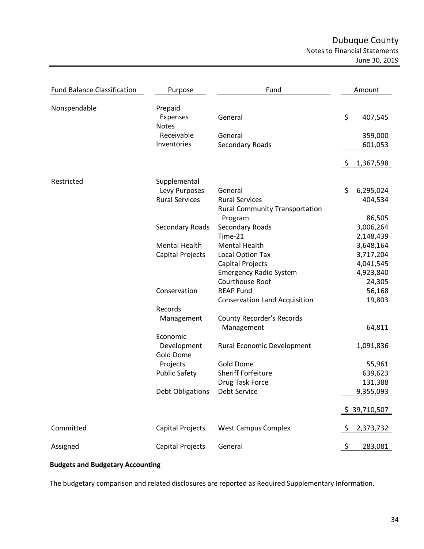## Dubuque County Notes to Financial Statements

June 30, 2019

| <b>Fund Balance Classification</b> | Purpose                             | Fund                                  |            | Amount       |
|------------------------------------|-------------------------------------|---------------------------------------|------------|--------------|
| Nonspendable                       | Prepaid<br>Expenses<br><b>Notes</b> | General                               | \$         | 407,545      |
|                                    | Receivable                          | General                               |            | 359,000      |
|                                    | Inventories                         | Secondary Roads                       |            | 601,053      |
|                                    |                                     |                                       | \$         | 1,367,598    |
| Restricted                         | Supplemental                        |                                       |            |              |
|                                    | Levy Purposes                       | General                               | \$         | 6,295,024    |
|                                    | <b>Rural Services</b>               | <b>Rural Services</b>                 |            | 404,534      |
|                                    |                                     | <b>Rural Community Transportation</b> |            |              |
|                                    |                                     | Program                               |            | 86,505       |
|                                    | Secondary Roads                     | Secondary Roads                       |            | 3,006,264    |
|                                    |                                     | Time-21                               |            | 2,148,439    |
|                                    | Mental Health                       | <b>Mental Health</b>                  |            | 3,648,164    |
|                                    | Capital Projects                    | Local Option Tax                      |            | 3,717,204    |
|                                    |                                     | Capital Projects                      |            | 4,041,545    |
|                                    |                                     | <b>Emergency Radio System</b>         |            | 4,923,840    |
|                                    |                                     | Courthouse Roof                       |            | 24,305       |
|                                    | Conservation                        | <b>REAP Fund</b>                      |            | 56,168       |
|                                    |                                     | <b>Conservation Land Acquisition</b>  |            | 19,803       |
|                                    | Records                             |                                       |            |              |
|                                    | Management                          | <b>County Recorder's Records</b>      |            |              |
|                                    |                                     | Management                            |            | 64,811       |
|                                    | Economic                            |                                       |            |              |
|                                    | Development<br>Gold Dome            | Rural Economic Development            |            | 1,091,836    |
|                                    | Projects                            | <b>Gold Dome</b>                      |            | 55,961       |
|                                    | <b>Public Safety</b>                | Sheriff Forfeiture                    |            | 639,623      |
|                                    |                                     | Drug Task Force                       |            | 131,388      |
|                                    | Debt Obligations Debt Service       |                                       |            | 9,355,093    |
|                                    |                                     |                                       |            | \$39,710,507 |
| Committed                          | Capital Projects                    | <b>West Campus Complex</b>            | \$.        | 2,373,732    |
| Assigned                           | Capital Projects                    | General                               | <u>_\$</u> | 283,081      |

### **Budgets and Budgetary Accounting**

The budgetary comparison and related disclosures are reported as Required Supplementary Information.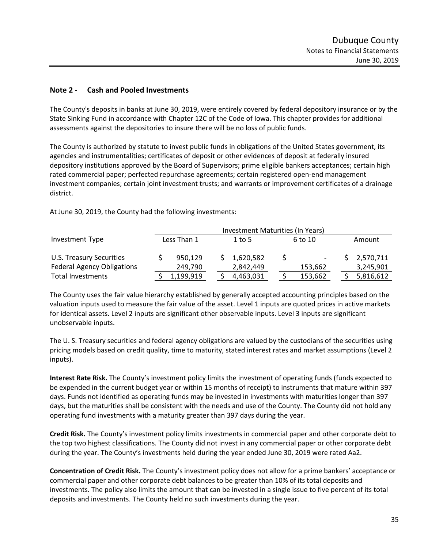#### **Note 2 ‐ Cash and Pooled Investments**

The County's deposits in banks at June 30, 2019, were entirely covered by federal depository insurance or by the State Sinking Fund in accordance with Chapter 12C of the Code of Iowa. This chapter provides for additional assessments against the depositories to insure there will be no loss of public funds.

The County is authorized by statute to invest public funds in obligations of the United States government, its agencies and instrumentalities; certificates of deposit or other evidences of deposit at federally insured depository institutions approved by the Board of Supervisors; prime eligible bankers acceptances; certain high rated commercial paper; perfected repurchase agreements; certain registered open-end management investment companies; certain joint investment trusts; and warrants or improvement certificates of a drainage district.

|                                                               |             |                    | Investment Maturities (In Years) |  |         |  |                        |  |
|---------------------------------------------------------------|-------------|--------------------|----------------------------------|--|---------|--|------------------------|--|
| Investment Type                                               | Less Than 1 |                    | 1 to 5                           |  | 6 to 10 |  | Amount                 |  |
| U.S. Treasury Securities<br><b>Federal Agency Obligations</b> |             | 950,129<br>249,790 | 1,620,582<br>2,842,449           |  | 153,662 |  | 2,570,711<br>3,245,901 |  |
| <b>Total Investments</b>                                      |             | 1,199,919          | 4,463,031                        |  | 153,662 |  | 5,816,612              |  |

At June 30, 2019, the County had the following investments:

The County uses the fair value hierarchy established by generally accepted accounting principles based on the valuation inputs used to measure the fair value of the asset. Level 1 inputs are quoted prices in active markets for identical assets. Level 2 inputs are significant other observable inputs. Level 3 inputs are significant unobservable inputs.

The U. S. Treasury securities and federal agency obligations are valued by the custodians of the securities using pricing models based on credit quality, time to maturity, stated interest rates and market assumptions (Level 2 inputs).

**Interest Rate Risk.** The County's investment policy limits the investment of operating funds (funds expected to be expended in the current budget year or within 15 months of receipt) to instruments that mature within 397 days. Funds not identified as operating funds may be invested in investments with maturities longer than 397 days, but the maturities shall be consistent with the needs and use of the County. The County did not hold any operating fund investments with a maturity greater than 397 days during the year.

**Credit Risk.** The County's investment policy limits investments in commercial paper and other corporate debt to the top two highest classifications. The County did not invest in any commercial paper or other corporate debt during the year. The County's investments held during the year ended June 30, 2019 were rated Aa2.

**Concentration of Credit Risk.** The County's investment policy does not allow for a prime bankers' acceptance or commercial paper and other corporate debt balances to be greater than 10% of its total deposits and investments. The policy also limits the amount that can be invested in a single issue to five percent of its total deposits and investments. The County held no such investments during the year.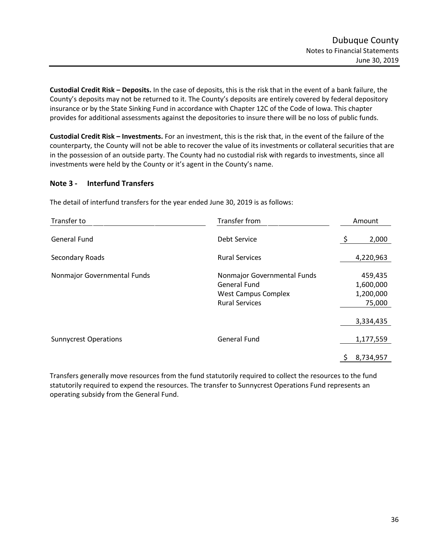**Custodial Credit Risk – Deposits.** In the case of deposits, this is the risk that in the event of a bank failure, the County's deposits may not be returned to it. The County's deposits are entirely covered by federal depository insurance or by the State Sinking Fund in accordance with Chapter 12C of the Code of Iowa. This chapter provides for additional assessments against the depositories to insure there will be no loss of public funds.

**Custodial Credit Risk – Investments.** For an investment, this is the risk that, in the event of the failure of the counterparty, the County will not be able to recover the value of its investments or collateral securities that are in the possession of an outside party. The County had no custodial risk with regards to investments, since all investments were held by the County or it's agent in the County's name.

#### **Note 3 ‐ Interfund Transfers**

| Transfer to                  | Transfer from                                                                                      | Amount                                      |
|------------------------------|----------------------------------------------------------------------------------------------------|---------------------------------------------|
| <b>General Fund</b>          | Debt Service                                                                                       | -\$<br>2,000                                |
| Secondary Roads              | <b>Rural Services</b>                                                                              | 4,220,963                                   |
| Nonmajor Governmental Funds  | Nonmajor Governmental Funds<br>General Fund<br><b>West Campus Complex</b><br><b>Rural Services</b> | 459,435<br>1,600,000<br>1,200,000<br>75,000 |
|                              |                                                                                                    | 3,334,435                                   |
| <b>Sunnycrest Operations</b> | General Fund                                                                                       | 1,177,559                                   |
|                              |                                                                                                    | 8,734,957                                   |

The detail of interfund transfers for the year ended June 30, 2019 is as follows:

Transfers generally move resources from the fund statutorily required to collect the resources to the fund statutorily required to expend the resources. The transfer to Sunnycrest Operations Fund represents an operating subsidy from the General Fund.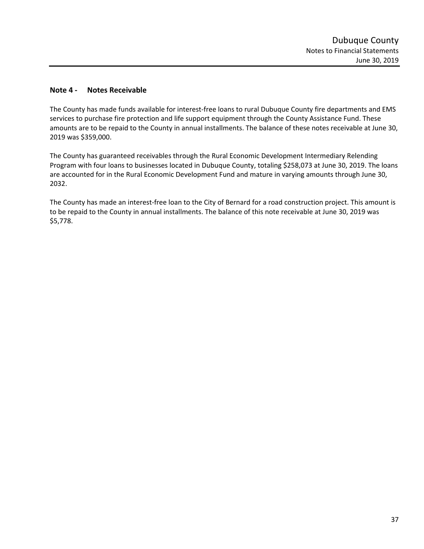#### **Note 4 ‐ Notes Receivable**

The County has made funds available for interest-free loans to rural Dubuque County fire departments and EMS services to purchase fire protection and life support equipment through the County Assistance Fund. These amounts are to be repaid to the County in annual installments. The balance of these notes receivable at June 30, 2019 was \$359,000.

The County has guaranteed receivables through the Rural Economic Development Intermediary Relending Program with four loans to businesses located in Dubuque County, totaling \$258,073 at June 30, 2019. The loans are accounted for in the Rural Economic Development Fund and mature in varying amounts through June 30, 2032.

The County has made an interest‐free loan to the City of Bernard for a road construction project. This amount is to be repaid to the County in annual installments. The balance of this note receivable at June 30, 2019 was \$5,778.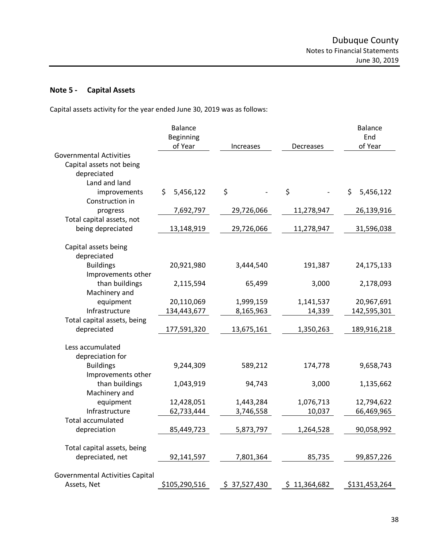## **Note 5 ‐ Capital Assets**

Capital assets activity for the year ended June 30, 2019 was as follows:

|                                      | <b>Balance</b><br>Beginning<br>of Year | <b>Increases</b> | Decreases    | <b>Balance</b><br>End<br>of Year |
|--------------------------------------|----------------------------------------|------------------|--------------|----------------------------------|
| <b>Governmental Activities</b>       |                                        |                  |              |                                  |
| Capital assets not being             |                                        |                  |              |                                  |
| depreciated                          |                                        |                  |              |                                  |
| Land and land                        |                                        |                  |              |                                  |
| improvements                         | \$<br>5,456,122                        | \$               | \$           | \$<br>5,456,122                  |
| Construction in                      |                                        |                  |              |                                  |
| progress                             | 7,692,797                              | 29,726,066       | 11,278,947   | 26,139,916                       |
| Total capital assets, not            |                                        |                  |              |                                  |
| being depreciated                    | 13,148,919                             | 29,726,066       | 11,278,947   | 31,596,038                       |
| Capital assets being<br>depreciated  |                                        |                  |              |                                  |
| <b>Buildings</b>                     | 20,921,980                             | 3,444,540        | 191,387      | 24,175,133                       |
| Improvements other                   |                                        |                  |              |                                  |
| than buildings                       | 2,115,594                              | 65,499           | 3,000        | 2,178,093                        |
| Machinery and                        |                                        |                  |              |                                  |
| equipment                            | 20,110,069                             | 1,999,159        | 1,141,537    | 20,967,691                       |
| Infrastructure                       | 134,443,677                            | 8,165,963        | 14,339       | 142,595,301                      |
| Total capital assets, being          |                                        |                  |              |                                  |
| depreciated                          | 177,591,320                            | 13,675,161       | 1,350,263    | 189,916,218                      |
| Less accumulated<br>depreciation for |                                        |                  |              |                                  |
| <b>Buildings</b>                     | 9,244,309                              | 589,212          | 174,778      | 9,658,743                        |
| Improvements other                   |                                        |                  |              |                                  |
| than buildings<br>Machinery and      | 1,043,919                              | 94,743           | 3,000        | 1,135,662                        |
| equipment                            | 12,428,051                             | 1,443,284        | 1,076,713    | 12,794,622                       |
| Infrastructure                       | 62,733,444                             | 3,746,558        | 10,037       | 66,469,965                       |
| <b>Total accumulated</b>             |                                        |                  |              |                                  |
| depreciation                         | 85,449,723                             | 5,873,797        | 1,264,528    | 90,058,992                       |
| Total capital assets, being          |                                        |                  |              |                                  |
| depreciated, net                     | 92,141,597                             | 7,801,364        | 85,735       | 99,857,226                       |
| Governmental Activities Capital      |                                        |                  |              |                                  |
| Assets, Net                          | \$105,290,516                          | \$37,527,430     | \$11,364,682 | \$131,453,264                    |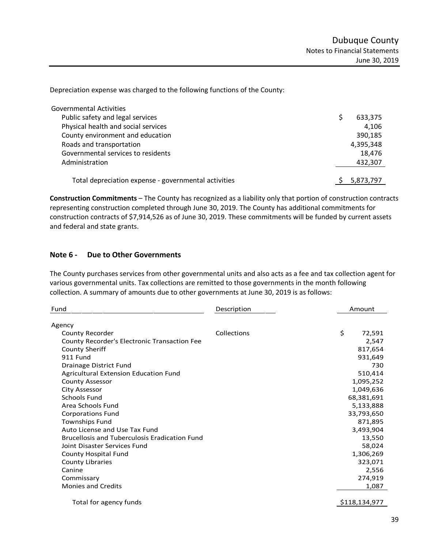Depreciation expense was charged to the following functions of the County:

| <b>Governmental Activities</b>                       |           |
|------------------------------------------------------|-----------|
| Public safety and legal services                     | 633,375   |
| Physical health and social services                  | 4.106     |
| County environment and education                     | 390,185   |
| Roads and transportation                             | 4,395,348 |
| Governmental services to residents                   | 18.476    |
| Administration                                       | 432,307   |
|                                                      |           |
| Total depreciation expense - governmental activities | 5,873,797 |

**Construction Commitments** – The County has recognized as a liability only that portion of construction contracts representing construction completed through June 30, 2019. The County has additional commitments for construction contracts of \$7,914,526 as of June 30, 2019. These commitments will be funded by current assets and federal and state grants.

#### **Note 6 ‐ Due to Other Governments**

The County purchases services from other governmental units and also acts as a fee and tax collection agent for various governmental units. Tax collections are remitted to those governments in the month following collection. A summary of amounts due to other governments at June 30, 2019 is as follows:

| Fund                                                 | Description | Amount        |
|------------------------------------------------------|-------------|---------------|
|                                                      |             |               |
| Agency                                               |             |               |
| County Recorder                                      | Collections | \$<br>72,591  |
| County Recorder's Electronic Transaction Fee         |             | 2,547         |
| County Sheriff                                       |             | 817,654       |
| <b>911 Fund</b>                                      |             | 931,649       |
| Drainage District Fund                               |             | 730           |
| Agricultural Extension Education Fund                |             | 510,414       |
| <b>County Assessor</b>                               |             | 1,095,252     |
| <b>City Assessor</b>                                 |             | 1,049,636     |
| Schools Fund                                         |             | 68,381,691    |
| Area Schools Fund                                    |             | 5,133,888     |
| <b>Corporations Fund</b>                             |             | 33,793,650    |
| <b>Townships Fund</b>                                |             | 871,895       |
| Auto License and Use Tax Fund                        |             | 3,493,904     |
| <b>Brucellosis and Tuberculosis Eradication Fund</b> |             | 13,550        |
| Joint Disaster Services Fund                         |             | 58,024        |
| County Hospital Fund                                 |             | 1,306,269     |
| <b>County Libraries</b>                              |             | 323,071       |
| Canine                                               |             | 2,556         |
| Commissary                                           |             | 274,919       |
| <b>Monies and Credits</b>                            |             | 1,087         |
| Total for agency funds                               |             | \$118,134,977 |
|                                                      |             |               |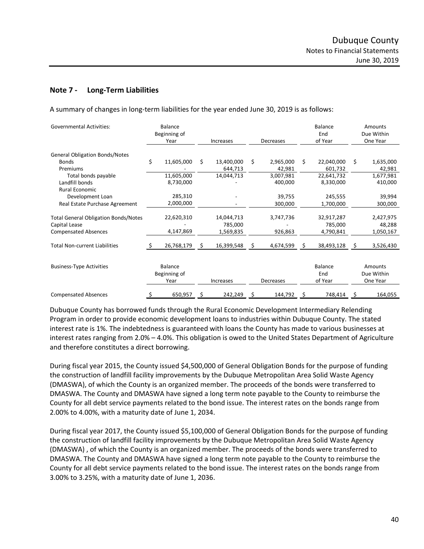#### **Note 7 ‐ Long‐Term Liabilities**

A summary of changes in long‐term liabilities for the year ended June 30, 2019 is as follows:

| <b>Governmental Activities:</b>             | Balance<br>Beginning of<br>Year |    | <b>Increases</b> |    | Decreases |    | <b>Balance</b><br>End<br>of Year | Amounts<br>Due Within<br>One Year |
|---------------------------------------------|---------------------------------|----|------------------|----|-----------|----|----------------------------------|-----------------------------------|
| <b>General Obligation Bonds/Notes</b>       |                                 |    |                  |    |           |    |                                  |                                   |
| <b>Bonds</b>                                | \$<br>11,605,000                | \$ | 13,400,000       | Ś. | 2,965,000 | Ś. | 22,040,000                       | \$<br>1,635,000                   |
| Premiums                                    |                                 |    | 644,713          |    | 42,981    |    | 601,732                          | 42,981                            |
| Total bonds payable                         | 11,605,000                      |    | 14,044,713       |    | 3,007,981 |    | 22,641,732                       | 1,677,981                         |
| Landfill bonds                              | 8,730,000                       |    |                  |    | 400,000   |    | 8,330,000                        | 410,000                           |
| <b>Rural Economic</b>                       |                                 |    |                  |    |           |    |                                  |                                   |
| Development Loan                            | 285,310                         |    |                  |    | 39,755    |    | 245,555                          | 39,994                            |
| Real Estate Purchase Agreement              | 2,000,000                       |    |                  |    | 300,000   |    | 1,700,000                        | 300,000                           |
|                                             |                                 |    |                  |    |           |    |                                  |                                   |
| <b>Total General Obligation Bonds/Notes</b> | 22,620,310                      |    | 14,044,713       |    | 3,747,736 |    | 32,917,287                       | 2,427,975                         |
| Capital Lease                               |                                 |    | 785,000          |    |           |    | 785,000                          | 48,288                            |
| <b>Compensated Absences</b>                 | 4,147,869                       |    | 1,569,835        |    | 926,863   |    | 4,790,841                        | 1,050,167                         |
| <b>Total Non-current Liabilities</b>        | 26,768,179                      | Ŝ  | 16,399,548       | S  | 4,674,599 | Ŝ. | 38,493,128                       | 3,526,430                         |
|                                             |                                 |    |                  |    |           |    |                                  |                                   |
| <b>Business-Type Activities</b>             | <b>Balance</b>                  |    |                  |    |           |    | <b>Balance</b>                   | Amounts                           |
|                                             | Beginning of                    |    |                  |    |           |    | End                              | Due Within                        |
|                                             | Year                            |    | Increases        |    | Decreases |    | of Year                          | One Year                          |
|                                             |                                 |    |                  |    |           |    |                                  |                                   |
| <b>Compensated Absences</b>                 | 650,957                         | s  | 242,249          | S  | 144,792   |    | 748,414                          | 164,055                           |

Dubuque County has borrowed funds through the Rural Economic Development Intermediary Relending Program in order to provide economic development loans to industries within Dubuque County. The stated interest rate is 1%. The indebtedness is guaranteed with loans the County has made to various businesses at interest rates ranging from 2.0% – 4.0%. This obligation is owed to the United States Department of Agriculture and therefore constitutes a direct borrowing.

During fiscal year 2015, the County issued \$4,500,000 of General Obligation Bonds for the purpose of funding the construction of landfill facility improvements by the Dubuque Metropolitan Area Solid Waste Agency (DMASWA), of which the County is an organized member. The proceeds of the bonds were transferred to DMASWA. The County and DMASWA have signed a long term note payable to the County to reimburse the County for all debt service payments related to the bond issue. The interest rates on the bonds range from 2.00% to 4.00%, with a maturity date of June 1, 2034.

During fiscal year 2017, the County issued \$5,100,000 of General Obligation Bonds for the purpose of funding the construction of landfill facility improvements by the Dubuque Metropolitan Area Solid Waste Agency (DMASWA) , of which the County is an organized member. The proceeds of the bonds were transferred to DMASWA. The County and DMASWA have signed a long term note payable to the County to reimburse the County for all debt service payments related to the bond issue. The interest rates on the bonds range from 3.00% to 3.25%, with a maturity date of June 1, 2036.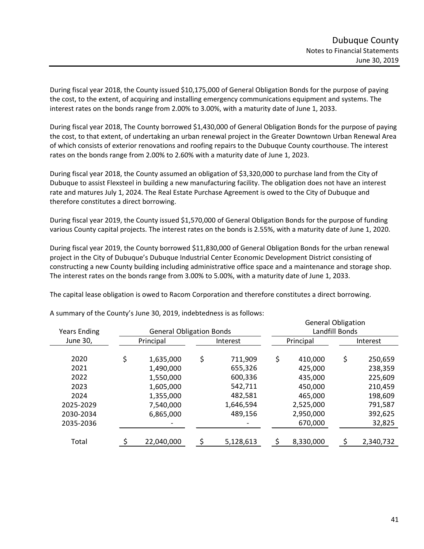During fiscal year 2018, the County issued \$10,175,000 of General Obligation Bonds for the purpose of paying the cost, to the extent, of acquiring and installing emergency communications equipment and systems. The interest rates on the bonds range from 2.00% to 3.00%, with a maturity date of June 1, 2033.

During fiscal year 2018, The County borrowed \$1,430,000 of General Obligation Bonds for the purpose of paying the cost, to that extent, of undertaking an urban renewal project in the Greater Downtown Urban Renewal Area of which consists of exterior renovations and roofing repairs to the Dubuque County courthouse. The interest rates on the bonds range from 2.00% to 2.60% with a maturity date of June 1, 2023.

During fiscal year 2018, the County assumed an obligation of \$3,320,000 to purchase land from the City of Dubuque to assist Flexsteel in building a new manufacturing facility. The obligation does not have an interest rate and matures July 1, 2024. The Real Estate Purchase Agreement is owed to the City of Dubuque and therefore constitutes a direct borrowing.

During fiscal year 2019, the County issued \$1,570,000 of General Obligation Bonds for the purpose of funding various County capital projects. The interest rates on the bonds is 2.55%, with a maturity date of June 1, 2020.

During fiscal year 2019, the County borrowed \$11,830,000 of General Obligation Bonds for the urban renewal project in the City of Dubuque's Dubuque Industrial Center Economic Development District consisting of constructing a new County building including administrative office space and a maintenance and storage shop. The interest rates on the bonds range from 3.00% to 5.00%, with a maturity date of June 1, 2033.

The capital lease obligation is owed to Racom Corporation and therefore constitutes a direct borrowing.

| <b>Years Ending</b>                               | <b>General Obligation Bonds</b>                                                  |    |                                                                  |    |                                                                  | <b>General Obligation</b><br>Landfill Bonds |                                                                |  |  |
|---------------------------------------------------|----------------------------------------------------------------------------------|----|------------------------------------------------------------------|----|------------------------------------------------------------------|---------------------------------------------|----------------------------------------------------------------|--|--|
| June 30,                                          | Principal                                                                        |    | Interest                                                         |    | Principal                                                        | Interest                                    |                                                                |  |  |
| 2020<br>2021<br>2022<br>2023<br>2024<br>2025-2029 | \$<br>1,635,000<br>1,490,000<br>1,550,000<br>1,605,000<br>1,355,000<br>7,540,000 | \$ | 711,909<br>655,326<br>600,336<br>542,711<br>482,581<br>1,646,594 | \$ | 410,000<br>425,000<br>435,000<br>450,000<br>465,000<br>2,525,000 | \$                                          | 250,659<br>238,359<br>225,609<br>210,459<br>198,609<br>791,587 |  |  |
| 2030-2034<br>2035-2036                            | 6,865,000                                                                        |    | 489,156                                                          |    | 2,950,000<br>670,000                                             |                                             | 392,625<br>32,825                                              |  |  |
| Total                                             | 22,040,000                                                                       | Ś  | 5,128,613                                                        | Ś  | 8,330,000                                                        |                                             | 2,340,732                                                      |  |  |

A summary of the County's June 30, 2019, indebtedness is as follows: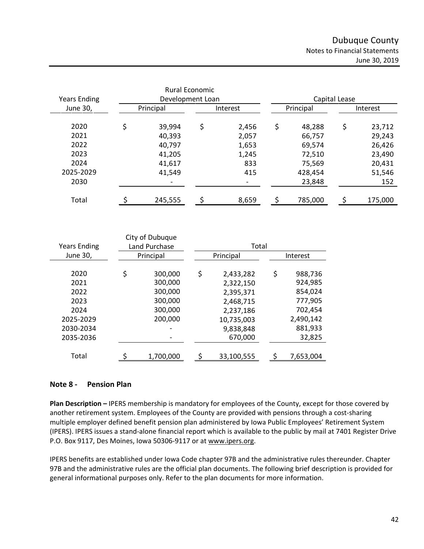| <b>Years Ending</b> | <b>Rural Economic</b> | Development Loan |                          | Capital Lease |           |    |          |  |
|---------------------|-----------------------|------------------|--------------------------|---------------|-----------|----|----------|--|
| June 30,            | Principal             |                  | Interest                 |               | Principal |    | Interest |  |
| 2020                | \$<br>39,994          | \$               | 2,456                    | \$            | 48,288    | \$ | 23,712   |  |
| 2021                | 40,393                |                  | 2,057                    |               | 66,757    |    | 29,243   |  |
| 2022                | 40,797                |                  | 1,653                    |               | 69,574    |    | 26,426   |  |
| 2023                | 41,205                |                  | 1,245                    |               | 72,510    |    | 23,490   |  |
| 2024                | 41,617                |                  | 833                      |               | 75,569    |    | 20,431   |  |
| 2025-2029           | 41,549                |                  | 415                      |               | 428,454   |    | 51,546   |  |
| 2030                |                       |                  | $\overline{\phantom{a}}$ |               | 23,848    |    | 152      |  |
| Total               | 245,555               |                  | 8,659                    |               | 785,000   |    | 175,000  |  |

| <b>Years Ending</b>    | City of Dubuque<br>Land Purchase |    | Total                   |    |                      |  |  |
|------------------------|----------------------------------|----|-------------------------|----|----------------------|--|--|
| June 30,               | Principal                        |    | Principal               |    | Interest             |  |  |
| 2020<br>2021           | \$<br>300,000<br>300,000         | \$ | 2,433,282<br>2,322,150  | \$ | 988,736<br>924,985   |  |  |
| 2022<br>2023           | 300,000<br>300,000               |    | 2,395,371<br>2,468,715  |    | 854,024<br>777,905   |  |  |
| 2024<br>2025-2029      | 300,000<br>200,000               |    | 2,237,186<br>10,735,003 |    | 702,454<br>2,490,142 |  |  |
| 2030-2034<br>2035-2036 |                                  |    | 9,838,848<br>670,000    |    | 881,933<br>32,825    |  |  |
| Total                  | 1,700,000                        | ς  | 33,100,555              |    | 7,653,004            |  |  |

#### **Note 8 ‐ Pension Plan**

**Plan Description –** IPERS membership is mandatory for employees of the County, except for those covered by another retirement system. Employees of the County are provided with pensions through a cost-sharing multiple employer defined benefit pension plan administered by Iowa Public Employees' Retirement System (IPERS). IPERS issues a stand‐alone financial report which is available to the public by mail at 7401 Register Drive P.O. Box 9117, Des Moines, Iowa 50306‐9117 or at www.ipers.org.

IPERS benefits are established under Iowa Code chapter 97B and the administrative rules thereunder. Chapter 97B and the administrative rules are the official plan documents. The following brief description is provided for general informational purposes only. Refer to the plan documents for more information.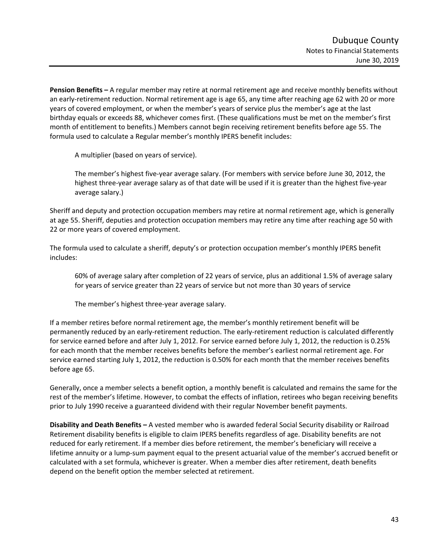**Pension Benefits –** A regular member may retire at normal retirement age and receive monthly benefits without an early‐retirement reduction. Normal retirement age is age 65, any time after reaching age 62 with 20 or more years of covered employment, or when the member's years of service plus the member's age at the last birthday equals or exceeds 88, whichever comes first. (These qualifications must be met on the member's first month of entitlement to benefits.) Members cannot begin receiving retirement benefits before age 55. The formula used to calculate a Regular member's monthly IPERS benefit includes:

A multiplier (based on years of service).

The member's highest five‐year average salary. (For members with service before June 30, 2012, the highest three‐year average salary as of that date will be used if it is greater than the highest five‐year average salary.)

Sheriff and deputy and protection occupation members may retire at normal retirement age, which is generally at age 55. Sheriff, deputies and protection occupation members may retire any time after reaching age 50 with 22 or more years of covered employment.

The formula used to calculate a sheriff, deputy's or protection occupation member's monthly IPERS benefit includes:

60% of average salary after completion of 22 years of service, plus an additional 1.5% of average salary for years of service greater than 22 years of service but not more than 30 years of service

The member's highest three‐year average salary.

If a member retires before normal retirement age, the member's monthly retirement benefit will be permanently reduced by an early‐retirement reduction. The early‐retirement reduction is calculated differently for service earned before and after July 1, 2012. For service earned before July 1, 2012, the reduction is 0.25% for each month that the member receives benefits before the member's earliest normal retirement age. For service earned starting July 1, 2012, the reduction is 0.50% for each month that the member receives benefits before age 65.

Generally, once a member selects a benefit option, a monthly benefit is calculated and remains the same for the rest of the member's lifetime. However, to combat the effects of inflation, retirees who began receiving benefits prior to July 1990 receive a guaranteed dividend with their regular November benefit payments.

**Disability and Death Benefits –** A vested member who is awarded federal Social Security disability or Railroad Retirement disability benefits is eligible to claim IPERS benefits regardless of age. Disability benefits are not reduced for early retirement. If a member dies before retirement, the member's beneficiary will receive a lifetime annuity or a lump‐sum payment equal to the present actuarial value of the member's accrued benefit or calculated with a set formula, whichever is greater. When a member dies after retirement, death benefits depend on the benefit option the member selected at retirement.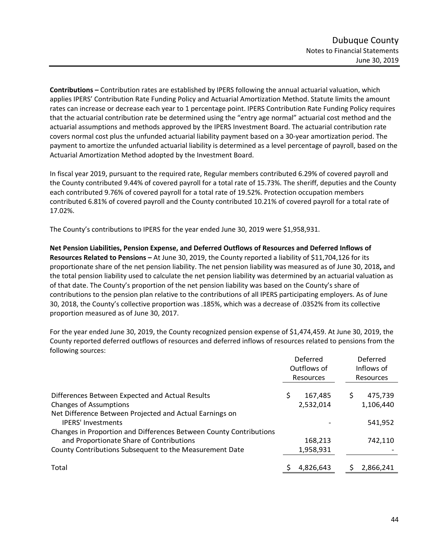**Contributions –** Contribution rates are established by IPERS following the annual actuarial valuation, which applies IPERS' Contribution Rate Funding Policy and Actuarial Amortization Method. Statute limits the amount rates can increase or decrease each year to 1 percentage point. IPERS Contribution Rate Funding Policy requires that the actuarial contribution rate be determined using the "entry age normal" actuarial cost method and the actuarial assumptions and methods approved by the IPERS Investment Board. The actuarial contribution rate covers normal cost plus the unfunded actuarial liability payment based on a 30‐year amortization period. The payment to amortize the unfunded actuarial liability is determined as a level percentage of payroll, based on the Actuarial Amortization Method adopted by the Investment Board.

In fiscal year 2019, pursuant to the required rate, Regular members contributed 6.29% of covered payroll and the County contributed 9.44% of covered payroll for a total rate of 15.73%. The sheriff, deputies and the County each contributed 9.76% of covered payroll for a total rate of 19.52%. Protection occupation members contributed 6.81% of covered payroll and the County contributed 10.21% of covered payroll for a total rate of 17.02%.

The County's contributions to IPERS for the year ended June 30, 2019 were \$1,958,931.

**Net Pension Liabilities, Pension Expense, and Deferred Outflows of Resources and Deferred Inflows of Resources Related to Pensions –** At June 30, 2019, the County reported a liability of \$11,704,126 for its proportionate share of the net pension liability. The net pension liability was measured as of June 30, 2018**,** and the total pension liability used to calculate the net pension liability was determined by an actuarial valuation as of that date. The County's proportion of the net pension liability was based on the County's share of contributions to the pension plan relative to the contributions of all IPERS participating employers. As of June 30, 2018, the County's collective proportion was .185%, which was a decrease of .0352% from its collective proportion measured as of June 30, 2017.

For the year ended June 30, 2019, the County recognized pension expense of \$1,474,459. At June 30, 2019, the County reported deferred outflows of resources and deferred inflows of resources related to pensions from the following sources:

|                                                                                      | Deferred<br>Outflows of<br>Resources |           | Deferred<br>Inflows of<br>Resources |           |
|--------------------------------------------------------------------------------------|--------------------------------------|-----------|-------------------------------------|-----------|
| Differences Between Expected and Actual Results                                      |                                      | 167,485   |                                     | 475.739   |
| <b>Changes of Assumptions</b>                                                        |                                      | 2,532,014 |                                     | 1,106,440 |
| Net Difference Between Projected and Actual Earnings on<br><b>IPERS' Investments</b> |                                      |           |                                     | 541,952   |
| Changes in Proportion and Differences Between County Contributions                   |                                      |           |                                     |           |
| and Proportionate Share of Contributions                                             |                                      | 168,213   |                                     | 742,110   |
| County Contributions Subsequent to the Measurement Date                              |                                      | 1,958,931 |                                     |           |
| Total                                                                                |                                      | 4,826,643 |                                     | 2,866,241 |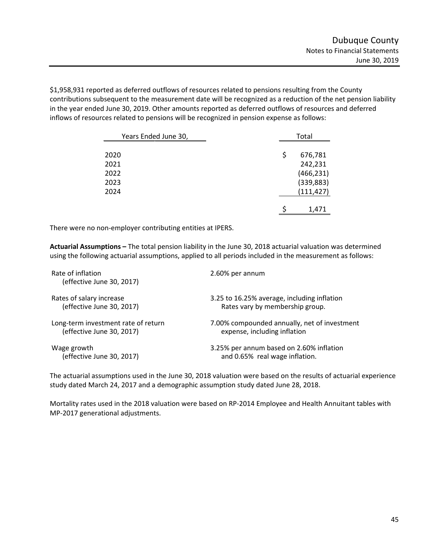\$1,958,931 reported as deferred outflows of resources related to pensions resulting from the County contributions subsequent to the measurement date will be recognized as a reduction of the net pension liability in the year ended June 30, 2019. Other amounts reported as deferred outflows of resources and deferred inflows of resources related to pensions will be recognized in pension expense as follows:

| Years Ended June 30, | Total         |  |  |  |  |
|----------------------|---------------|--|--|--|--|
| 2020                 | \$<br>676,781 |  |  |  |  |
| 2021                 | 242,231       |  |  |  |  |
| 2022                 | (466, 231)    |  |  |  |  |
| 2023                 | (339, 883)    |  |  |  |  |
| 2024                 | (111, 427)    |  |  |  |  |
|                      |               |  |  |  |  |
|                      | 1,471         |  |  |  |  |

There were no non‐employer contributing entities at IPERS.

**Actuarial Assumptions –** The total pension liability in the June 30, 2018 actuarial valuation was determined using the following actuarial assumptions, applied to all periods included in the measurement as follows:

| Rate of inflation<br>(effective June 30, 2017) | 2.60% per annum                              |
|------------------------------------------------|----------------------------------------------|
| Rates of salary increase                       | 3.25 to 16.25% average, including inflation  |
| (effective June 30, 2017)                      | Rates vary by membership group.              |
| Long-term investment rate of return            | 7.00% compounded annually, net of investment |
| (effective June 30, 2017)                      | expense, including inflation                 |
| Wage growth                                    | 3.25% per annum based on 2.60% inflation     |
| (effective June 30, 2017)                      | and 0.65% real wage inflation.               |

The actuarial assumptions used in the June 30, 2018 valuation were based on the results of actuarial experience study dated March 24, 2017 and a demographic assumption study dated June 28, 2018.

Mortality rates used in the 2018 valuation were based on RP‐2014 Employee and Health Annuitant tables with MP‐2017 generational adjustments.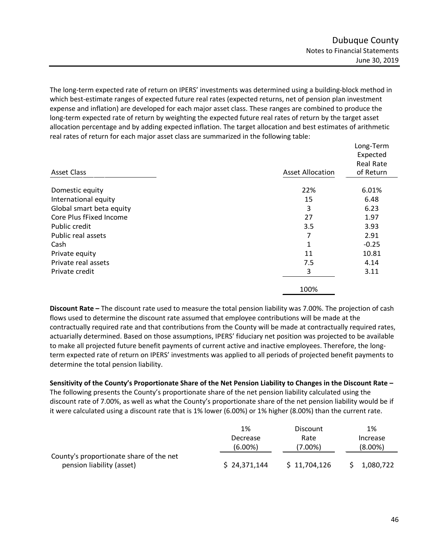The long‐term expected rate of return on IPERS' investments was determined using a building‐block method in which best-estimate ranges of expected future real rates (expected returns, net of pension plan investment expense and inflation) are developed for each major asset class. These ranges are combined to produce the long-term expected rate of return by weighting the expected future real rates of return by the target asset allocation percentage and by adding expected inflation. The target allocation and best estimates of arithmetic real rates of return for each major asset class are summarized in the following table:

| <b>Asset Class</b>       | <b>Asset Allocation</b> | Long-Term<br>Expected<br><b>Real Rate</b><br>of Return |
|--------------------------|-------------------------|--------------------------------------------------------|
|                          |                         |                                                        |
| Domestic equity          | 22%                     | 6.01%                                                  |
| International equity     | 15                      | 6.48                                                   |
| Global smart beta equity | 3                       | 6.23                                                   |
| Core Plus fFixed Income  | 27                      | 1.97                                                   |
| Public credit            | 3.5                     | 3.93                                                   |
| Public real assets       | 7                       | 2.91                                                   |
| Cash                     | 1                       | $-0.25$                                                |
| Private equity           | 11                      | 10.81                                                  |
| Private real assets      | 7.5                     | 4.14                                                   |
| Private credit           | 3                       | 3.11                                                   |
|                          | 100%                    |                                                        |

**Discount Rate –** The discount rate used to measure the total pension liability was 7.00%. The projection of cash flows used to determine the discount rate assumed that employee contributions will be made at the contractually required rate and that contributions from the County will be made at contractually required rates, actuarially determined. Based on those assumptions, IPERS' fiduciary net position was projected to be available to make all projected future benefit payments of current active and inactive employees. Therefore, the long‐ term expected rate of return on IPERS' investments was applied to all periods of projected benefit payments to determine the total pension liability.

#### **Sensitivity of the County's Proportionate Share of the Net Pension Liability to Changes in the Discount Rate –**

The following presents the County's proportionate share of the net pension liability calculated using the discount rate of 7.00%, as well as what the County's proportionate share of the net pension liability would be if it were calculated using a discount rate that is 1% lower (6.00%) or 1% higher (8.00%) than the current rate.

|                                         | 1%           | <b>Discount</b> | 1%         |
|-----------------------------------------|--------------|-----------------|------------|
|                                         | Decrease     | Rate            | Increase   |
|                                         | $(6.00\%)$   | (7.00%)         | $(8.00\%)$ |
| County's proportionate share of the net |              |                 |            |
| pension liability (asset)               | \$24,371,144 | \$11,704,126    | 1,080,722  |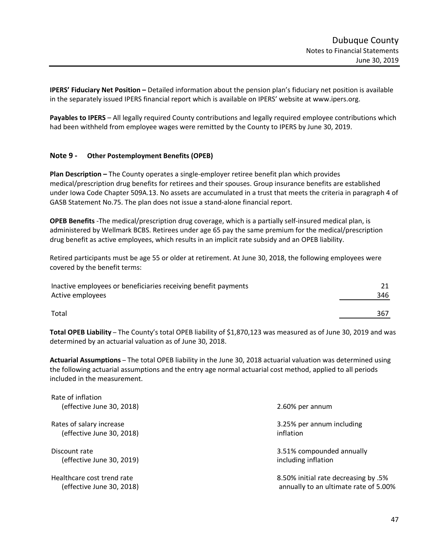**IPERS' Fiduciary Net Position –** Detailed information about the pension plan's fiduciary net position is available in the separately issued IPERS financial report which is available on IPERS' website at www.ipers.org.

**Payables to IPERS** – All legally required County contributions and legally required employee contributions which had been withheld from employee wages were remitted by the County to IPERS by June 30, 2019.

#### **Note 9 ‐ Other Postemployment Benefits (OPEB)**

**Plan Description –** The County operates a single‐employer retiree benefit plan which provides medical/prescription drug benefits for retirees and their spouses. Group insurance benefits are established under Iowa Code Chapter 509A.13. No assets are accumulated in a trust that meets the criteria in paragraph 4 of GASB Statement No.75. The plan does not issue a stand‐alone financial report.

**OPEB Benefits** ‐The medical/prescription drug coverage, which is a partially self‐insured medical plan, is administered by Wellmark BCBS. Retirees under age 65 pay the same premium for the medical/prescription drug benefit as active employees, which results in an implicit rate subsidy and an OPEB liability.

Retired participants must be age 55 or older at retirement. At June 30, 2018, the following employees were covered by the benefit terms:

| Inactive employees or beneficiaries receiving benefit payments |     |
|----------------------------------------------------------------|-----|
| Active employees                                               | 346 |
|                                                                |     |
| Total                                                          | 367 |

**Total OPEB Liability** – The County's total OPEB liability of \$1,870,123 was measured as of June 30, 2019 and was determined by an actuarial valuation as of June 30, 2018.

**Actuarial Assumptions** – The total OPEB liability in the June 30, 2018 actuarial valuation was determined using the following actuarial assumptions and the entry age normal actuarial cost method, applied to all periods included in the measurement.

| Rate of inflation<br>(effective June 30, 2018) | 2.60% per annum                       |
|------------------------------------------------|---------------------------------------|
| Rates of salary increase                       | 3.25% per annum including             |
| (effective June 30, 2018)                      | inflation                             |
| Discount rate                                  | 3.51% compounded annually             |
| (effective June 30, 2019)                      | including inflation                   |
| Healthcare cost trend rate                     | 8.50% initial rate decreasing by .5%  |
| (effective June 30, 2018)                      | annually to an ultimate rate of 5.00% |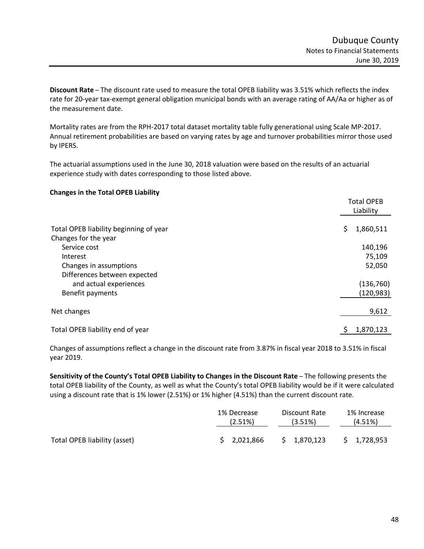**Discount Rate** – The discount rate used to measure the total OPEB liability was 3.51% which reflects the index rate for 20‐year tax‐exempt general obligation municipal bonds with an average rating of AA/Aa or higher as of the measurement date.

Mortality rates are from the RPH‐2017 total dataset mortality table fully generational using Scale MP‐2017. Annual retirement probabilities are based on varying rates by age and turnover probabilities mirror those used by IPERS.

The actuarial assumptions used in the June 30, 2018 valuation were based on the results of an actuarial experience study with dates corresponding to those listed above.

#### **Changes in the Total OPEB Liability**

|                                                                | <b>Total OPEB</b><br>Liability |
|----------------------------------------------------------------|--------------------------------|
| Total OPEB liability beginning of year<br>Changes for the year | \$<br>1,860,511                |
| Service cost                                                   | 140,196                        |
| Interest<br>Changes in assumptions                             | 75,109<br>52,050               |
| Differences between expected<br>and actual experiences         | (136, 760)                     |
| Benefit payments                                               | (120,983)                      |
| Net changes                                                    | 9,612                          |
| Total OPEB liability end of year                               | 1,870,123                      |

Changes of assumptions reflect a change in the discount rate from 3.87% in fiscal year 2018 to 3.51% in fiscal year 2019.

**Sensitivity of the County's Total OPEB Liability to Changes in the Discount Rate** – The following presents the total OPEB liability of the County, as well as what the County's total OPEB liability would be if it were calculated using a discount rate that is 1% lower (2.51%) or 1% higher (4.51%) than the current discount rate.

|                              | 1% Decrease | Discount Rate | 1% Increase  |
|------------------------------|-------------|---------------|--------------|
|                              | (2.51%)     | $(3.51\%)$    | $(4.51\%)$   |
| Total OPEB liability (asset) | \$2,021,866 | \$1,870,123   | \$ 1,728,953 |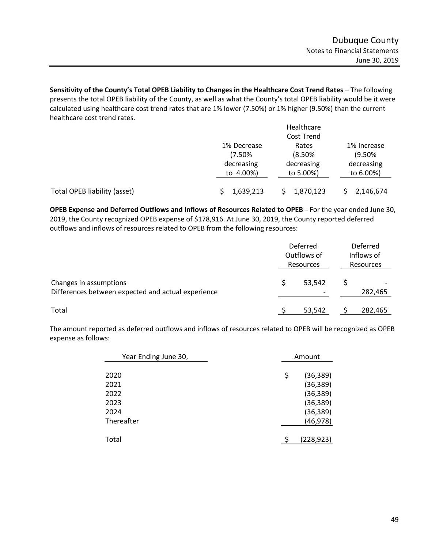**Sensitivity of the County's Total OPEB Liability to Changes in the Healthcare Cost Trend Rates** – The following presents the total OPEB liability of the County, as well as what the County's total OPEB liability would be it were calculated using healthcare cost trend rates that are 1% lower (7.50%) or 1% higher (9.50%) than the current healthcare cost trend rates.

|                              |             | Healthcare |             |
|------------------------------|-------------|------------|-------------|
|                              |             | Cost Trend |             |
|                              | 1% Decrease | Rates      | 1% Increase |
|                              | (7.50%      | (8.50%     | (9.50%      |
|                              | decreasing  | decreasing | decreasing  |
|                              | to 4.00%)   | to 5.00%)  | to 6.00%)   |
| Total OPEB liability (asset) | 1,639,213   | 1,870,123  | 2,146,674   |

**OPEB Expense and Deferred Outflows and Inflows of Resources Related to OPEB** – For the year ended June 30, 2019, the County recognized OPEB expense of \$178,916. At June 30, 2019, the County reported deferred outflows and inflows of resources related to OPEB from the following resources:

|                                                                              | Deferred<br>Outflows of<br>Resources | Deferred<br>Inflows of<br>Resources |
|------------------------------------------------------------------------------|--------------------------------------|-------------------------------------|
| Changes in assumptions<br>Differences between expected and actual experience | 53,542                               | 282,465                             |
| Total                                                                        | 53,542                               | 282,465                             |

The amount reported as deferred outflows and inflows of resources related to OPEB will be recognized as OPEB expense as follows:

| Year Ending June 30, | Amount |           |
|----------------------|--------|-----------|
| 2020                 | \$     | (36, 389) |
| 2021                 |        | (36, 389) |
| 2022                 |        | (36, 389) |
| 2023                 |        | (36, 389) |
| 2024                 |        | (36, 389) |
| Thereafter           |        | (46, 978) |
| Total                |        | (228,923) |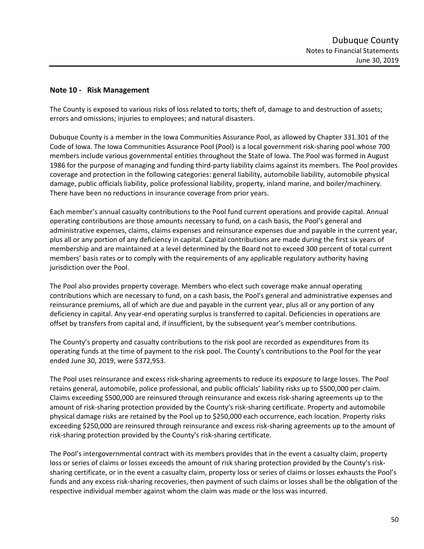#### **Note 10 ‐ Risk Management**

The County is exposed to various risks of loss related to torts; theft of, damage to and destruction of assets; errors and omissions; injuries to employees; and natural disasters.

Dubuque County is a member in the Iowa Communities Assurance Pool, as allowed by Chapter 331.301 of the Code of Iowa. The Iowa Communities Assurance Pool (Pool) is a local government risk‐sharing pool whose 700 members include various governmental entities throughout the State of Iowa. The Pool was formed in August 1986 for the purpose of managing and funding third‐party liability claims against its members. The Pool provides coverage and protection in the following categories: general liability, automobile liability, automobile physical damage, public officials liability, police professional liability, property, inland marine, and boiler/machinery. There have been no reductions in insurance coverage from prior years.

Each member's annual casualty contributions to the Pool fund current operations and provide capital. Annual operating contributions are those amounts necessary to fund, on a cash basis, the Pool's general and administrative expenses, claims, claims expenses and reinsurance expenses due and payable in the current year, plus all or any portion of any deficiency in capital. Capital contributions are made during the first six years of membership and are maintained at a level determined by the Board not to exceed 300 percent of total current members' basis rates or to comply with the requirements of any applicable regulatory authority having jurisdiction over the Pool.

The Pool also provides property coverage. Members who elect such coverage make annual operating contributions which are necessary to fund, on a cash basis, the Pool's general and administrative expenses and reinsurance premiums, all of which are due and payable in the current year, plus all or any portion of any deficiency in capital. Any year‐end operating surplus is transferred to capital. Deficiencies in operations are offset by transfers from capital and, if insufficient, by the subsequent year's member contributions.

The County's property and casualty contributions to the risk pool are recorded as expenditures from its operating funds at the time of payment to the risk pool. The County's contributions to the Pool for the year ended June 30, 2019, were \$372,953.

The Pool uses reinsurance and excess risk‐sharing agreements to reduce its exposure to large losses. The Pool retains general, automobile, police professional, and public officials' liability risks up to \$500,000 per claim. Claims exceeding \$500,000 are reinsured through reinsurance and excess risk‐sharing agreements up to the amount of risk-sharing protection provided by the County's risk-sharing certificate. Property and automobile physical damage risks are retained by the Pool up to \$250,000 each occurrence, each location. Property risks exceeding \$250,000 are reinsured through reinsurance and excess risk‐sharing agreements up to the amount of risk‐sharing protection provided by the County's risk‐sharing certificate.

The Pool's intergovernmental contract with its members provides that in the event a casualty claim, property loss or series of claims or losses exceeds the amount of risk sharing protection provided by the County's risk‐ sharing certificate, or in the event a casualty claim, property loss or series of claims or losses exhausts the Pool's funds and any excess risk‐sharing recoveries, then payment of such claims or losses shall be the obligation of the respective individual member against whom the claim was made or the loss was incurred.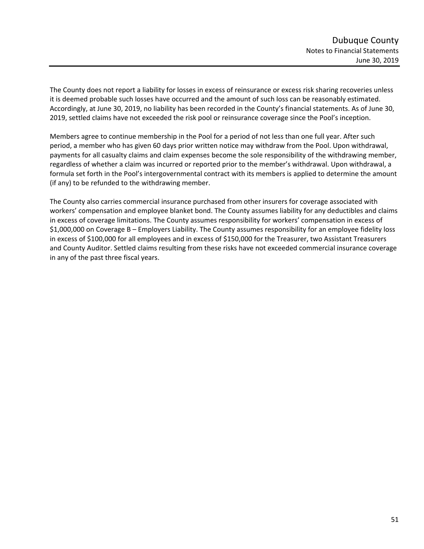The County does not report a liability for losses in excess of reinsurance or excess risk sharing recoveries unless it is deemed probable such losses have occurred and the amount of such loss can be reasonably estimated. Accordingly, at June 30, 2019, no liability has been recorded in the County's financial statements. As of June 30, 2019, settled claims have not exceeded the risk pool or reinsurance coverage since the Pool's inception.

Members agree to continue membership in the Pool for a period of not less than one full year. After such period, a member who has given 60 days prior written notice may withdraw from the Pool. Upon withdrawal, payments for all casualty claims and claim expenses become the sole responsibility of the withdrawing member, regardless of whether a claim was incurred or reported prior to the member's withdrawal. Upon withdrawal, a formula set forth in the Pool's intergovernmental contract with its members is applied to determine the amount (if any) to be refunded to the withdrawing member.

The County also carries commercial insurance purchased from other insurers for coverage associated with workers' compensation and employee blanket bond. The County assumes liability for any deductibles and claims in excess of coverage limitations. The County assumes responsibility for workers' compensation in excess of \$1,000,000 on Coverage B – Employers Liability. The County assumes responsibility for an employee fidelity loss in excess of \$100,000 for all employees and in excess of \$150,000 for the Treasurer, two Assistant Treasurers and County Auditor. Settled claims resulting from these risks have not exceeded commercial insurance coverage in any of the past three fiscal years.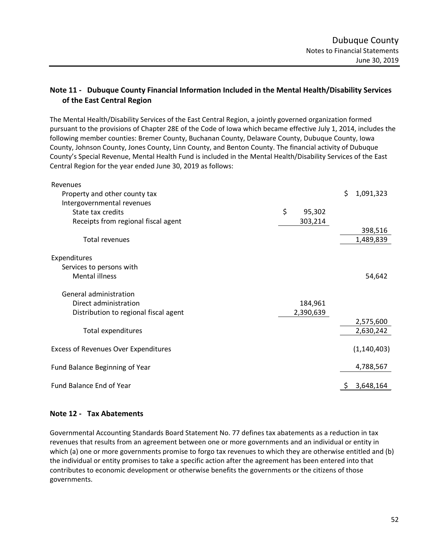#### **Note 11 ‐ Dubuque County Financial Information Included in the Mental Health/Disability Services of the East Central Region**

The Mental Health/Disability Services of the East Central Region, a jointly governed organization formed pursuant to the provisions of Chapter 28E of the Code of Iowa which became effective July 1, 2014, includes the following member counties: Bremer County, Buchanan County, Delaware County, Dubuque County, Iowa County, Johnson County, Jones County, Linn County, and Benton County. The financial activity of Dubuque County's Special Revenue, Mental Health Fund is included in the Mental Health/Disability Services of the East Central Region for the year ended June 30, 2019 as follows:

| Revenues                                    |              |                 |
|---------------------------------------------|--------------|-----------------|
| Property and other county tax               |              | \$<br>1,091,323 |
| Intergovernmental revenues                  |              |                 |
| State tax credits                           | \$<br>95,302 |                 |
| Receipts from regional fiscal agent         | 303,214      |                 |
|                                             |              | 398,516         |
| Total revenues                              |              | 1,489,839       |
| Expenditures                                |              |                 |
| Services to persons with                    |              |                 |
| <b>Mental illness</b>                       |              | 54,642          |
| General administration                      |              |                 |
| Direct administration                       | 184,961      |                 |
| Distribution to regional fiscal agent       | 2,390,639    |                 |
|                                             |              | 2,575,600       |
| Total expenditures                          |              | 2,630,242       |
| <b>Excess of Revenues Over Expenditures</b> |              | (1, 140, 403)   |
| Fund Balance Beginning of Year              |              | 4,788,567       |
| Fund Balance End of Year                    |              | 3,648,164       |

#### **Note 12 ‐ Tax Abatements**

Governmental Accounting Standards Board Statement No. 77 defines tax abatements as a reduction in tax revenues that results from an agreement between one or more governments and an individual or entity in which (a) one or more governments promise to forgo tax revenues to which they are otherwise entitled and (b) the individual or entity promises to take a specific action after the agreement has been entered into that contributes to economic development or otherwise benefits the governments or the citizens of those governments.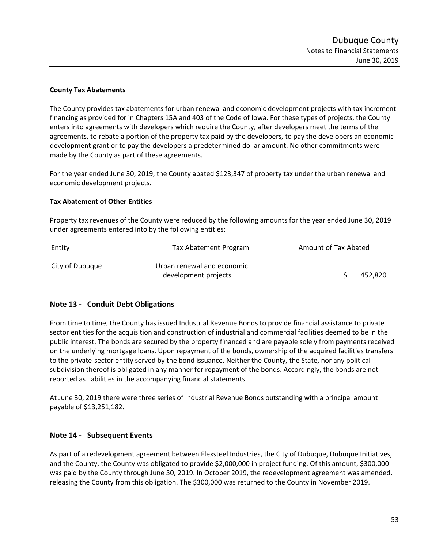#### **County Tax Abatements**

The County provides tax abatements for urban renewal and economic development projects with tax increment financing as provided for in Chapters 15A and 403 of the Code of Iowa. For these types of projects, the County enters into agreements with developers which require the County, after developers meet the terms of the agreements, to rebate a portion of the property tax paid by the developers, to pay the developers an economic development grant or to pay the developers a predetermined dollar amount. No other commitments were made by the County as part of these agreements.

For the year ended June 30, 2019, the County abated \$123,347 of property tax under the urban renewal and economic development projects.

#### **Tax Abatement of Other Entities**

Property tax revenues of the County were reduced by the following amounts for the year ended June 30, 2019 under agreements entered into by the following entities:

| Entity          | Tax Abatement Program                              | Amount of Tax Abated |         |
|-----------------|----------------------------------------------------|----------------------|---------|
| City of Dubuque | Urban renewal and economic<br>development projects |                      | 452.820 |

#### **Note 13 ‐ Conduit Debt Obligations**

From time to time, the County has issued Industrial Revenue Bonds to provide financial assistance to private sector entities for the acquisition and construction of industrial and commercial facilities deemed to be in the public interest. The bonds are secured by the property financed and are payable solely from payments received on the underlying mortgage loans. Upon repayment of the bonds, ownership of the acquired facilities transfers to the private‐sector entity served by the bond issuance. Neither the County, the State, nor any political subdivision thereof is obligated in any manner for repayment of the bonds. Accordingly, the bonds are not reported as liabilities in the accompanying financial statements.

At June 30, 2019 there were three series of Industrial Revenue Bonds outstanding with a principal amount payable of \$13,251,182.

#### **Note 14 ‐ Subsequent Events**

As part of a redevelopment agreement between Flexsteel Industries, the City of Dubuque, Dubuque Initiatives, and the County, the County was obligated to provide \$2,000,000 in project funding. Of this amount, \$300,000 was paid by the County through June 30, 2019. In October 2019, the redevelopment agreement was amended, releasing the County from this obligation. The \$300,000 was returned to the County in November 2019.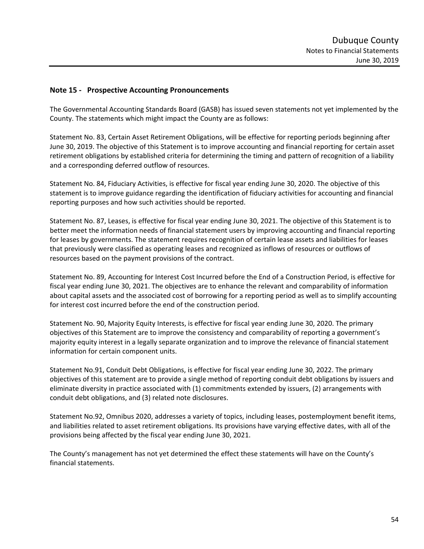#### **Note 15 ‐ Prospective Accounting Pronouncements**

The Governmental Accounting Standards Board (GASB) has issued seven statements not yet implemented by the County. The statements which might impact the County are as follows:

Statement No. 83, Certain Asset Retirement Obligations, will be effective for reporting periods beginning after June 30, 2019. The objective of this Statement is to improve accounting and financial reporting for certain asset retirement obligations by established criteria for determining the timing and pattern of recognition of a liability and a corresponding deferred outflow of resources.

Statement No. 84, Fiduciary Activities, is effective for fiscal year ending June 30, 2020. The objective of this statement is to improve guidance regarding the identification of fiduciary activities for accounting and financial reporting purposes and how such activities should be reported.

Statement No. 87, Leases, is effective for fiscal year ending June 30, 2021. The objective of this Statement is to better meet the information needs of financial statement users by improving accounting and financial reporting for leases by governments. The statement requires recognition of certain lease assets and liabilities for leases that previously were classified as operating leases and recognized as inflows of resources or outflows of resources based on the payment provisions of the contract.

Statement No. 89, Accounting for Interest Cost Incurred before the End of a Construction Period, is effective for fiscal year ending June 30, 2021. The objectives are to enhance the relevant and comparability of information about capital assets and the associated cost of borrowing for a reporting period as well as to simplify accounting for interest cost incurred before the end of the construction period.

Statement No. 90, Majority Equity Interests, is effective for fiscal year ending June 30, 2020. The primary objectives of this Statement are to improve the consistency and comparability of reporting a government's majority equity interest in a legally separate organization and to improve the relevance of financial statement information for certain component units.

Statement No.91, Conduit Debt Obligations, is effective for fiscal year ending June 30, 2022. The primary objectives of this statement are to provide a single method of reporting conduit debt obligations by issuers and eliminate diversity in practice associated with (1) commitments extended by issuers, (2) arrangements with conduit debt obligations, and (3) related note disclosures.

Statement No.92, Omnibus 2020, addresses a variety of topics, including leases, postemployment benefit items, and liabilities related to asset retirement obligations. Its provisions have varying effective dates, with all of the provisions being affected by the fiscal year ending June 30, 2021.

The County's management has not yet determined the effect these statements will have on the County's financial statements.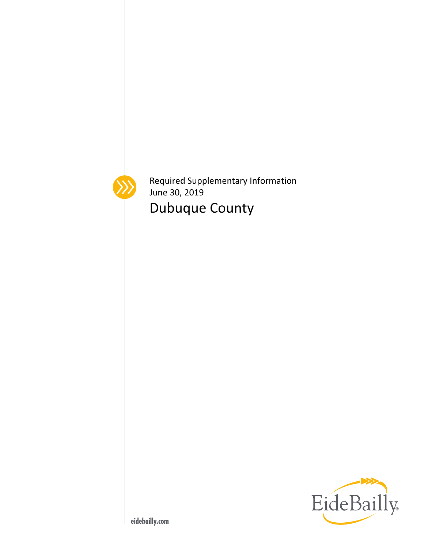

Required Supplementary Information June 30, 2019



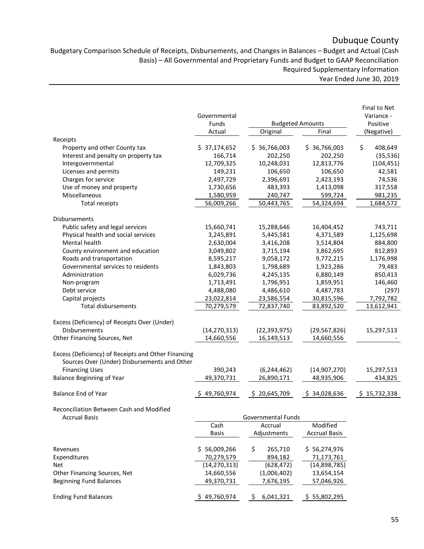Budgetary Comparison Schedule of Receipts, Disbursements, and Changes in Balances – Budget and Actual (Cash Basis) – All Governmental and Proprietary Funds and Budget to GAAP Reconciliation Required Supplementary Information Year Ended June 30, 2019

|                                                     | Governmental<br>Funds | <b>Budgeted Amounts</b> |                      | Final to Net<br>Variance -<br>Positive |  |
|-----------------------------------------------------|-----------------------|-------------------------|----------------------|----------------------------------------|--|
|                                                     | Actual                | Original                | Final                | (Negative)                             |  |
| Receipts                                            |                       |                         |                      |                                        |  |
| Property and other County tax                       | \$37,174,652          | \$36,766,003            | \$36,766,003         | \$<br>408,649                          |  |
| Interest and penalty on property tax                | 166,714               | 202,250                 | 202,250              | (35, 536)                              |  |
| Intergovernmental                                   | 12,709,325            | 10,248,031              | 12,813,776           | (104, 451)                             |  |
| Licenses and permits                                | 149,231               | 106,650                 | 106,650              | 42,581                                 |  |
| Charges for service                                 | 2,497,729             | 2,396,691               | 2,423,193            | 74,536                                 |  |
| Use of money and property                           | 1,730,656             | 483,393                 | 1,413,098            | 317,558                                |  |
| Miscellaneous                                       | 1,580,959             | 240,747                 | 599,724              | 981,235                                |  |
| Total receipts                                      | 56,009,266            | 50,443,765              | 54,324,694           | 1,684,572                              |  |
| Disbursements                                       |                       |                         |                      |                                        |  |
| Public safety and legal services                    | 15,660,741            | 15,288,646              | 16,404,452           | 743,711                                |  |
| Physical health and social services                 | 3,245,891             | 5,445,581               | 4,371,589            | 1,125,698                              |  |
| Mental health                                       | 2,630,004             | 3,416,208               | 3,514,804            | 884,800                                |  |
| County environment and education                    | 3,049,802             | 3,715,194               | 3,862,695            | 812,893                                |  |
| Roads and transportation                            | 8,595,217             | 9,058,172               | 9,772,215            | 1,176,998                              |  |
| Governmental services to residents                  | 1,843,803             | 1,798,689               | 1,923,286            | 79,483                                 |  |
| Administration                                      | 6,029,736             | 4,245,135               | 6,880,149            | 850,413                                |  |
| Non-program                                         | 1,713,491             | 1,796,951               | 1,859,951            | 146,460                                |  |
| Debt service                                        | 4,488,080             | 4,486,610               | 4,487,783            | (297)                                  |  |
| Capital projects                                    | 23,022,814            | 23,586,554              | 30,815,596           | 7,792,782                              |  |
| <b>Total disbursements</b>                          | 70,279,579            | 72,837,740              | 83,892,520           | 13,612,941                             |  |
| Excess (Deficiency) of Receipts Over (Under)        |                       |                         |                      |                                        |  |
| <b>Disbursements</b>                                | (14, 270, 313)        | (22, 393, 975)          | (29, 567, 826)       | 15,297,513                             |  |
| Other Financing Sources, Net                        | 14,660,556            | 16,149,513              | 14,660,556           |                                        |  |
| Excess (Deficiency) of Receipts and Other Financing |                       |                         |                      |                                        |  |
| Sources Over (Under) Disbursements and Other        |                       |                         |                      |                                        |  |
| <b>Financing Uses</b>                               | 390,243               | (6, 244, 462)           | (14, 907, 270)       | 15,297,513                             |  |
| <b>Balance Beginning of Year</b>                    | 49,370,731            | 26,890,171              | 48,935,906           | 434,825                                |  |
| <b>Balance End of Year</b>                          | \$49,760,974          | \$20,645,709            | \$34,028,636         | \$15,732,338                           |  |
| Reconciliation Between Cash and Modified            |                       |                         |                      |                                        |  |
| <b>Accrual Basis</b>                                |                       | Governmental Funds      |                      |                                        |  |
|                                                     | Cash                  | Accrual                 | Modified             |                                        |  |
|                                                     | <b>Basis</b>          | Adjustments             | <b>Accrual Basis</b> |                                        |  |
| Revenues                                            | \$56,009,266          | \$<br>265,710           | \$56,274,976         |                                        |  |
| Expenditures                                        | 70,279,579            | 894,182                 | 71,173,761           |                                        |  |
| <b>Net</b>                                          | (14, 270, 313)        | (628, 472)              | (14,898,785)         |                                        |  |
| Other Financing Sources, Net                        | 14,660,556            | (1,006,402)             | 13,654,154           |                                        |  |
| <b>Beginning Fund Balances</b>                      | 49,370,731            | 7,676,195               | 57,046,926           |                                        |  |
| <b>Ending Fund Balances</b>                         | \$49,760,974          | 6,041,321<br>\$         | \$5,802,295          |                                        |  |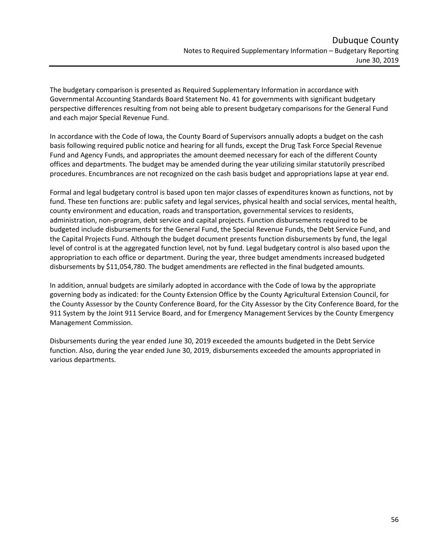The budgetary comparison is presented as Required Supplementary Information in accordance with Governmental Accounting Standards Board Statement No. 41 for governments with significant budgetary perspective differences resulting from not being able to present budgetary comparisons for the General Fund and each major Special Revenue Fund.

In accordance with the Code of Iowa, the County Board of Supervisors annually adopts a budget on the cash basis following required public notice and hearing for all funds, except the Drug Task Force Special Revenue Fund and Agency Funds, and appropriates the amount deemed necessary for each of the different County offices and departments. The budget may be amended during the year utilizing similar statutorily prescribed procedures. Encumbrances are not recognized on the cash basis budget and appropriations lapse at year end.

Formal and legal budgetary control is based upon ten major classes of expenditures known as functions, not by fund. These ten functions are: public safety and legal services, physical health and social services, mental health, county environment and education, roads and transportation, governmental services to residents, administration, non‐program, debt service and capital projects. Function disbursements required to be budgeted include disbursements for the General Fund, the Special Revenue Funds, the Debt Service Fund, and the Capital Projects Fund. Although the budget document presents function disbursements by fund, the legal level of control is at the aggregated function level, not by fund. Legal budgetary control is also based upon the appropriation to each office or department. During the year, three budget amendments increased budgeted disbursements by \$11,054,780. The budget amendments are reflected in the final budgeted amounts.

In addition, annual budgets are similarly adopted in accordance with the Code of Iowa by the appropriate governing body as indicated: for the County Extension Office by the County Agricultural Extension Council, for the County Assessor by the County Conference Board, for the City Assessor by the City Conference Board, for the 911 System by the Joint 911 Service Board, and for Emergency Management Services by the County Emergency Management Commission.

Disbursements during the year ended June 30, 2019 exceeded the amounts budgeted in the Debt Service function. Also, during the year ended June 30, 2019, disbursements exceeded the amounts appropriated in various departments.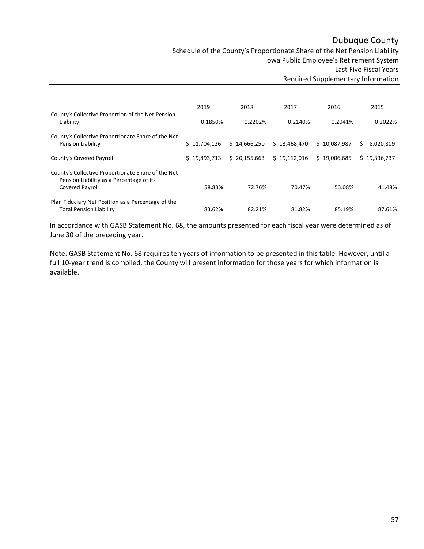Schedule of the County's Proportionate Share of the Net Pension Liability Iowa Public Employee's Retirement System Last Five Fiscal Years Required Supplementary Information

|                                                                                                                   | 2019         | 2018         | 2017         | 2016         | 2015           |
|-------------------------------------------------------------------------------------------------------------------|--------------|--------------|--------------|--------------|----------------|
| County's Collective Proportion of the Net Pension<br>Liability                                                    | 0.1850%      | 0.2202%      | 0.2140%      | 0.2041%      | 0.2022%        |
| County's Collective Proportionate Share of the Net<br>Pension Liability                                           | \$11.704.126 | \$14.666.250 | \$13,468,470 | \$10,087,987 | 8,020,809<br>S |
| County's Covered Payroll                                                                                          | \$19.893.713 | \$20.155.663 | \$19.112.016 | \$19,006,685 | \$19,336,737   |
| County's Collective Proportionate Share of the Net<br>Pension Liability as a Percentage of its<br>Covered Payroll | 58.83%       | 72.76%       | 70.47%       | 53.08%       | 41.48%         |
| Plan Fiduciary Net Position as a Percentage of the<br><b>Total Pension Liability</b>                              | 83.62%       | 82.21%       | 81.82%       | 85.19%       | 87.61%         |

In accordance with GASB Statement No. 68, the amounts presented for each fiscal year were determined as of June 30 of the preceding year.

Note: GASB Statement No. 68 requires ten years of information to be presented in this table. However, until a full 10‐year trend is compiled, the County will present information for those years for which information is available.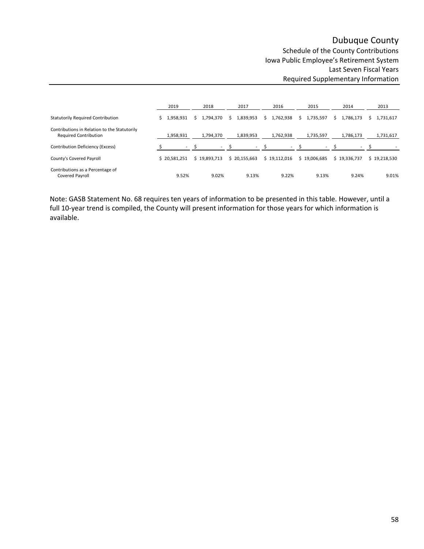Schedule of the County Contributions Iowa Public Employee's Retirement System Last Seven Fiscal Years Required Supplementary Information

|                                                                              | 2019                     | 2018            | 2017         | 2016                     | 2015           | 2014                     | 2013           |
|------------------------------------------------------------------------------|--------------------------|-----------------|--------------|--------------------------|----------------|--------------------------|----------------|
| <b>Statutorily Required Contribution</b>                                     | 1,958,931<br>Ś.          | 1,794,370<br>S. | 1,839,953    | 1,762,938<br>S.          | 1,735,597<br>s | 1.786.173<br>Ś.          | 1,731,617<br>S |
| Contributions in Relation to the Statutorily<br><b>Required Contribution</b> | 1,958,931                | 1,794,370       | 1,839,953    | 1,762,938                | 1,735,597      | 1,786,173                | 1,731,617      |
| Contribution Deficiency (Excess)                                             | $\overline{\phantom{a}}$ | $\sim$          | $\sim$       | $\overline{\phantom{a}}$ | $\sim$         | $\overline{\phantom{a}}$ |                |
| County's Covered Payroll                                                     | \$20.581.251             | \$19.893.713    | \$20.155.663 | \$19,112,016             | \$19,006,685   | \$19.336.737             | \$19,218,530   |
| Contributions as a Percentage of<br>Covered Payroll                          | 9.52%                    | 9.02%           | 9.13%        | 9.22%                    | 9.13%          | 9.24%                    | 9.01%          |

Note: GASB Statement No. 68 requires ten years of information to be presented in this table. However, until a full 10‐year trend is compiled, the County will present information for those years for which information is available.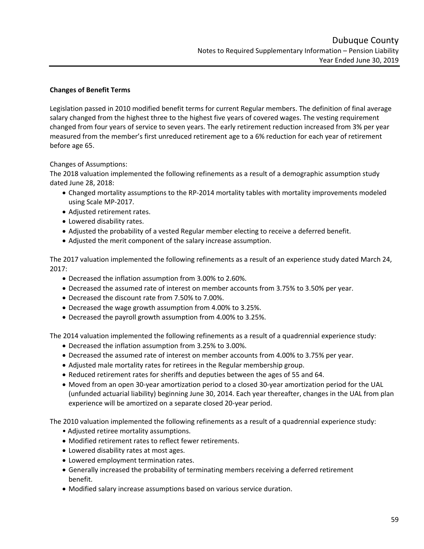#### **Changes of Benefit Terms**

Legislation passed in 2010 modified benefit terms for current Regular members. The definition of final average salary changed from the highest three to the highest five years of covered wages. The vesting requirement changed from four years of service to seven years. The early retirement reduction increased from 3% per year measured from the member's first unreduced retirement age to a 6% reduction for each year of retirement before age 65.

Changes of Assumptions:

The 2018 valuation implemented the following refinements as a result of a demographic assumption study dated June 28, 2018:

- Changed mortality assumptions to the RP‐2014 mortality tables with mortality improvements modeled using Scale MP‐2017.
- Adjusted retirement rates.
- Lowered disability rates.
- Adjusted the probability of a vested Regular member electing to receive a deferred benefit.
- Adjusted the merit component of the salary increase assumption.

The 2017 valuation implemented the following refinements as a result of an experience study dated March 24, 2017:

- Decreased the inflation assumption from 3.00% to 2.60%.
- Decreased the assumed rate of interest on member accounts from 3.75% to 3.50% per year.
- Decreased the discount rate from 7.50% to 7.00%.
- Decreased the wage growth assumption from 4.00% to 3.25%.
- Decreased the payroll growth assumption from 4.00% to 3.25%.

The 2014 valuation implemented the following refinements as a result of a quadrennial experience study:

- Decreased the inflation assumption from 3.25% to 3.00%.
- Decreased the assumed rate of interest on member accounts from 4.00% to 3.75% per year.
- Adjusted male mortality rates for retirees in the Regular membership group.
- Reduced retirement rates for sheriffs and deputies between the ages of 55 and 64.
- Moved from an open 30‐year amortization period to a closed 30‐year amortization period for the UAL (unfunded actuarial liability) beginning June 30, 2014. Each year thereafter, changes in the UAL from plan experience will be amortized on a separate closed 20‐year period.

The 2010 valuation implemented the following refinements as a result of a quadrennial experience study:

- Adjusted retiree mortality assumptions.
- Modified retirement rates to reflect fewer retirements.
- Lowered disability rates at most ages.
- Lowered employment termination rates.
- Generally increased the probability of terminating members receiving a deferred retirement benefit.
- Modified salary increase assumptions based on various service duration.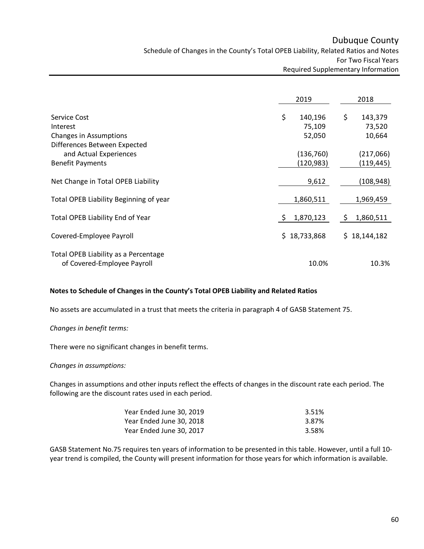#### Dubuque County Schedule of Changes in the County's Total OPEB Liability, Related Ratios and Notes For Two Fiscal Years Required Supplementary Information

|                                                                                    |    | 2019                        | 2018                              |
|------------------------------------------------------------------------------------|----|-----------------------------|-----------------------------------|
| Service Cost<br>Interest<br>Changes in Assumptions<br>Differences Between Expected | \$ | 140,196<br>75,109<br>52,050 | \$<br>143,379<br>73,520<br>10,664 |
| and Actual Experiences<br><b>Benefit Payments</b>                                  |    | (136, 760)<br>(120, 983)    | (217,066)<br>(119,445)            |
| Net Change in Total OPEB Liability                                                 |    | 9,612                       | (108,948)                         |
| Total OPEB Liability Beginning of year                                             |    | 1,860,511                   | 1,969,459                         |
| <b>Total OPEB Liability End of Year</b>                                            | S. | 1,870,123                   | \$<br>1,860,511                   |
| Covered-Employee Payroll                                                           |    | \$18,733,868                | \$18,144,182                      |
| Total OPEB Liability as a Percentage<br>of Covered-Employee Payroll                |    | 10.0%                       | 10.3%                             |

#### **Notes to Schedule of Changes in the County's Total OPEB Liability and Related Ratios**

No assets are accumulated in a trust that meets the criteria in paragraph 4 of GASB Statement 75.

*Changes in benefit terms:* 

There were no significant changes in benefit terms.

*Changes in assumptions:* 

Changes in assumptions and other inputs reflect the effects of changes in the discount rate each period. The following are the discount rates used in each period.

| Year Ended June 30, 2019 | 3.51% |
|--------------------------|-------|
| Year Ended June 30, 2018 | 3.87% |
| Year Ended June 30, 2017 | 3.58% |

GASB Statement No.75 requires ten years of information to be presented in this table. However, until a full 10‐ year trend is compiled, the County will present information for those years for which information is available.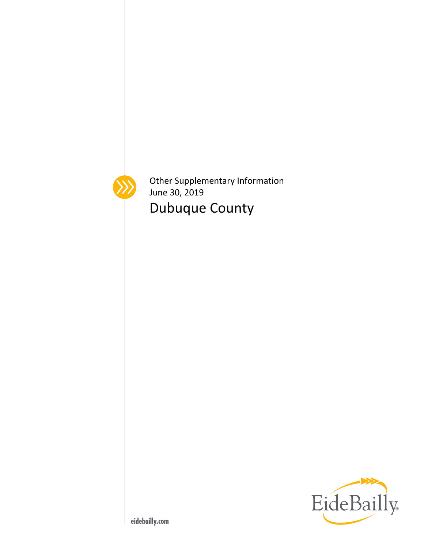

Other Supplementary Information June 30, 2019 Dubuque County

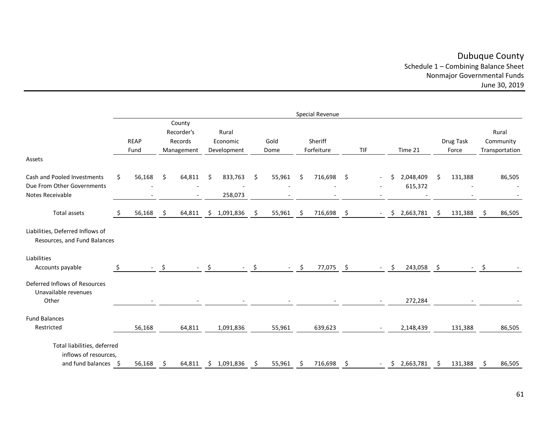### Dubuque County Schedule 1 – Combining Balance Sheet Nonmajor Governmental Funds June 30, 2019

|                                                                               |    |                     |      |                                               |    |                                  |     |              |      | Special Revenue       |     |     |    |                      |     |                    |      |                                      |
|-------------------------------------------------------------------------------|----|---------------------|------|-----------------------------------------------|----|----------------------------------|-----|--------------|------|-----------------------|-----|-----|----|----------------------|-----|--------------------|------|--------------------------------------|
|                                                                               |    | <b>REAP</b><br>Fund |      | County<br>Recorder's<br>Records<br>Management |    | Rural<br>Economic<br>Development |     | Gold<br>Dome |      | Sheriff<br>Forfeiture |     | TIF |    | Time 21              |     | Drug Task<br>Force |      | Rural<br>Community<br>Transportation |
| Assets                                                                        |    |                     |      |                                               |    |                                  |     |              |      |                       |     |     |    |                      |     |                    |      |                                      |
| Cash and Pooled Investments<br>Due From Other Governments<br>Notes Receivable | \$ | 56,168              | \$   | 64,811                                        | Ŝ. | 833,763<br>258,073               | Ŝ.  | 55,961       | Ŝ.   | 716,698               | Ŝ.  |     | Ŝ. | 2,048,409<br>615,372 | Ŝ.  | 131,388            |      | 86,505                               |
| Total assets                                                                  | -Ş | 56,168              | - \$ | 64,811                                        | \$ | 1,091,836                        | -\$ | 55,961       | - \$ | 716,698               | \$  |     | \$ | 2,663,781            | \$  | 131,388            | - \$ | 86,505                               |
| Liabilities, Deferred Inflows of<br>Resources, and Fund Balances              |    |                     |      |                                               |    |                                  |     |              |      |                       |     |     |    |                      |     |                    |      |                                      |
| Liabilities                                                                   |    |                     |      |                                               |    |                                  |     |              |      |                       |     |     |    |                      |     |                    |      |                                      |
| Accounts payable                                                              | Ŝ. |                     | \$   |                                               | Ś. |                                  | Ŝ.  |              | Ŝ.   | 77,075                | S.  |     | Ŝ. | 243,058 \$           |     |                    | -\$  |                                      |
| Deferred Inflows of Resources<br>Unavailable revenues                         |    |                     |      |                                               |    |                                  |     |              |      |                       |     |     |    |                      |     |                    |      |                                      |
| Other                                                                         |    |                     |      |                                               |    |                                  |     |              |      |                       |     |     |    | 272,284              |     |                    |      |                                      |
| <b>Fund Balances</b><br>Restricted                                            |    | 56,168              |      | 64,811                                        |    | 1,091,836                        |     | 55,961       |      | 639,623               |     |     |    | 2,148,439            |     | 131,388            |      | 86,505                               |
| Total liabilities, deferred<br>inflows of resources,<br>and fund balances \$  |    | 56,168              | -\$  | 64,811                                        |    | \$1,091,836                      | S   | 55,961       | -S   | 716,698               | -\$ |     |    | \$2,663,781          | \$. | 131,388            | S    | 86,505                               |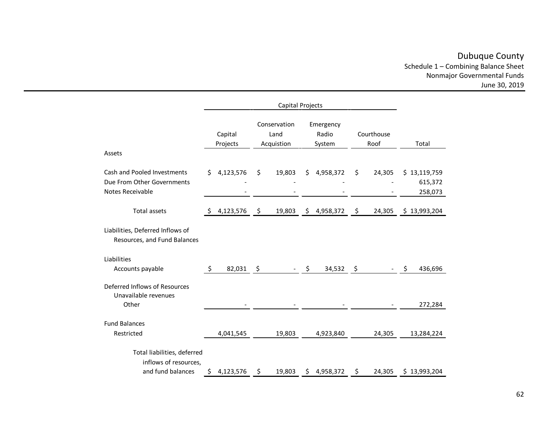### Dubuque County Schedule 1 – Combining Balance Sheet Nonmajor Governmental Funds June 30, 2019

|                                                                               | Capital<br>Projects |           | Conservation<br>Land<br>Acquistion |        | Emergency<br>Radio<br>System |           | Courthouse<br>Roof  |        | Total                              |
|-------------------------------------------------------------------------------|---------------------|-----------|------------------------------------|--------|------------------------------|-----------|---------------------|--------|------------------------------------|
| Assets                                                                        |                     |           |                                    |        |                              |           |                     |        |                                    |
| Cash and Pooled Investments<br>Due From Other Governments<br>Notes Receivable | Ś.                  | 4,123,576 | \$                                 | 19,803 | \$.                          | 4,958,372 | \$                  | 24,305 | \$13,119,759<br>615,372<br>258,073 |
| <b>Total assets</b>                                                           | \$                  | 4,123,576 | \$                                 | 19,803 | $\mathsf{S}$                 | 4,958,372 | $\ddot{\mathsf{s}}$ | 24,305 | \$13,993,204                       |
| Liabilities, Deferred Inflows of<br>Resources, and Fund Balances              |                     |           |                                    |        |                              |           |                     |        |                                    |
| Liabilities                                                                   |                     |           |                                    |        |                              |           |                     |        |                                    |
| Accounts payable                                                              | \$                  | 82,031    | \$                                 |        | \$                           | 34,532    | -\$                 |        | \$<br>436,696                      |
| Deferred Inflows of Resources<br>Unavailable revenues                         |                     |           |                                    |        |                              |           |                     |        |                                    |
| Other                                                                         |                     |           |                                    |        |                              |           |                     |        | 272,284                            |
| <b>Fund Balances</b>                                                          |                     |           |                                    |        |                              |           |                     |        |                                    |
| Restricted                                                                    |                     | 4,041,545 |                                    | 19,803 |                              | 4,923,840 |                     | 24,305 | 13,284,224                         |
| Total liabilities, deferred<br>inflows of resources,                          |                     |           |                                    |        |                              |           |                     |        |                                    |
| and fund balances                                                             | Ś.                  | 4,123,576 | \$                                 | 19,803 | \$                           | 4,958,372 | \$                  | 24,305 | \$13,993,204                       |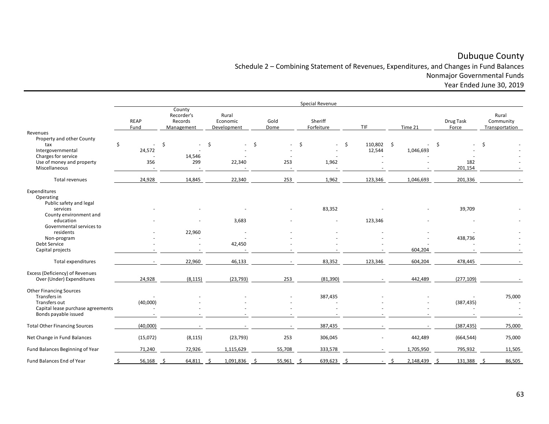Schedule 2 – Combining Statement of Revenues, Expenditures, and Changes in Fund Balances Nonmajor Governmental Funds Year Ended June 30, 2019

|                                                                            |                     |                                               |                                  |              | Special Revenue       |                |                    |                    |                                      |
|----------------------------------------------------------------------------|---------------------|-----------------------------------------------|----------------------------------|--------------|-----------------------|----------------|--------------------|--------------------|--------------------------------------|
|                                                                            | <b>REAP</b><br>Fund | County<br>Recorder's<br>Records<br>Management | Rural<br>Economic<br>Development | Gold<br>Dome | Sheriff<br>Forfeiture | TIF            | Time 21            | Drug Task<br>Force | Rural<br>Community<br>Transportation |
| Revenues<br>Property and other County<br>tax                               | \$<br>$\sim$        | \$<br>$\sim$                                  | Ś.                               | Ś            | Ŝ.<br>$\sim$ 10 $\pm$ | -\$<br>110,802 | \$<br>$\sim$       | Ŝ.                 | Ŝ.                                   |
| Intergovernmental                                                          | 24,572              |                                               |                                  |              |                       | 12,544         | 1,046,693          |                    |                                      |
| Charges for service<br>Use of money and property<br>Miscellaneous          | 356                 | 14,546<br>299                                 | 22,340                           | 253          | 1,962                 |                |                    | 182<br>201,154     |                                      |
| <b>Total revenues</b>                                                      | 24,928              | 14,845                                        | 22,340                           | 253          | 1,962                 | 123,346        | 1,046,693          | 201,336            |                                      |
| Expenditures<br>Operating<br>Public safety and legal                       |                     |                                               |                                  |              |                       |                |                    |                    |                                      |
| services<br>County environment and                                         |                     |                                               |                                  |              | 83,352                |                |                    | 39,709             |                                      |
| education<br>Governmental services to                                      |                     |                                               | 3,683                            |              |                       | 123,346        |                    |                    |                                      |
| residents                                                                  |                     | 22,960                                        |                                  |              |                       |                |                    |                    |                                      |
| Non-program                                                                |                     |                                               |                                  |              |                       |                |                    | 438,736            |                                      |
| Debt Service<br>Capital projects                                           |                     |                                               | 42,450                           |              |                       |                | 604,204            |                    |                                      |
| Total expenditures                                                         |                     | 22,960                                        | 46,133                           |              | 83,352                | 123,346        | 604,204            | 478,445            |                                      |
| Excess (Deficiency) of Revenues                                            |                     |                                               |                                  |              |                       |                |                    |                    |                                      |
| Over (Under) Expenditures                                                  | 24,928              | (8, 115)                                      | (23, 793)                        | 253          | (81, 390)             |                | 442,489            | (277, 109)         |                                      |
| <b>Other Financing Sources</b><br>Transfers in                             |                     |                                               |                                  |              | 387,435               |                |                    |                    | 75,000                               |
| Transfers out<br>Capital lease purchase agreements<br>Bonds payable issued | (40,000)            |                                               |                                  |              |                       |                |                    | (387, 435)         | $\sim$                               |
|                                                                            |                     |                                               |                                  |              |                       |                |                    |                    |                                      |
| <b>Total Other Financing Sources</b>                                       | (40,000)            |                                               |                                  |              | 387,435               |                |                    | (387, 435)         | 75,000                               |
| Net Change in Fund Balances                                                | (15,072)            | (8, 115)                                      | (23, 793)                        | 253          | 306,045               |                | 442,489            | (664, 544)         | 75,000                               |
| Fund Balances Beginning of Year                                            | 71,240              | 72,926                                        | 1,115,629                        | 55,708       | 333,578               |                | 1,705,950          | 795,932            | 11,505                               |
| Fund Balances End of Year                                                  | 56,168              | 64,811<br>- \$                                | 1,091,836 \$<br>- Ś              | 55,961       | 639,623<br>-Ś         | $\zeta$        | 2,148,439 \$<br>Ś. | 131,388 \$         | 86,505                               |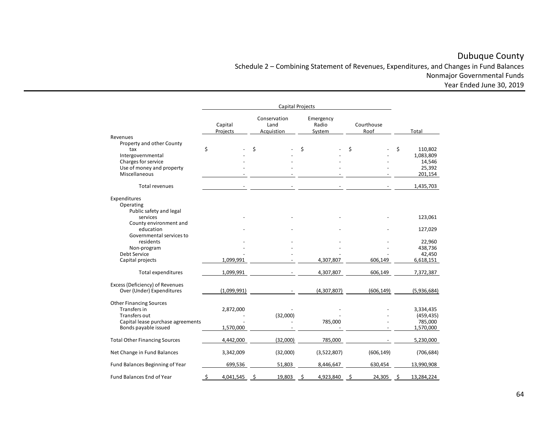Schedule 2 – Combining Statement of Revenues, Expenditures, and Changes in Fund Balances Nonmajor Governmental Funds Year Ended June 30, 2019

|                                                                                                                              | Capital<br>Projects    | Conservation<br>Land<br>Acquistion | Emergency<br>Radio<br>System | Courthouse<br>Roof | Total                                                    |
|------------------------------------------------------------------------------------------------------------------------------|------------------------|------------------------------------|------------------------------|--------------------|----------------------------------------------------------|
| Revenues                                                                                                                     |                        |                                    |                              |                    |                                                          |
| Property and other County<br>tax<br>Intergovernmental<br>Charges for service<br>Use of money and property<br>Miscellaneous   | \$                     | \$                                 | \$                           | \$                 | Ś<br>110,802<br>1,083,809<br>14,546<br>25,392<br>201,154 |
| <b>Total revenues</b>                                                                                                        |                        |                                    |                              |                    | 1,435,703                                                |
| Expenditures<br>Operating<br>Public safety and legal                                                                         |                        |                                    |                              |                    |                                                          |
| services                                                                                                                     |                        |                                    |                              |                    | 123,061                                                  |
| County environment and<br>education<br>Governmental services to                                                              |                        |                                    |                              |                    | 127,029                                                  |
| residents                                                                                                                    |                        |                                    |                              |                    | 22,960                                                   |
| Non-program                                                                                                                  |                        |                                    |                              |                    | 438,736                                                  |
| Debt Service                                                                                                                 |                        |                                    |                              |                    | 42,450                                                   |
| Capital projects                                                                                                             | 1,099,991              |                                    | 4,307,807                    | 606,149            | 6,618,151                                                |
| <b>Total expenditures</b>                                                                                                    | 1,099,991              |                                    | 4,307,807                    | 606,149            | 7,372,387                                                |
| Excess (Deficiency) of Revenues<br>Over (Under) Expenditures                                                                 | (1,099,991)            |                                    | (4,307,807)                  | (606, 149)         | (5,936,684)                                              |
| <b>Other Financing Sources</b><br>Transfers in<br>Transfers out<br>Capital lease purchase agreements<br>Bonds payable issued | 2,872,000<br>1,570,000 | (32,000)                           | 785,000                      |                    | 3,334,435<br>(459, 435)<br>785,000<br>1,570,000          |
| <b>Total Other Financing Sources</b>                                                                                         | 4,442,000              | (32,000)                           | 785,000                      |                    | 5,230,000                                                |
| Net Change in Fund Balances                                                                                                  | 3,342,009              | (32,000)                           | (3,522,807)                  | (606, 149)         | (706, 684)                                               |
| Fund Balances Beginning of Year                                                                                              | 699,536                | 51,803                             | 8,446,647                    | 630,454            | 13,990,908                                               |
| <b>Fund Balances End of Year</b>                                                                                             | 4,041,545<br>Ś         | Ś.<br>19,803                       | 4,923,840<br>Ŝ.              | 24,305<br>Ŝ.       | 13,284,224<br>Ŝ.                                         |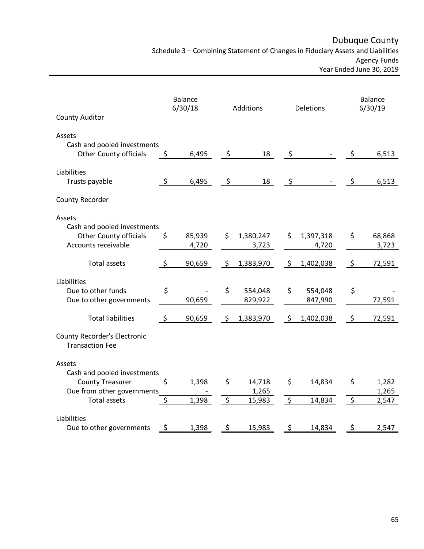Schedule 3 – Combining Statement of Changes in Fiduciary Assets and Liabilities Agency Funds Year Ended June 30, 2019

| <b>County Auditor</b>                                         |         | <b>Balance</b><br>6/30/18 |                    | Additions |         | Deletions | <b>Balance</b><br>6/30/19 |        |
|---------------------------------------------------------------|---------|---------------------------|--------------------|-----------|---------|-----------|---------------------------|--------|
| Assets                                                        |         |                           |                    |           |         |           |                           |        |
| Cash and pooled investments                                   |         |                           |                    |           |         |           |                           |        |
| <b>Other County officials</b>                                 | \$      | 6,495                     | \$                 | 18        | \$      |           | \$                        | 6,513  |
| Liabilities                                                   |         |                           |                    |           |         |           |                           |        |
| Trusts payable                                                | $\zeta$ | 6,495                     | \$                 | 18        | \$      |           | \$                        | 6,513  |
| County Recorder                                               |         |                           |                    |           |         |           |                           |        |
| Assets                                                        |         |                           |                    |           |         |           |                           |        |
| Cash and pooled investments                                   |         |                           |                    |           |         |           |                           |        |
| <b>Other County officials</b>                                 | \$      | 85,939                    | \$                 | 1,380,247 | \$.     | 1,397,318 | \$                        | 68,868 |
| Accounts receivable                                           |         | 4,720                     |                    | 3,723     |         | 4,720     |                           | 3,723  |
| <b>Total assets</b>                                           | $\zeta$ | 90,659                    | \$                 | 1,383,970 | \$      | 1,402,038 | -\$                       | 72,591 |
| Liabilities                                                   |         |                           |                    |           |         |           |                           |        |
| Due to other funds                                            | \$      |                           | \$                 | 554,048   | \$      | 554,048   | \$                        |        |
| Due to other governments                                      |         | 90,659                    |                    | 829,922   |         | 847,990   |                           | 72,591 |
|                                                               |         |                           |                    |           |         |           |                           |        |
| <b>Total liabilities</b>                                      | \$      | 90,659                    | \$                 | 1,383,970 | \$      | 1,402,038 | -\$                       | 72,591 |
| <b>County Recorder's Electronic</b><br><b>Transaction Fee</b> |         |                           |                    |           |         |           |                           |        |
| Assets                                                        |         |                           |                    |           |         |           |                           |        |
| Cash and pooled investments                                   |         |                           |                    |           |         |           |                           |        |
| <b>County Treasurer</b>                                       | \$      | 1,398                     | \$                 | 14,718    | \$      | 14,834    | \$                        | 1,282  |
| Due from other governments                                    |         |                           |                    | 1,265     |         |           |                           | 1,265  |
| <b>Total assets</b>                                           | \$      | 1,398                     | $\ddot{\varsigma}$ | 15,983    | $\zeta$ | 14,834    | $\ddot{\mathsf{S}}$       | 2,547  |
| Liabilities                                                   |         |                           |                    |           |         |           |                           |        |
| Due to other governments                                      | -\$     | 1,398                     | \$                 | 15,983    | \$      | 14,834    | \$                        | 2,547  |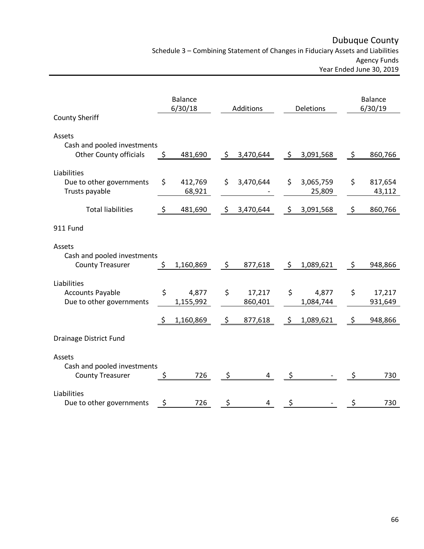Schedule 3 – Combining Statement of Changes in Fiduciary Assets and Liabilities Agency Funds Year Ended June 30, 2019

| <b>County Sheriff</b>                                        | <b>Balance</b><br>6/30/18 | Additions        | Deletions                 | <b>Balance</b><br>6/30/19 |
|--------------------------------------------------------------|---------------------------|------------------|---------------------------|---------------------------|
|                                                              |                           |                  |                           |                           |
| Assets                                                       |                           |                  |                           |                           |
| Cash and pooled investments<br><b>Other County officials</b> | \$<br>481,690             | \$<br>3,470,644  | \$3,091,568               | \$<br>860,766             |
| Liabilities                                                  |                           |                  |                           |                           |
| Due to other governments<br>Trusts payable                   | \$<br>412,769<br>68,921   | \$.<br>3,470,644 | 3,065,759<br>\$<br>25,809 | \$<br>817,654<br>43,112   |
| <b>Total liabilities</b>                                     | $\zeta$<br>481,690        | \$<br>3,470,644  | \$<br>3,091,568           | $\zeta$<br>860,766        |
| 911 Fund                                                     |                           |                  |                           |                           |
| Assets                                                       |                           |                  |                           |                           |
| Cash and pooled investments                                  |                           |                  |                           |                           |
| <b>County Treasurer</b>                                      | 1,160,869<br>S.           | 877,618<br>\$    | \$<br>1,089,621           | 948,866<br>\$             |
|                                                              |                           |                  |                           |                           |
| Liabilities<br><b>Accounts Payable</b>                       | \$<br>4,877               | \$<br>17,217     | \$<br>4,877               | \$<br>17,217              |
| Due to other governments                                     | 1,155,992                 | 860,401          | 1,084,744                 | 931,649                   |
|                                                              |                           |                  |                           |                           |
|                                                              | 1,160,869<br>\$           | \$<br>877,618    | \$<br>1,089,621           | -\$<br>948,866            |
| <b>Drainage District Fund</b>                                |                           |                  |                           |                           |
| Assets                                                       |                           |                  |                           |                           |
| Cash and pooled investments                                  |                           |                  |                           |                           |
| <b>County Treasurer</b>                                      | 726                       | S<br>4           |                           | 730                       |
| Liabilities                                                  |                           |                  |                           |                           |
| Due to other governments                                     | 726<br>\$                 | \$<br>4          | \$                        | 730                       |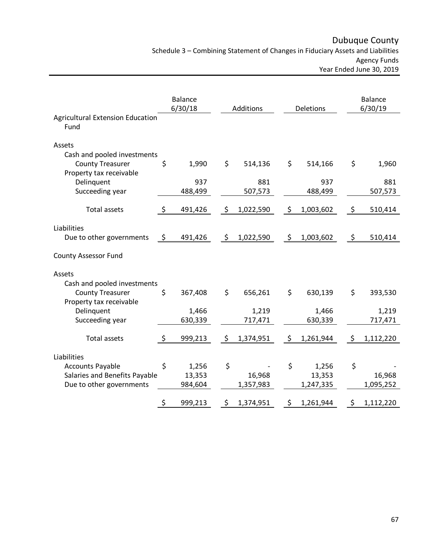| Schedule 3 – Combining Statement of Changes in Fiduciary Assets and Liabilities |
|---------------------------------------------------------------------------------|
| Agency Funds                                                                    |
| Year Ended June 30, 2019                                                        |

|                                                                                   | <b>Balance</b><br>6/30/18 |                    |     | Additions              |                     | Deletions              |         | <b>Balance</b><br>6/30/19 |  |
|-----------------------------------------------------------------------------------|---------------------------|--------------------|-----|------------------------|---------------------|------------------------|---------|---------------------------|--|
| <b>Agricultural Extension Education</b><br>Fund                                   |                           |                    |     |                        |                     |                        |         |                           |  |
| Assets<br>Cash and pooled investments<br><b>County Treasurer</b>                  | \$                        | 1,990              | \$  | 514,136                | \$                  | 514,166                | \$      | 1,960                     |  |
| Property tax receivable<br>Delinquent                                             |                           | 937                |     | 881                    |                     | 937                    |         | 881                       |  |
| Succeeding year                                                                   |                           | 488,499            |     | 507,573                |                     | 488,499                |         | 507,573                   |  |
| <b>Total assets</b>                                                               | $\zeta$                   | 491,426            | \$  | 1,022,590              | \$                  | 1,003,602              | \$      | 510,414                   |  |
| Liabilities<br>Due to other governments                                           | $\zeta$                   | 491,426            | \$  | 1,022,590              | \$                  | 1,003,602              | $\zeta$ | 510,414                   |  |
| <b>County Assessor Fund</b>                                                       |                           |                    |     |                        |                     |                        |         |                           |  |
| Assets                                                                            |                           |                    |     |                        |                     |                        |         |                           |  |
| Cash and pooled investments<br><b>County Treasurer</b><br>Property tax receivable | \$                        | 367,408            | \$  | 656,261                | \$                  | 630,139                | \$      | 393,530                   |  |
| Delinquent<br>Succeeding year                                                     |                           | 1,466<br>630,339   |     | 1,219<br>717,471       |                     | 1,466<br>630,339       |         | 1,219<br>717,471          |  |
| <b>Total assets</b>                                                               | $\zeta$                   | 999,213            | \$. | 1,374,951              | \$.                 | 1,261,944              | \$      | 1,112,220                 |  |
| Liabilities                                                                       |                           |                    |     |                        |                     |                        |         |                           |  |
| <b>Accounts Payable</b><br>Salaries and Benefits Payable                          | \$                        | 1,256<br>13,353    | \$  | 16,968                 | \$                  | 1,256<br>13,353        | \$      | 16,968                    |  |
| Due to other governments                                                          | \$                        | 984,604<br>999,213 | \$  | 1,357,983<br>1,374,951 | $\ddot{\mathsf{S}}$ | 1,247,335<br>1,261,944 | \$      | 1,095,252<br>1,112,220    |  |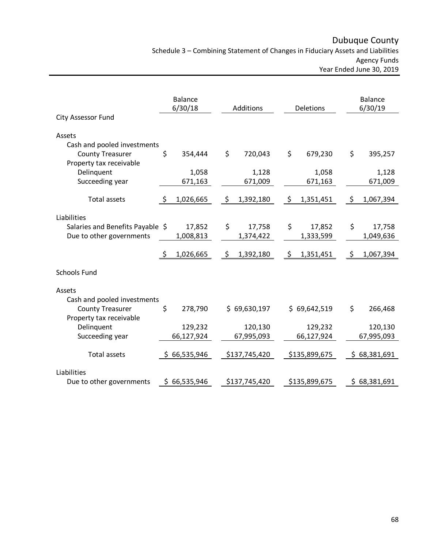## Dubuque County Schedule 3 – Combining Statement of Changes in Fiduciary Assets and Liabilities Agency Funds Year Ended June 30, 2019

| City Assessor Fund               |         | <b>Balance</b><br>6/30/18 | Additions          |               |    |               | Deletions       |  | <b>Balance</b><br>6/30/19 |
|----------------------------------|---------|---------------------------|--------------------|---------------|----|---------------|-----------------|--|---------------------------|
| Assets                           |         |                           |                    |               |    |               |                 |  |                           |
| Cash and pooled investments      |         |                           |                    |               |    |               |                 |  |                           |
| <b>County Treasurer</b>          | \$      | 354,444                   | \$                 | 720,043       | \$ | 679,230       | \$<br>395,257   |  |                           |
| Property tax receivable          |         |                           |                    |               |    |               |                 |  |                           |
| Delinquent                       |         | 1,058                     |                    | 1,128         |    | 1,058         | 1,128           |  |                           |
| Succeeding year                  |         | 671,163                   |                    | 671,009       |    | 671,163       | 671,009         |  |                           |
|                                  |         |                           |                    |               |    |               |                 |  |                           |
| <b>Total assets</b>              | Ŝ.      | 1,026,665                 | S.                 | 1,392,180     | \$ | 1,351,451     | \$<br>1,067,394 |  |                           |
|                                  |         |                           |                    |               |    |               |                 |  |                           |
| Liabilities                      |         |                           |                    |               |    |               |                 |  |                           |
| Salaries and Benefits Payable \$ |         | 17,852                    | \$                 | 17,758        | \$ | 17,852        | \$<br>17,758    |  |                           |
| Due to other governments         |         | 1,008,813                 |                    | 1,374,422     |    | 1,333,599     | 1,049,636       |  |                           |
|                                  |         |                           |                    |               |    |               |                 |  |                           |
|                                  | $\zeta$ | 1,026,665                 | $\ddot{\varsigma}$ | 1,392,180     | \$ | 1,351,451     | \$<br>1,067,394 |  |                           |
|                                  |         |                           |                    |               |    |               |                 |  |                           |
| <b>Schools Fund</b>              |         |                           |                    |               |    |               |                 |  |                           |
|                                  |         |                           |                    |               |    |               |                 |  |                           |
| Assets                           |         |                           |                    |               |    |               |                 |  |                           |
| Cash and pooled investments      |         |                           |                    |               |    |               |                 |  |                           |
| <b>County Treasurer</b>          | \$      | 278,790                   |                    | \$69,630,197  |    | \$69,642,519  | \$<br>266,468   |  |                           |
| Property tax receivable          |         |                           |                    |               |    |               |                 |  |                           |
| Delinquent                       |         | 129,232                   |                    | 120,130       |    | 129,232       | 120,130         |  |                           |
| Succeeding year                  |         | 66,127,924                |                    | 67,995,093    |    | 66,127,924    | 67,995,093      |  |                           |
|                                  |         |                           |                    |               |    |               |                 |  |                           |
| <b>Total assets</b>              |         | \$66,535,946              |                    | \$137,745,420 |    | \$135,899,675 | \$68,381,691    |  |                           |
|                                  |         |                           |                    |               |    |               |                 |  |                           |
| Liabilities                      |         |                           |                    |               |    |               |                 |  |                           |
| Due to other governments         |         | \$66,535,946              |                    | \$137,745,420 |    | \$135,899,675 | \$68,381,691    |  |                           |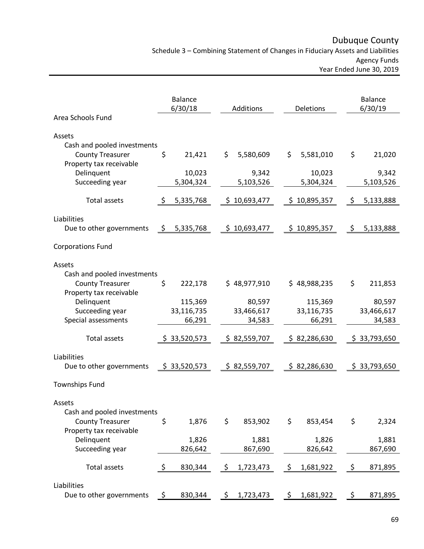Schedule 3 – Combining Statement of Changes in Fiduciary Assets and Liabilities Agency Funds Year Ended June 30, 2019

|                             | <b>Balance</b><br>6/30/18<br>Additions<br>Deletions |                                   | <b>Balance</b><br>6/30/19        |                                  |
|-----------------------------|-----------------------------------------------------|-----------------------------------|----------------------------------|----------------------------------|
| Area Schools Fund           |                                                     |                                   |                                  |                                  |
| Assets                      |                                                     |                                   |                                  |                                  |
| Cash and pooled investments |                                                     |                                   |                                  |                                  |
| <b>County Treasurer</b>     | \$<br>21,421                                        | \$<br>5,580,609                   | 5,581,010<br>\$.                 | \$<br>21,020                     |
| Property tax receivable     |                                                     |                                   |                                  |                                  |
| Delinquent                  | 10,023                                              | 9,342                             | 10,023                           | 9,342                            |
| Succeeding year             | 5,304,324                                           | 5,103,526                         | 5,304,324                        | 5,103,526                        |
| <b>Total assets</b>         | 5,335,768<br><sub>S</sub>                           | \$10,693,477                      | \$10,895,357                     | \$<br>5,133,888                  |
| Liabilities                 |                                                     |                                   |                                  |                                  |
| Due to other governments    | \$5,335,768                                         | \$10,693,477                      | \$10,895,357                     | 5,133,888<br>$\ddot{\mathsf{S}}$ |
| <b>Corporations Fund</b>    |                                                     |                                   |                                  |                                  |
| Assets                      |                                                     |                                   |                                  |                                  |
| Cash and pooled investments |                                                     |                                   |                                  |                                  |
| <b>County Treasurer</b>     | \$<br>222,178                                       | \$48,977,910                      | \$48,988,235                     | \$<br>211,853                    |
| Property tax receivable     |                                                     |                                   |                                  |                                  |
| Delinquent                  | 115,369                                             | 80,597                            | 115,369                          | 80,597                           |
| Succeeding year             | 33,116,735                                          | 33,466,617                        | 33,116,735                       | 33,466,617                       |
| Special assessments         | 66,291                                              | 34,583                            | 66,291                           | 34,583                           |
| <b>Total assets</b>         | \$33,520,573                                        | \$82,559,707                      | \$2,286,630                      | \$33,793,650                     |
| Liabilities                 |                                                     |                                   |                                  |                                  |
| Due to other governments    | \$33,520,573                                        | \$82,559,707                      | \$82,286,630                     | \$33,793,650                     |
| <b>Townships Fund</b>       |                                                     |                                   |                                  |                                  |
| Assets                      |                                                     |                                   |                                  |                                  |
| Cash and pooled investments |                                                     |                                   |                                  |                                  |
| <b>County Treasurer</b>     | \$<br>1,876                                         | \$<br>853,902                     | \$<br>853,454                    | \$<br>2,324                      |
| Property tax receivable     |                                                     |                                   |                                  |                                  |
| Delinquent                  | 1,826                                               | 1,881                             | 1,826                            | 1,881                            |
| Succeeding year             | 826,642                                             | 867,690                           | 826,642                          | 867,690                          |
| Total assets                | $\zeta$<br>830,344                                  | $\hat{\mathfrak{Z}}$<br>1,723,473 | $\ddot{\varsigma}$<br>1,681,922  | - \$<br>871,895                  |
| Liabilities                 |                                                     |                                   |                                  |                                  |
| Due to other governments    | 830,344<br>$\ddot{\mathsf{S}}$                      | $\ddot{\mathsf{S}}$<br>1,723,473  | $\ddot{\mathsf{S}}$<br>1,681,922 | \$<br>871,895                    |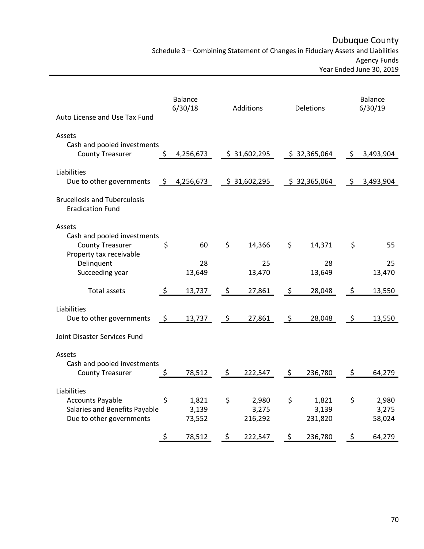Schedule 3 – Combining Statement of Changes in Fiduciary Assets and Liabilities Agency Funds Year Ended June 30, 2019

| Auto License and Use Tax Fund                                                                                                |                | <b>Balance</b><br>6/30/18 |                     | Additions                 |         | Deletions                 |                     | <b>Balance</b><br>6/30/19 |  |
|------------------------------------------------------------------------------------------------------------------------------|----------------|---------------------------|---------------------|---------------------------|---------|---------------------------|---------------------|---------------------------|--|
| Assets<br>Cash and pooled investments<br><b>County Treasurer</b>                                                             | \$             | 4,256,673                 |                     | \$31,602,295              |         | \$32,365,064              | $\ddot{\zeta}$      | 3,493,904                 |  |
| Liabilities<br>Due to other governments                                                                                      | $\ddot{\zeta}$ | 4,256,673                 |                     | \$31,602,295              |         | \$32,365,064              | $\ddot{\mathsf{S}}$ | 3,493,904                 |  |
| <b>Brucellosis and Tuberculosis</b><br><b>Eradication Fund</b>                                                               |                |                           |                     |                           |         |                           |                     |                           |  |
| Assets<br>Cash and pooled investments<br><b>County Treasurer</b><br>Property tax receivable<br>Delinquent<br>Succeeding year | \$             | 60<br>28<br>13,649        | \$                  | 14,366<br>25<br>13,470    | \$      | 14,371<br>28<br>13,649    | \$                  | 55<br>25<br>13,470        |  |
| Total assets                                                                                                                 | $\zeta$        | 13,737                    | \$                  | 27,861                    | $\zeta$ | 28,048                    | \$                  | 13,550                    |  |
| Liabilities<br>Due to other governments<br>Joint Disaster Services Fund                                                      | \$             | 13,737                    | \$                  | 27,861                    | -\$     | 28,048                    | \$                  | 13,550                    |  |
| Assets<br>Cash and pooled investments<br><b>County Treasurer</b>                                                             | S              | 78,512                    | $\ddot{\mathsf{S}}$ | 222,547                   | $\zeta$ | 236,780                   | \$                  | 64,279                    |  |
| Liabilities<br><b>Accounts Payable</b><br>Salaries and Benefits Payable<br>Due to other governments                          | \$             | 1,821<br>3,139<br>73,552  | \$                  | 2,980<br>3,275<br>216,292 | \$      | 1,821<br>3,139<br>231,820 | \$                  | 2,980<br>3,275<br>58,024  |  |
|                                                                                                                              | \$             | 78,512                    | \$                  | 222,547                   | \$      | 236,780                   | \$                  | 64,279                    |  |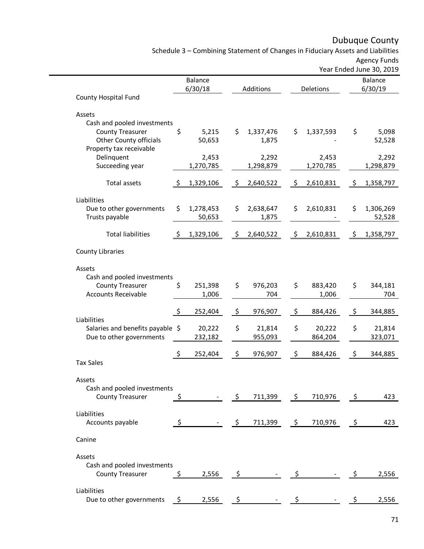Schedule 3 – Combining Statement of Changes in Fiduciary Assets and Liabilities Agency Funds

Year Ended June 30, 2019

|                                  | <b>Balance</b><br>6/30/18 | Additions                      | Deletions                      | <b>Balance</b><br>6/30/19 |
|----------------------------------|---------------------------|--------------------------------|--------------------------------|---------------------------|
| County Hospital Fund             |                           |                                |                                |                           |
| Assets                           |                           |                                |                                |                           |
| Cash and pooled investments      |                           |                                |                                |                           |
| <b>County Treasurer</b>          | \$<br>5,215               | \$<br>1,337,476                | 1,337,593<br>\$.               | \$<br>5,098               |
| <b>Other County officials</b>    | 50,653                    | 1,875                          |                                | 52,528                    |
| Property tax receivable          |                           |                                |                                |                           |
| Delinquent                       | 2,453                     | 2,292                          | 2,453                          | 2,292                     |
| Succeeding year                  | 1,270,785                 | 1,298,879                      | 1,270,785                      | 1,298,879                 |
| Total assets                     | \$<br>1,329,106           | \$<br>2,640,522                | \$<br>2,610,831                | \$<br>1,358,797           |
| Liabilities                      |                           |                                |                                |                           |
| Due to other governments         | \$<br>1,278,453           | \$<br>2,638,647                | \$.<br>2,610,831               | 1,306,269<br>\$.          |
| Trusts payable                   | 50,653                    | 1,875                          |                                | 52,528                    |
| <b>Total liabilities</b>         | 1,329,106<br>-\$          | \$<br>2,640,522                | \$<br>2,610,831                | $\zeta$<br>1,358,797      |
| <b>County Libraries</b>          |                           |                                |                                |                           |
| Assets                           |                           |                                |                                |                           |
| Cash and pooled investments      |                           |                                |                                |                           |
| <b>County Treasurer</b>          | \$<br>251,398             | \$<br>976,203                  | \$<br>883,420                  | \$<br>344,181             |
| <b>Accounts Receivable</b>       | 1,006                     | 704                            | 1,006                          | 704                       |
|                                  | $\zeta$<br>252,404        | $\ddot{\mathsf{S}}$<br>976,907 | \$<br>884,426                  | \$<br>344,885             |
| Liabilities                      |                           |                                |                                |                           |
| Salaries and benefits payable \$ | 20,222                    | \$<br>21,814                   | \$<br>20,222                   | \$<br>21,814              |
| Due to other governments         | 232,182                   | 955,093                        | 864,204                        | 323,071                   |
|                                  | $\ddot{\phi}$<br>252,404  | \$<br>976,907                  | \$<br>884,426                  | \$<br>344,885             |
| <b>Tax Sales</b>                 |                           |                                |                                |                           |
| Assets                           |                           |                                |                                |                           |
| Cash and pooled investments      |                           |                                |                                |                           |
| <b>County Treasurer</b>          |                           | 711,399<br>$\ddot{\mathsf{S}}$ | 710,976<br>$\ddot{\mathsf{S}}$ | \$<br>423                 |
| Liabilities                      |                           |                                |                                |                           |
| Accounts payable                 | $\ddot{\mathsf{S}}$       | 711,399<br>$\ddot{\zeta}$      | 710,976<br>$\ddot{\zeta}$      | 423<br>- \$               |
| Canine                           |                           |                                |                                |                           |
| Assets                           |                           |                                |                                |                           |
| Cash and pooled investments      |                           |                                |                                |                           |
| <b>County Treasurer</b>          | 2,556<br>\$               | $\frac{1}{2}$                  | $\ddot{\mathsf{s}}$            | 2,556                     |
| Liabilities                      |                           |                                |                                |                           |
| Due to other governments         | 2,556<br>\$               | \$                             |                                | 2,556                     |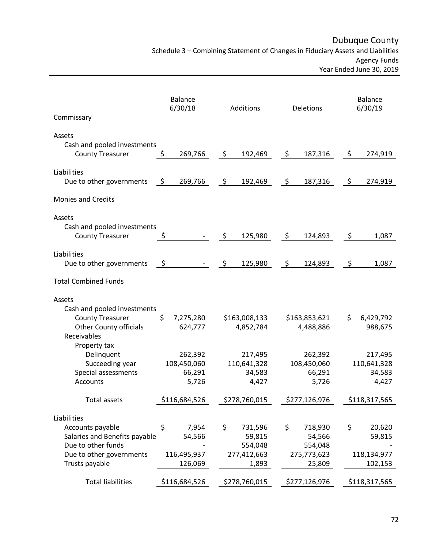Schedule 3 – Combining Statement of Changes in Fiduciary Assets and Liabilities Agency Funds Year Ended June 30, 2019

|                                                        | <b>Balance</b><br>6/30/18 | Additions<br>Deletions |                       | <b>Balance</b><br>6/30/19     |
|--------------------------------------------------------|---------------------------|------------------------|-----------------------|-------------------------------|
| Commissary                                             |                           |                        |                       |                               |
| Assets                                                 |                           |                        |                       |                               |
| Cash and pooled investments<br><b>County Treasurer</b> | \$<br>269,766             | \$<br>192,469          | \$.<br>187,316        | $\ddot{\varsigma}$<br>274,919 |
| Liabilities                                            |                           |                        |                       |                               |
| Due to other governments                               | \$<br>269,766             | 192,469<br>- \$        | 187,316<br>- \$       | - \$<br>274,919               |
| <b>Monies and Credits</b>                              |                           |                        |                       |                               |
| Assets                                                 |                           |                        |                       |                               |
| Cash and pooled investments                            |                           |                        |                       |                               |
| <b>County Treasurer</b>                                |                           | \$<br>125,980          | \$.<br>124,893        | 1,087<br>\$                   |
| Liabilities                                            |                           |                        |                       |                               |
| Due to other governments                               | \$                        | 125,980<br>\$          | \$<br>124,893         | \$<br>1,087                   |
| <b>Total Combined Funds</b>                            |                           |                        |                       |                               |
| Assets                                                 |                           |                        |                       |                               |
| Cash and pooled investments                            |                           |                        |                       |                               |
| <b>County Treasurer</b>                                | \$.<br>7,275,280          | \$163,008,133          | \$163,853,621         | \$<br>6,429,792               |
| <b>Other County officials</b><br>Receivables           | 624,777                   | 4,852,784              | 4,488,886             | 988,675                       |
| Property tax                                           |                           |                        |                       |                               |
| Delinquent                                             | 262,392                   | 217,495                | 262,392               | 217,495                       |
| Succeeding year<br>Special assessments                 | 108,450,060<br>66,291     | 110,641,328<br>34,583  | 108,450,060<br>66,291 | 110,641,328<br>34,583         |
| Accounts                                               | 5,726                     | 4,427                  | 5,726                 | 4,427                         |
| Total assets                                           | \$116,684,526             | \$278,760,015          | \$277,126,976         | \$118,317,565                 |
|                                                        |                           |                        |                       |                               |
| Liabilities                                            |                           |                        |                       |                               |
| Accounts payable                                       | \$<br>7,954               | \$<br>731,596          | \$<br>718,930         | \$<br>20,620                  |
| Salaries and Benefits payable<br>Due to other funds    | 54,566                    | 59,815<br>554,048      | 54,566<br>554,048     | 59,815                        |
| Due to other governments                               | 116,495,937               | 277,412,663            | 275,773,623           | 118,134,977                   |
| Trusts payable                                         | 126,069                   | 1,893                  | 25,809                | 102,153                       |
| <b>Total liabilities</b>                               | \$116,684,526             | \$278,760,015          | \$277,126,976         | \$118,317,565                 |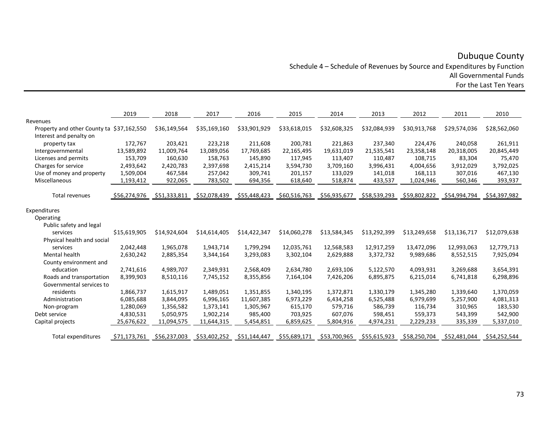Schedule 4 – Schedule of Revenues by Source and Expenditures by Function All Governmental Funds For the Last Ten Years

|                              | 2019         | 2018         | 2017         | 2016         | 2015         | 2014         | 2013         | 2012         | 2011         | 2010         |
|------------------------------|--------------|--------------|--------------|--------------|--------------|--------------|--------------|--------------|--------------|--------------|
| Revenues                     |              |              |              |              |              |              |              |              |              |              |
| Property and other County ta | \$37,162,550 | \$36,149,564 | \$35,169,160 | \$33,901,929 | \$33,618,015 | \$32,608,325 | \$32,084,939 | \$30,913,768 | \$29,574,036 | \$28,562,060 |
| Interest and penalty on      |              |              |              |              |              |              |              |              |              |              |
| property tax                 | 172,767      | 203,421      | 223,218      | 211,608      | 200,781      | 221,863      | 237,340      | 224,476      | 240,058      | 261,911      |
| Intergovernmental            | 13,589,892   | 11,009,764   | 13,089,056   | 17,769,685   | 22,165,495   | 19,631,019   | 21,535,541   | 23,358,148   | 20,318,005   | 20,845,449   |
| Licenses and permits         | 153,709      | 160,630      | 158,763      | 145,890      | 117,945      | 113,407      | 110,487      | 108,715      | 83,304       | 75,470       |
| Charges for service          | 2,493,642    | 2,420,783    | 2,397,698    | 2,415,214    | 3,594,730    | 3,709,160    | 3,996,431    | 4,004,656    | 3,912,029    | 3,792,025    |
| Use of money and property    | 1,509,004    | 467,584      | 257,042      | 309,741      | 201,157      | 133,029      | 141,018      | 168,113      | 307,016      | 467,130      |
| Miscellaneous                | 1,193,412    | 922,065      | 783,502      | 694,356      | 618,640      | 518,874      | 433,537      | 1,024,946    | 560,346      | 393,937      |
|                              |              |              |              |              |              |              |              |              |              |              |
| Total revenues               | \$56,274,976 | \$51,333,811 | \$52,078,439 | \$55,448,423 | \$60,516,763 | \$56,935,677 | \$58,539,293 | \$59,802,822 | \$54,994,794 | \$54,397,982 |
|                              |              |              |              |              |              |              |              |              |              |              |
| Expenditures                 |              |              |              |              |              |              |              |              |              |              |
| Operating                    |              |              |              |              |              |              |              |              |              |              |
| Public safety and legal      |              |              |              |              |              |              |              |              |              |              |
| services                     | \$15,619,905 | \$14,924,604 | \$14,614,405 | \$14,422,347 | \$14,060,278 | \$13,584,345 | \$13,292,399 | \$13,249,658 | \$13,136,717 | \$12,079,638 |
| Physical health and social   |              |              |              |              |              |              |              |              |              |              |
| services                     | 2,042,448    | 1,965,078    | 1,943,714    | 1,799,294    | 12,035,761   | 12,568,583   | 12,917,259   | 13,472,096   | 12,993,063   | 12,779,713   |
| Mental health                | 2,630,242    | 2,885,354    | 3,344,164    | 3,293,083    | 3,302,104    | 2,629,888    | 3,372,732    | 9,989,686    | 8,552,515    | 7,925,094    |
| County environment and       |              |              |              |              |              |              |              |              |              |              |
| education                    | 2,741,616    | 4,989,707    | 2,349,931    | 2,568,409    | 2,634,780    | 2,693,106    | 5,122,570    | 4,093,931    | 3,269,688    | 3,654,391    |
| Roads and transportation     | 8,399,903    | 8,510,116    | 7,745,152    | 8,355,856    | 7,164,104    | 7,426,206    | 6,895,875    | 6,215,014    | 6,741,818    | 6,298,896    |
| Governmental services to     |              |              |              |              |              |              |              |              |              |              |
| residents                    | 1,866,737    | 1,615,917    | 1,489,051    | 1,351,855    | 1,340,195    | 1,372,871    | 1,330,179    | 1,345,280    | 1,339,640    | 1,370,059    |
| Administration               | 6,085,688    | 3,844,095    | 6,996,165    | 11,607,385   | 6,973,229    | 6,434,258    | 6,525,488    | 6,979,699    | 5,257,900    | 4,081,313    |
| Non-program                  | 1,280,069    | 1,356,582    | 1,373,141    | 1,305,967    | 615,170      | 579,716      | 586,739      | 116,734      | 310,965      | 183,530      |
| Debt service                 | 4,830,531    | 5,050,975    | 1,902,214    | 985,400      | 703,925      | 607,076      | 598,451      | 559,373      | 543,399      | 542,900      |
| Capital projects             | 25,676,622   | 11,094,575   | 11,644,315   | 5,454,851    | 6,859,625    | 5,804,916    | 4,974,231    | 2,229,233    | 335,339      | 5,337,010    |
|                              |              |              |              |              |              |              |              |              |              |              |
| Total expenditures           | \$71,173,761 | \$56,237,003 | \$53,402,252 | \$51,144,447 | \$55,689,171 | \$53,700,965 | \$55,615,923 | \$58,250,704 | \$52,481,044 | \$54,252,544 |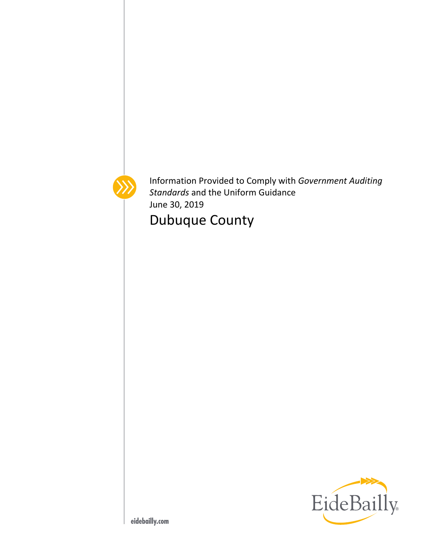

Information Provided to Comply with *Government Auditing Standards* and the Uniform Guidance June 30, 2019

Dubuque County

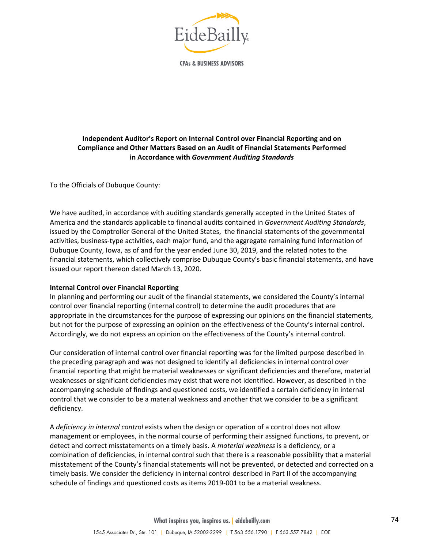

**CPAs & BUSINESS ADVISORS** 

## **Independent Auditor's Report on Internal Control over Financial Reporting and on Compliance and Other Matters Based on an Audit of Financial Statements Performed in Accordance with** *Government Auditing Standards*

To the Officials of Dubuque County:

We have audited, in accordance with auditing standards generally accepted in the United States of America and the standards applicable to financial audits contained in *Government Auditing Standards*, issued by the Comptroller General of the United States, the financial statements of the governmental activities, business‐type activities, each major fund, and the aggregate remaining fund information of Dubuque County, Iowa, as of and for the year ended June 30, 2019, and the related notes to the financial statements, which collectively comprise Dubuque County's basic financial statements, and have issued our report thereon dated March 13, 2020.

## **Internal Control over Financial Reporting**

In planning and performing our audit of the financial statements, we considered the County's internal control over financial reporting (internal control) to determine the audit procedures that are appropriate in the circumstances for the purpose of expressing our opinions on the financial statements, but not for the purpose of expressing an opinion on the effectiveness of the County's internal control. Accordingly, we do not express an opinion on the effectiveness of the County's internal control.

Our consideration of internal control over financial reporting was for the limited purpose described in the preceding paragraph and was not designed to identify all deficiencies in internal control over financial reporting that might be material weaknesses or significant deficiencies and therefore, material weaknesses or significant deficiencies may exist that were not identified. However, as described in the accompanying schedule of findings and questioned costs, we identified a certain deficiency in internal control that we consider to be a material weakness and another that we consider to be a significant deficiency.

A *deficiency in internal control* exists when the design or operation of a control does not allow management or employees, in the normal course of performing their assigned functions, to prevent, or detect and correct misstatements on a timely basis. A *material weakness* is a deficiency, or a combination of deficiencies, in internal control such that there is a reasonable possibility that a material misstatement of the County's financial statements will not be prevented, or detected and corrected on a timely basis. We consider the deficiency in internal control described in Part II of the accompanying schedule of findings and questioned costs as items 2019‐001 to be a material weakness.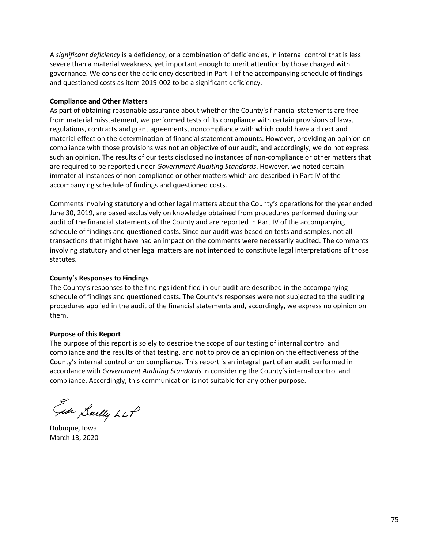A *significant deficiency* is a deficiency, or a combination of deficiencies, in internal control that is less severe than a material weakness, yet important enough to merit attention by those charged with governance. We consider the deficiency described in Part II of the accompanying schedule of findings and questioned costs as item 2019‐002 to be a significant deficiency.

#### **Compliance and Other Matters**

As part of obtaining reasonable assurance about whether the County's financial statements are free from material misstatement, we performed tests of its compliance with certain provisions of laws, regulations, contracts and grant agreements, noncompliance with which could have a direct and material effect on the determination of financial statement amounts. However, providing an opinion on compliance with those provisions was not an objective of our audit, and accordingly, we do not express such an opinion. The results of our tests disclosed no instances of non-compliance or other matters that are required to be reported under *Government Auditing Standards*. However, we noted certain immaterial instances of non-compliance or other matters which are described in Part IV of the accompanying schedule of findings and questioned costs.

Comments involving statutory and other legal matters about the County's operations for the year ended June 30, 2019, are based exclusively on knowledge obtained from procedures performed during our audit of the financial statements of the County and are reported in Part IV of the accompanying schedule of findings and questioned costs. Since our audit was based on tests and samples, not all transactions that might have had an impact on the comments were necessarily audited. The comments involving statutory and other legal matters are not intended to constitute legal interpretations of those statutes.

### **County's Responses to Findings**

The County's responses to the findings identified in our audit are described in the accompanying schedule of findings and questioned costs. The County's responses were not subjected to the auditing procedures applied in the audit of the financial statements and, accordingly, we express no opinion on them.

## **Purpose of this Report**

The purpose of this report is solely to describe the scope of our testing of internal control and compliance and the results of that testing, and not to provide an opinion on the effectiveness of the County's internal control or on compliance. This report is an integral part of an audit performed in accordance with *Government Auditing Standards* in considering the County's internal control and compliance. Accordingly, this communication is not suitable for any other purpose.

Ede Sailly LLP

Dubuque, Iowa March 13, 2020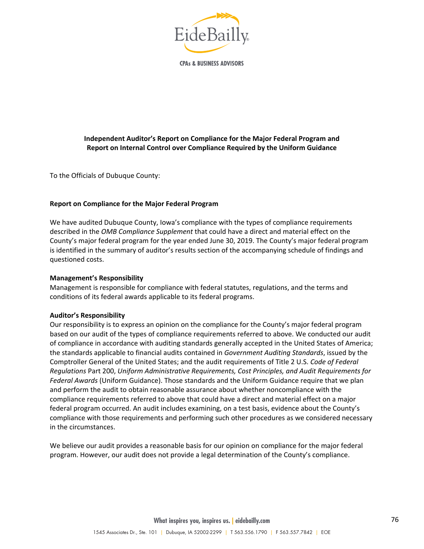

**CPAs & BUSINESS ADVISORS** 

## **Independent Auditor's Report on Compliance for the Major Federal Program and Report on Internal Control over Compliance Required by the Uniform Guidance**

To the Officials of Dubuque County:

## **Report on Compliance for the Major Federal Program**

We have audited Dubuque County, Iowa's compliance with the types of compliance requirements described in the *OMB Compliance Supplement* that could have a direct and material effect on the County's major federal program for the year ended June 30, 2019. The County's major federal program is identified in the summary of auditor's results section of the accompanying schedule of findings and questioned costs.

#### **Management's Responsibility**

Management is responsible for compliance with federal statutes, regulations, and the terms and conditions of its federal awards applicable to its federal programs.

#### **Auditor's Responsibility**

Our responsibility is to express an opinion on the compliance for the County's major federal program based on our audit of the types of compliance requirements referred to above. We conducted our audit of compliance in accordance with auditing standards generally accepted in the United States of America; the standards applicable to financial audits contained in *Government Auditing Standards*, issued by the Comptroller General of the United States; and the audit requirements of Title 2 U.S. *Code of Federal Regulations* Part 200, *Uniform Administrative Requirements, Cost Principles, and Audit Requirements for Federal Awards* (Uniform Guidance). Those standards and the Uniform Guidance require that we plan and perform the audit to obtain reasonable assurance about whether noncompliance with the compliance requirements referred to above that could have a direct and material effect on a major federal program occurred. An audit includes examining, on a test basis, evidence about the County's compliance with those requirements and performing such other procedures as we considered necessary in the circumstances.

We believe our audit provides a reasonable basis for our opinion on compliance for the major federal program. However, our audit does not provide a legal determination of the County's compliance.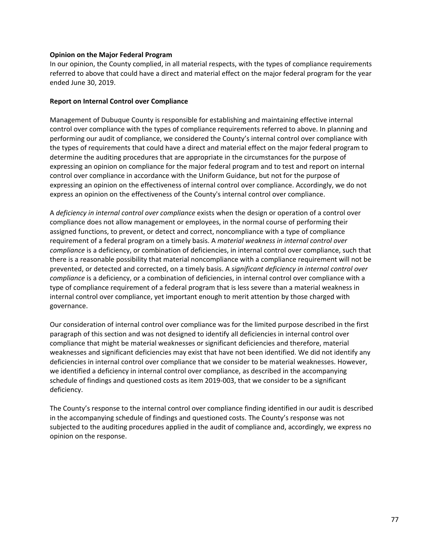## **Opinion on the Major Federal Program**

In our opinion, the County complied, in all material respects, with the types of compliance requirements referred to above that could have a direct and material effect on the major federal program for the year ended June 30, 2019.

#### **Report on Internal Control over Compliance**

Management of Dubuque County is responsible for establishing and maintaining effective internal control over compliance with the types of compliance requirements referred to above. In planning and performing our audit of compliance, we considered the County's internal control over compliance with the types of requirements that could have a direct and material effect on the major federal program to determine the auditing procedures that are appropriate in the circumstances for the purpose of expressing an opinion on compliance for the major federal program and to test and report on internal control over compliance in accordance with the Uniform Guidance, but not for the purpose of expressing an opinion on the effectiveness of internal control over compliance. Accordingly, we do not express an opinion on the effectiveness of the County's internal control over compliance.

A *deficiency in internal control over compliance* exists when the design or operation of a control over compliance does not allow management or employees, in the normal course of performing their assigned functions, to prevent, or detect and correct, noncompliance with a type of compliance requirement of a federal program on a timely basis. A *material weakness in internal control over compliance* is a deficiency, or combination of deficiencies, in internal control over compliance, such that there is a reasonable possibility that material noncompliance with a compliance requirement will not be prevented, or detected and corrected, on a timely basis. A *significant deficiency in internal control over compliance* is a deficiency, or a combination of deficiencies, in internal control over compliance with a type of compliance requirement of a federal program that is less severe than a material weakness in internal control over compliance, yet important enough to merit attention by those charged with governance.

Our consideration of internal control over compliance was for the limited purpose described in the first paragraph of this section and was not designed to identify all deficiencies in internal control over compliance that might be material weaknesses or significant deficiencies and therefore, material weaknesses and significant deficiencies may exist that have not been identified. We did not identify any deficiencies in internal control over compliance that we consider to be material weaknesses. However, we identified a deficiency in internal control over compliance, as described in the accompanying schedule of findings and questioned costs as item 2019‐003, that we consider to be a significant deficiency.

The County's response to the internal control over compliance finding identified in our audit is described in the accompanying schedule of findings and questioned costs. The County's response was not subjected to the auditing procedures applied in the audit of compliance and, accordingly, we express no opinion on the response.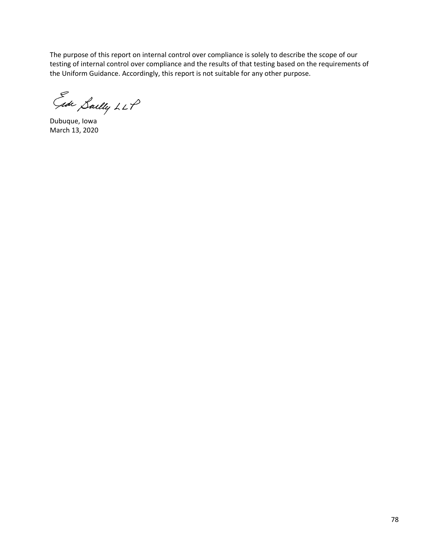The purpose of this report on internal control over compliance is solely to describe the scope of our testing of internal control over compliance and the results of that testing based on the requirements of the Uniform Guidance. Accordingly, this report is not suitable for any other purpose.

Sally LLP<br>Dubuque, Iowa

March 13, 2020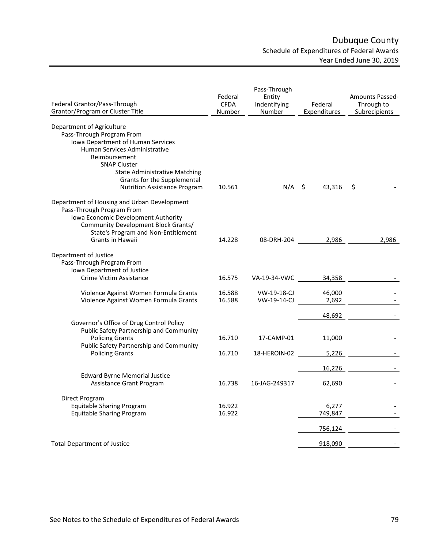## Dubuque County Schedule of Expenditures of Federal Awards Year Ended June 30, 2019

| Federal Grantor/Pass-Through<br>Grantor/Program or Cluster Title                                                                                                                                                                                                            | Federal<br><b>CFDA</b><br>Number | Pass-Through<br>Entity<br>Indentifying<br>Number | Federal<br>Expenditures | <b>Amounts Passed-</b><br>Through to<br>Subrecipients |  |
|-----------------------------------------------------------------------------------------------------------------------------------------------------------------------------------------------------------------------------------------------------------------------------|----------------------------------|--------------------------------------------------|-------------------------|-------------------------------------------------------|--|
| Department of Agriculture<br>Pass-Through Program From<br>Iowa Department of Human Services<br>Human Services Administrative<br>Reimbursement<br><b>SNAP Cluster</b><br><b>State Administrative Matching</b><br>Grants for the Supplemental<br>Nutrition Assistance Program | 10.561                           | $N/A$ \$                                         | $43,316$ \$             |                                                       |  |
| Department of Housing and Urban Development<br>Pass-Through Program From<br>Iowa Economic Development Authority<br>Community Development Block Grants/<br>State's Program and Non-Entitlement<br><b>Grants in Hawaii</b>                                                    | 14.228                           | 08-DRH-204                                       | 2,986                   | 2,986                                                 |  |
| Department of Justice<br>Pass-Through Program From<br>Iowa Department of Justice<br>Crime Victim Assistance                                                                                                                                                                 | 16.575                           | VA-19-34-VWC                                     | 34,358                  |                                                       |  |
| Violence Against Women Formula Grants<br>Violence Against Women Formula Grants                                                                                                                                                                                              | 16.588<br>16.588                 | VW-19-18-CJ<br>VW-19-14-CJ                       | 46,000<br>2,692         |                                                       |  |
| Governor's Office of Drug Control Policy<br>Public Safety Partnership and Community                                                                                                                                                                                         |                                  |                                                  | 48,692                  |                                                       |  |
| <b>Policing Grants</b><br>Public Safety Partnership and Community<br><b>Policing Grants</b>                                                                                                                                                                                 | 16.710<br>16.710                 | 17-CAMP-01<br>18-HEROIN-02                       | 11,000<br>5,226         |                                                       |  |
| <b>Edward Byrne Memorial Justice</b>                                                                                                                                                                                                                                        |                                  |                                                  | 16,226                  |                                                       |  |
| Assistance Grant Program                                                                                                                                                                                                                                                    | 16.738                           | 16-JAG-249317                                    | 62,690                  |                                                       |  |
| Direct Program<br><b>Equitable Sharing Program</b><br><b>Equitable Sharing Program</b>                                                                                                                                                                                      | 16.922<br>16.922                 |                                                  | 6,277<br>749,847        |                                                       |  |
| <b>Total Department of Justice</b>                                                                                                                                                                                                                                          |                                  |                                                  | 756,124<br>918,090      |                                                       |  |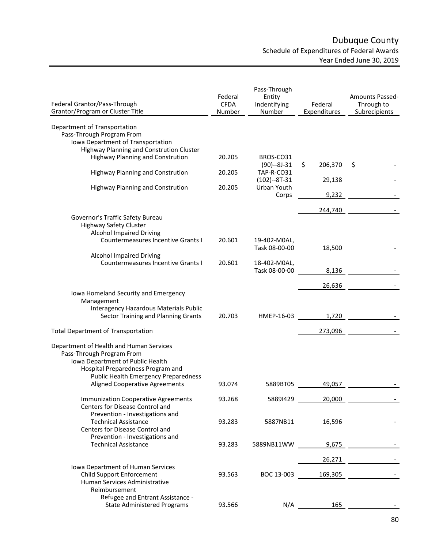## Dubuque County Schedule of Expenditures of Federal Awards Year Ended June 30, 2019

| Federal Grantor/Pass-Through<br>Grantor/Program or Cluster Title     | Federal<br><b>CFDA</b><br>Number | Pass-Through<br>Entity<br>Indentifying<br>Number | Federal<br>Expenditures | <b>Amounts Passed-</b><br>Through to<br>Subrecipients |
|----------------------------------------------------------------------|----------------------------------|--------------------------------------------------|-------------------------|-------------------------------------------------------|
| Department of Transportation                                         |                                  |                                                  |                         |                                                       |
| Pass-Through Program From<br>Iowa Department of Transportation       |                                  |                                                  |                         |                                                       |
| Highway Planning and Constrution Cluster                             |                                  |                                                  |                         |                                                       |
| <b>Highway Planning and Constrution</b>                              | 20.205                           | BROS-CO31                                        |                         |                                                       |
|                                                                      |                                  | $(90) - 8J - 31$                                 | \$<br>206,370           | \$                                                    |
| <b>Highway Planning and Constrution</b>                              | 20.205                           | TAP-R-CO31                                       |                         |                                                       |
| <b>Highway Planning and Constrution</b>                              | 20.205                           | $(102) - 8T - 31$<br>Urban Youth                 | 29,138                  |                                                       |
|                                                                      |                                  | Corps                                            | 9,232                   |                                                       |
|                                                                      |                                  |                                                  |                         |                                                       |
|                                                                      |                                  |                                                  | 244,740                 |                                                       |
| Governor's Traffic Safety Bureau<br><b>Highway Safety Cluster</b>    |                                  |                                                  |                         |                                                       |
| <b>Alcohol Impaired Driving</b>                                      |                                  |                                                  |                         |                                                       |
| Countermeasures Incentive Grants I                                   | 20.601                           | 19-402-M0AL,                                     |                         |                                                       |
|                                                                      |                                  | Task 08-00-00                                    | 18,500                  |                                                       |
| <b>Alcohol Impaired Driving</b>                                      |                                  |                                                  |                         |                                                       |
| <b>Countermeasures Incentive Grants I</b>                            | 20.601                           | 18-402-M0AL,<br>Task 08-00-00                    | 8,136                   |                                                       |
|                                                                      |                                  |                                                  |                         |                                                       |
|                                                                      |                                  |                                                  | 26,636                  |                                                       |
| Iowa Homeland Security and Emergency                                 |                                  |                                                  |                         |                                                       |
| Management<br>Interagency Hazardous Materials Public                 |                                  |                                                  |                         |                                                       |
| Sector Training and Planning Grants                                  | 20.703                           | HMEP-16-03                                       | 1,720                   |                                                       |
|                                                                      |                                  |                                                  |                         |                                                       |
| <b>Total Department of Transportation</b>                            |                                  |                                                  | 273,096                 |                                                       |
|                                                                      |                                  |                                                  |                         |                                                       |
| Department of Health and Human Services<br>Pass-Through Program From |                                  |                                                  |                         |                                                       |
| Iowa Department of Public Health                                     |                                  |                                                  |                         |                                                       |
| Hospital Preparedness Program and                                    |                                  |                                                  |                         |                                                       |
| <b>Public Health Emergency Preparedness</b>                          |                                  |                                                  |                         |                                                       |
| <b>Aligned Cooperative Agreements</b>                                | 93.074                           | 5889BT05                                         | 49,057                  |                                                       |
| <b>Immunization Cooperative Agreements</b>                           | 93.268                           | 58891429                                         | 20,000                  |                                                       |
| Centers for Disease Control and                                      |                                  |                                                  |                         |                                                       |
| Prevention - Investigations and                                      |                                  |                                                  |                         |                                                       |
| <b>Technical Assistance</b>                                          | 93.283                           | 5887NB11                                         | 16,596                  |                                                       |
| Centers for Disease Control and<br>Prevention - Investigations and   |                                  |                                                  |                         |                                                       |
| <b>Technical Assistance</b>                                          | 93.283                           | 5889NB11WW                                       | 9,675                   |                                                       |
|                                                                      |                                  |                                                  |                         |                                                       |
|                                                                      |                                  |                                                  | 26,271                  |                                                       |
| Iowa Department of Human Services<br>Child Support Enforcement       |                                  |                                                  |                         |                                                       |
| Human Services Administrative                                        | 93.563                           | BOC 13-003                                       | 169,305                 |                                                       |
| Reimbursement                                                        |                                  |                                                  |                         |                                                       |
| Refugee and Entrant Assistance -                                     |                                  |                                                  |                         |                                                       |
| <b>State Administered Programs</b>                                   | 93.566                           | N/A                                              | 165                     |                                                       |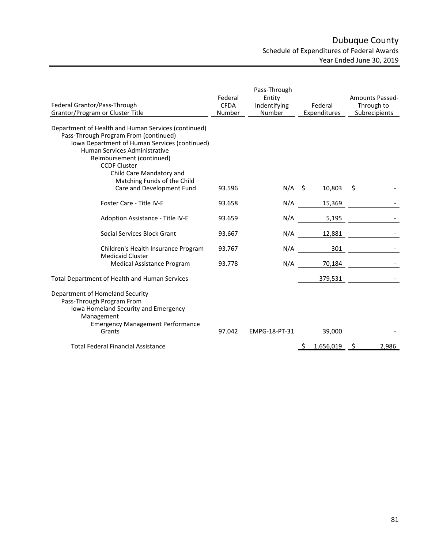## Dubuque County Schedule of Expenditures of Federal Awards Year Ended June 30, 2019

| Federal Grantor/Pass-Through<br>Grantor/Program or Cluster Title                                                                                                                                                                                                                              | Federal<br><b>CFDA</b><br>Number | Pass-Through<br>Entity<br>Indentifying<br>Number | Federal<br>Expenditures | <b>Amounts Passed-</b><br>Through to<br>Subrecipients |
|-----------------------------------------------------------------------------------------------------------------------------------------------------------------------------------------------------------------------------------------------------------------------------------------------|----------------------------------|--------------------------------------------------|-------------------------|-------------------------------------------------------|
| Department of Health and Human Services (continued)<br>Pass-Through Program From (continued)<br>Iowa Department of Human Services (continued)<br>Human Services Administrative<br>Reimbursement (continued)<br><b>CCDF Cluster</b><br>Child Care Mandatory and<br>Matching Funds of the Child |                                  |                                                  |                         |                                                       |
| Care and Development Fund                                                                                                                                                                                                                                                                     | 93.596                           | $N/A$ \$                                         | $10,803$ \$             |                                                       |
| Foster Care - Title IV-E                                                                                                                                                                                                                                                                      | 93.658                           | N/A                                              | 15,369                  |                                                       |
| Adoption Assistance - Title IV-E                                                                                                                                                                                                                                                              | 93.659                           | N/A                                              | 5,195                   |                                                       |
| Social Services Block Grant                                                                                                                                                                                                                                                                   | 93.667                           | N/A                                              | 12,881                  |                                                       |
| Children's Health Insurance Program<br><b>Medicaid Cluster</b>                                                                                                                                                                                                                                | 93.767                           | N/A                                              | 301                     |                                                       |
| <b>Medical Assistance Program</b>                                                                                                                                                                                                                                                             | 93.778                           | N/A                                              | 70,184                  |                                                       |
| Total Department of Health and Human Services                                                                                                                                                                                                                                                 |                                  |                                                  | 379,531                 |                                                       |
| Department of Homeland Security<br>Pass-Through Program From<br>Iowa Homeland Security and Emergency<br>Management<br><b>Emergency Management Performance</b><br>Grants                                                                                                                       | 97.042                           | EMPG-18-PT-31                                    | 39,000                  |                                                       |
| <b>Total Federal Financial Assistance</b>                                                                                                                                                                                                                                                     |                                  |                                                  | <u>1,656,019</u>        | <u>2,986</u>                                          |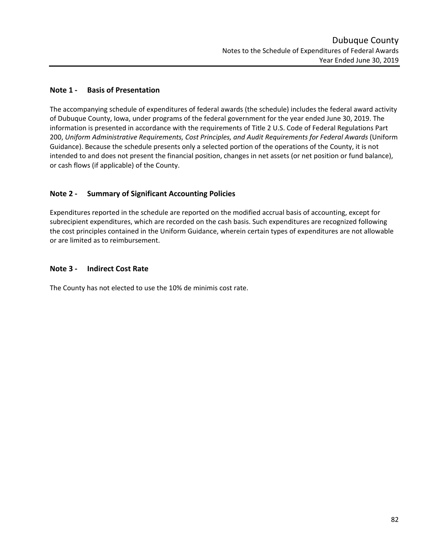## **Note 1 ‐ Basis of Presentation**

The accompanying schedule of expenditures of federal awards (the schedule) includes the federal award activity of Dubuque County, Iowa, under programs of the federal government for the year ended June 30, 2019. The information is presented in accordance with the requirements of Title 2 U.S. Code of Federal Regulations Part 200, *Uniform Administrative Requirements, Cost Principles, and Audit Requirements for Federal Awards* (Uniform Guidance). Because the schedule presents only a selected portion of the operations of the County, it is not intended to and does not present the financial position, changes in net assets (or net position or fund balance), or cash flows (if applicable) of the County.

## **Note 2 ‐ Summary of Significant Accounting Policies**

Expenditures reported in the schedule are reported on the modified accrual basis of accounting, except for subrecipient expenditures, which are recorded on the cash basis. Such expenditures are recognized following the cost principles contained in the Uniform Guidance, wherein certain types of expenditures are not allowable or are limited as to reimbursement.

## **Note 3 ‐ Indirect Cost Rate**

The County has not elected to use the 10% de minimis cost rate.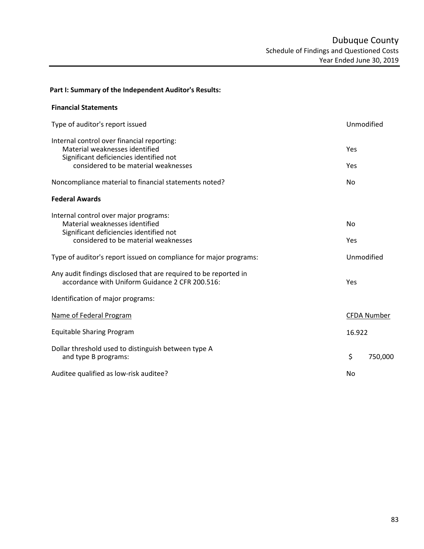## **Part I: Summary of the Independent Auditor's Results:**

| <b>Financial Statements</b>                                                                                                                                     |            |                    |
|-----------------------------------------------------------------------------------------------------------------------------------------------------------------|------------|--------------------|
| Type of auditor's report issued                                                                                                                                 | Unmodified |                    |
| Internal control over financial reporting:<br>Material weaknesses identified<br>Significant deficiencies identified not<br>considered to be material weaknesses | Yes<br>Yes |                    |
| Noncompliance material to financial statements noted?                                                                                                           | No         |                    |
| <b>Federal Awards</b>                                                                                                                                           |            |                    |
| Internal control over major programs:<br>Material weaknesses identified<br>Significant deficiencies identified not<br>considered to be material weaknesses      | No<br>Yes  |                    |
| Type of auditor's report issued on compliance for major programs:                                                                                               | Unmodified |                    |
| Any audit findings disclosed that are required to be reported in<br>accordance with Uniform Guidance 2 CFR 200.516:                                             | Yes        |                    |
| Identification of major programs:                                                                                                                               |            |                    |
| Name of Federal Program                                                                                                                                         |            | <b>CFDA Number</b> |
| <b>Equitable Sharing Program</b>                                                                                                                                | 16.922     |                    |
| Dollar threshold used to distinguish between type A<br>and type B programs:                                                                                     | \$         | 750,000            |
| Auditee qualified as low-risk auditee?                                                                                                                          | No         |                    |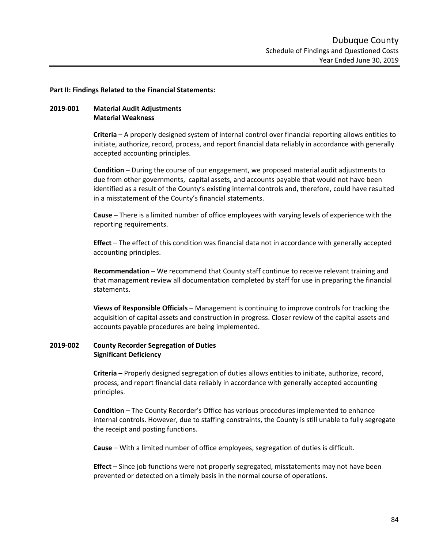**Part II: Findings Related to the Financial Statements:** 

## **2019‐001 Material Audit Adjustments Material Weakness**

**Criteria** – A properly designed system of internal control over financial reporting allows entities to initiate, authorize, record, process, and report financial data reliably in accordance with generally accepted accounting principles.

**Condition** – During the course of our engagement, we proposed material audit adjustments to due from other governments, capital assets, and accounts payable that would not have been identified as a result of the County's existing internal controls and, therefore, could have resulted in a misstatement of the County's financial statements.

**Cause** – There is a limited number of office employees with varying levels of experience with the reporting requirements.

**Effect** – The effect of this condition was financial data not in accordance with generally accepted accounting principles.

**Recommendation** – We recommend that County staff continue to receive relevant training and that management review all documentation completed by staff for use in preparing the financial statements.

**Views of Responsible Officials** – Management is continuing to improve controls for tracking the acquisition of capital assets and construction in progress. Closer review of the capital assets and accounts payable procedures are being implemented.

## **2019‐002 County Recorder Segregation of Duties Significant Deficiency**

**Criteria** – Properly designed segregation of duties allows entities to initiate, authorize, record, process, and report financial data reliably in accordance with generally accepted accounting principles.

**Condition** – The County Recorder's Office has various procedures implemented to enhance internal controls. However, due to staffing constraints, the County is still unable to fully segregate the receipt and posting functions.

 **Cause** – With a limited number of office employees, segregation of duties is difficult.

 **Effect** – Since job functions were not properly segregated, misstatements may not have been prevented or detected on a timely basis in the normal course of operations.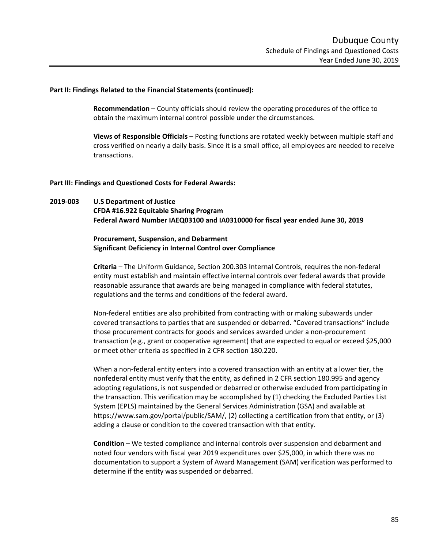#### **Part II: Findings Related to the Financial Statements (continued):**

**Recommendation** – County officials should review the operating procedures of the office to obtain the maximum internal control possible under the circumstances.

**Views of Responsible Officials** – Posting functions are rotated weekly between multiple staff and cross verified on nearly a daily basis. Since it is a small office, all employees are needed to receive transactions.

#### **Part III: Findings and Questioned Costs for Federal Awards:**

**2019‐003 U.S Department of Justice CFDA #16.922 Equitable Sharing Program Federal Award Number IAEQ03100 and IA0310000 for fiscal year ended June 30, 2019** 

> **Procurement, Suspension, and Debarment Significant Deficiency in Internal Control over Compliance**

 **Criteria** *–* The Uniform Guidance, Section 200.303 Internal Controls, requires the non‐federal entity must establish and maintain effective internal controls over federal awards that provide reasonable assurance that awards are being managed in compliance with federal statutes, regulations and the terms and conditions of the federal award.

 Non‐federal entities are also prohibited from contracting with or making subawards under covered transactions to parties that are suspended or debarred. "Covered transactions" include those procurement contracts for goods and services awarded under a non‐procurement transaction (e.g., grant or cooperative agreement) that are expected to equal or exceed \$25,000 or meet other criteria as specified in 2 CFR section 180.220.

When a non-federal entity enters into a covered transaction with an entity at a lower tier, the nonfederal entity must verify that the entity, as defined in 2 CFR section 180.995 and agency adopting regulations, is not suspended or debarred or otherwise excluded from participating in the transaction. This verification may be accomplished by (1) checking the Excluded Parties List System (EPLS) maintained by the General Services Administration (GSA) and available at https://www.sam.gov/portal/public/SAM/, (2) collecting a certification from that entity, or (3) adding a clause or condition to the covered transaction with that entity.

**Condition** – We tested compliance and internal controls over suspension and debarment and noted four vendors with fiscal year 2019 expenditures over \$25,000, in which there was no documentation to support a System of Award Management (SAM) verification was performed to determine if the entity was suspended or debarred.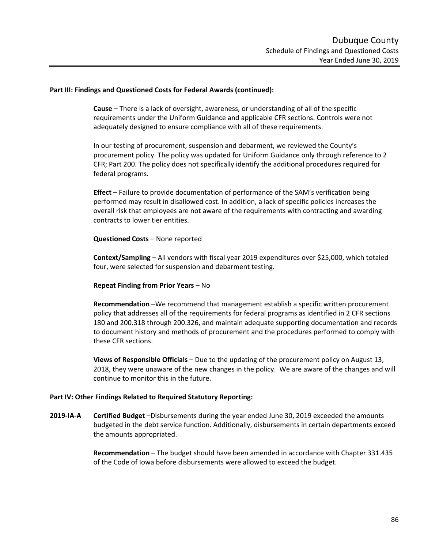#### **Part III: Findings and Questioned Costs for Federal Awards (continued):**

**Cause** – There is a lack of oversight, awareness, or understanding of all of the specific requirements under the Uniform Guidance and applicable CFR sections. Controls were not adequately designed to ensure compliance with all of these requirements.

 In our testing of procurement, suspension and debarment, we reviewed the County's procurement policy. The policy was updated for Uniform Guidance only through reference to 2 CFR; Part 200. The policy does not specifically identify the additional procedures required for federal programs.

**Effect** – Failure to provide documentation of performance of the SAM's verification being performed may result in disallowed cost. In addition, a lack of specific policies increases the overall risk that employees are not aware of the requirements with contracting and awarding contracts to lower tier entities.

**Questioned Costs** – None reported

**Context/Sampling** – All vendors with fiscal year 2019 expenditures over \$25,000, which totaled four, were selected for suspension and debarment testing.

#### **Repeat Finding from Prior Years** – No

**Recommendation** –We recommend that management establish a specific written procurement policy that addresses all of the requirements for federal programs as identified in 2 CFR sections 180 and 200.318 through 200.326, and maintain adequate supporting documentation and records to document history and methods of procurement and the procedures performed to comply with these CFR sections.

**Views of Responsible Officials** – Due to the updating of the procurement policy on August 13, 2018, they were unaware of the new changes in the policy. We are aware of the changes and will continue to monitor this in the future.

#### **Part IV: Other Findings Related to Required Statutory Reporting:**

**2019‐IA‐A Certified Budget** –Disbursements during the year ended June 30, 2019 exceeded the amounts budgeted in the debt service function. Additionally, disbursements in certain departments exceed the amounts appropriated.

> **Recommendation** – The budget should have been amended in accordance with Chapter 331.435 of the Code of Iowa before disbursements were allowed to exceed the budget.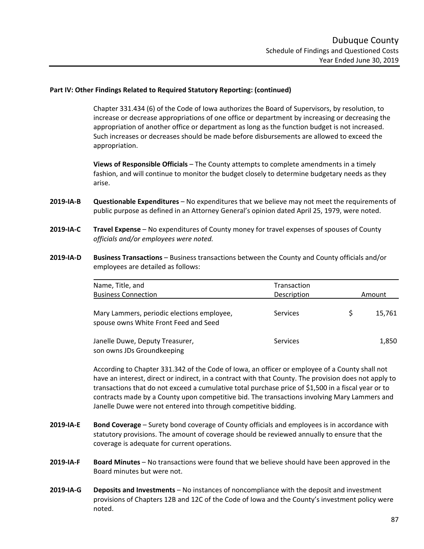### **Part IV: Other Findings Related to Required Statutory Reporting: (continued)**

Chapter 331.434 (6) of the Code of Iowa authorizes the Board of Supervisors, by resolution, to increase or decrease appropriations of one office or department by increasing or decreasing the appropriation of another office or department as long as the function budget is not increased. Such increases or decreases should be made before disbursements are allowed to exceed the appropriation.

**Views of Responsible Officials** – The County attempts to complete amendments in a timely fashion, and will continue to monitor the budget closely to determine budgetary needs as they arise.

- **2019‐IA‐B Questionable Expenditures** No expenditures that we believe may not meet the requirements of public purpose as defined in an Attorney General's opinion dated April 25, 1979, were noted.
- **2019‐IA‐C Travel Expense** No expenditures of County money for travel expenses of spouses of County *officials and/or employees were noted.*
- **2019‐IA‐D Business Transactions** Business transactions between the County and County officials and/or employees are detailed as follows:

| Name, Title, and                                                                    | Transaction |        |        |
|-------------------------------------------------------------------------------------|-------------|--------|--------|
| <b>Business Connection</b>                                                          | Description | Amount |        |
| Mary Lammers, periodic elections employee,<br>spouse owns White Front Feed and Seed | Services    |        | 15.761 |
| Janelle Duwe, Deputy Treasurer,<br>son owns JDs Groundkeeping                       | Services    |        | 1,850  |

According to Chapter 331.342 of the Code of Iowa, an officer or employee of a County shall not have an interest, direct or indirect, in a contract with that County. The provision does not apply to transactions that do not exceed a cumulative total purchase price of \$1,500 in a fiscal year or to contracts made by a County upon competitive bid. The transactions involving Mary Lammers and Janelle Duwe were not entered into through competitive bidding.

- **2019‐IA‐E Bond Coverage** Surety bond coverage of County officials and employees is in accordance with statutory provisions. The amount of coverage should be reviewed annually to ensure that the coverage is adequate for current operations.
- **2019‐IA‐F Board Minutes** No transactions were found that we believe should have been approved in the Board minutes but were not.
- **2019‐IA‐G Deposits and Investments** No instances of noncompliance with the deposit and investment provisions of Chapters 12B and 12C of the Code of Iowa and the County's investment policy were noted.